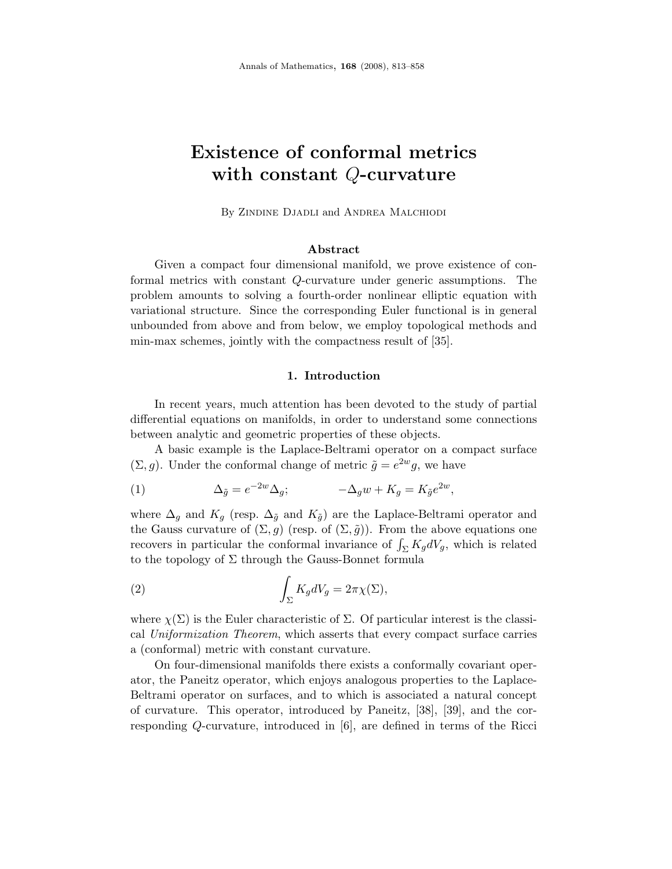# Existence of conformal metrics with constant Q-curvature

By Zindine Djadli and Andrea Malchiodi

### Abstract

Given a compact four dimensional manifold, we prove existence of conformal metrics with constant Q-curvature under generic assumptions. The problem amounts to solving a fourth-order nonlinear elliptic equation with variational structure. Since the corresponding Euler functional is in general unbounded from above and from below, we employ topological methods and min-max schemes, jointly with the compactness result of [35].

### 1. Introduction

In recent years, much attention has been devoted to the study of partial differential equations on manifolds, in order to understand some connections between analytic and geometric properties of these objects.

A basic example is the Laplace-Beltrami operator on a compact surface  $(\Sigma, g)$ . Under the conformal change of metric  $\tilde{g} = e^{2w} g$ , we have

(1) 
$$
\Delta_{\tilde{g}} = e^{-2w} \Delta_g; \qquad -\Delta_g w + K_g = K_{\tilde{g}} e^{2w},
$$

where  $\Delta_g$  and  $K_g$  (resp.  $\Delta_{\tilde{g}}$  and  $K_{\tilde{g}}$ ) are the Laplace-Beltrami operator and the Gauss curvature of  $(\Sigma, g)$  (resp. of  $(\Sigma, \tilde{g})$ ). From the above equations one recovers in particular the conformal invariance of  $\int_{\Sigma} K_g dV_g$ , which is related to the topology of  $\Sigma$  through the Gauss-Bonnet formula

(2) 
$$
\int_{\Sigma} K_g dV_g = 2\pi \chi(\Sigma),
$$

where  $\chi(\Sigma)$  is the Euler characteristic of  $\Sigma$ . Of particular interest is the classical Uniformization Theorem, which asserts that every compact surface carries a (conformal) metric with constant curvature.

On four-dimensional manifolds there exists a conformally covariant operator, the Paneitz operator, which enjoys analogous properties to the Laplace-Beltrami operator on surfaces, and to which is associated a natural concept of curvature. This operator, introduced by Paneitz, [38], [39], and the corresponding Q-curvature, introduced in [6], are defined in terms of the Ricci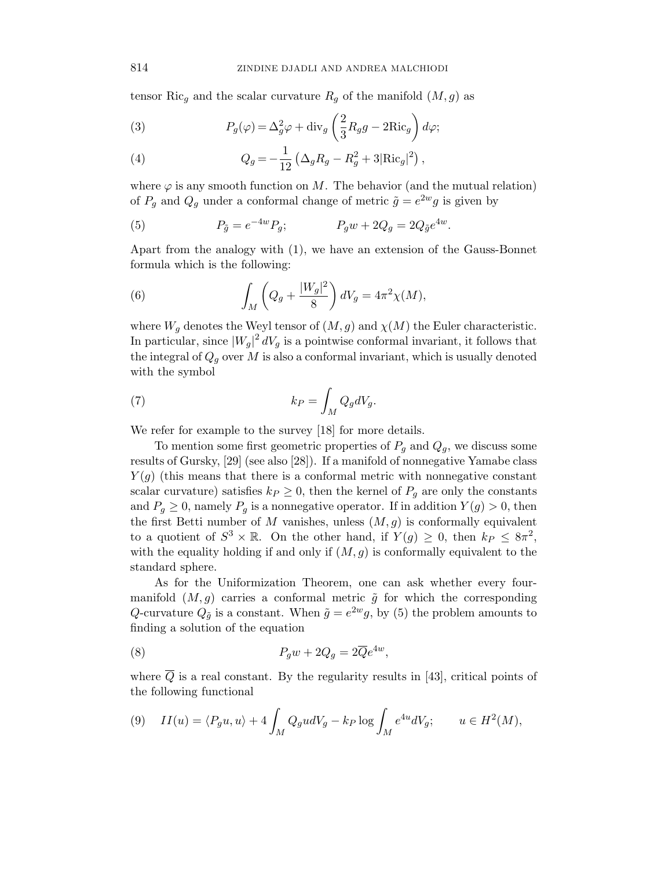tensor Ric<sub>g</sub> and the scalar curvature  $R<sub>q</sub>$  of the manifold  $(M, g)$  as

(3) 
$$
P_g(\varphi) = \Delta_g^2 \varphi + \text{div}_g \left(\frac{2}{3} R_g g - 2 \text{Ric}_g\right) d\varphi;
$$

(4) 
$$
Q_g = -\frac{1}{12} \left( \Delta_g R_g - R_g^2 + 3 |\text{Ric}_g|^2 \right),
$$

where  $\varphi$  is any smooth function on M. The behavior (and the mutual relation) of  $P_g$  and  $Q_g$  under a conformal change of metric  $\tilde{g} = e^{2w}g$  is given by

(5) 
$$
P_{\tilde{g}} = e^{-4w} P_g; \qquad P_g w + 2Q_g = 2Q_{\tilde{g}} e^{4w}.
$$

Apart from the analogy with (1), we have an extension of the Gauss-Bonnet formula which is the following:

(6) 
$$
\int_M \left( Q_g + \frac{|W_g|^2}{8} \right) dV_g = 4\pi^2 \chi(M),
$$

where  $W_q$  denotes the Weyl tensor of  $(M, g)$  and  $\chi(M)$  the Euler characteristic. In particular, since  $|W_g|^2 dV_g$  is a pointwise conformal invariant, it follows that the integral of  $Q_q$  over M is also a conformal invariant, which is usually denoted with the symbol

(7) 
$$
k_P = \int_M Q_g dV_g.
$$

We refer for example to the survey [18] for more details.

To mention some first geometric properties of  $P_g$  and  $Q_g$ , we discuss some results of Gursky, [29] (see also [28]). If a manifold of nonnegative Yamabe class  $Y(g)$  (this means that there is a conformal metric with nonnegative constant scalar curvature) satisfies  $k_P \geq 0$ , then the kernel of  $P_g$  are only the constants and  $P_q \geq 0$ , namely  $P_q$  is a nonnegative operator. If in addition  $Y(q) > 0$ , then the first Betti number of M vanishes, unless  $(M, g)$  is conformally equivalent to a quotient of  $S^3 \times \mathbb{R}$ . On the other hand, if  $Y(g) \geq 0$ , then  $k_P \leq 8\pi^2$ , with the equality holding if and only if  $(M, g)$  is conformally equivalent to the standard sphere.

As for the Uniformization Theorem, one can ask whether every fourmanifold  $(M, g)$  carries a conformal metric  $\tilde{g}$  for which the corresponding Q-curvature  $Q_{\tilde{g}}$  is a constant. When  $\tilde{g} = e^{2w}g$ , by (5) the problem amounts to finding a solution of the equation

(8) 
$$
P_g w + 2Q_g = 2\overline{Q}e^{4w},
$$

where  $\overline{Q}$  is a real constant. By the regularity results in [43], critical points of the following functional

$$
(9) \quad II(u) = \langle P_g u, u \rangle + 4 \int_M Q_g u dV_g - k_P \log \int_M e^{4u} dV_g; \qquad u \in H^2(M),
$$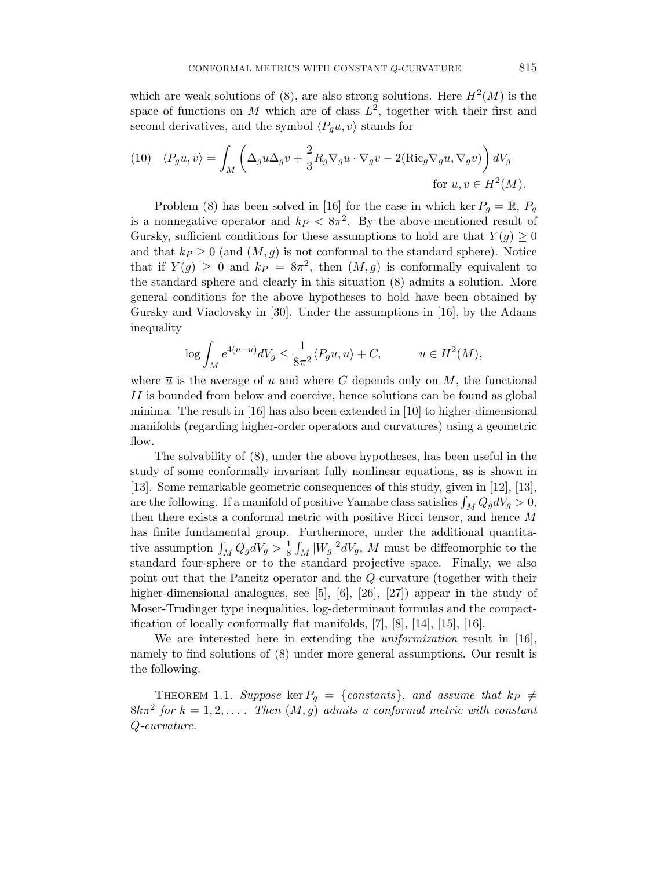which are weak solutions of (8), are also strong solutions. Here  $H^2(M)$  is the space of functions on M which are of class  $L^2$ , together with their first and second derivatives, and the symbol  $\langle P_q u, v \rangle$  stands for

(10) 
$$
\langle P_g u, v \rangle = \int_M \left( \Delta_g u \Delta_g v + \frac{2}{3} R_g \nabla_g u \cdot \nabla_g v - 2(\text{Ric}_g \nabla_g u, \nabla_g v) \right) dV_g
$$
for  $u, v \in H^2(M)$ .

Problem (8) has been solved in [16] for the case in which ker  $P_q = \mathbb{R}$ ,  $P_q$ is a nonnegative operator and  $k_P < 8\pi^2$ . By the above-mentioned result of Gursky, sufficient conditions for these assumptions to hold are that  $Y(q) \geq 0$ and that  $k_P \geq 0$  (and  $(M, g)$  is not conformal to the standard sphere). Notice that if  $Y(g) \geq 0$  and  $k_P = 8\pi^2$ , then  $(M, g)$  is conformally equivalent to the standard sphere and clearly in this situation (8) admits a solution. More general conditions for the above hypotheses to hold have been obtained by Gursky and Viaclovsky in [30]. Under the assumptions in [16], by the Adams inequality

$$
\log \int_M e^{4(u-\overline{u})} dV_g \le \frac{1}{8\pi^2} \langle P_g u, u \rangle + C, \qquad u \in H^2(M),
$$

where  $\bar{u}$  is the average of u and where C depends only on M, the functional II is bounded from below and coercive, hence solutions can be found as global minima. The result in [16] has also been extended in [10] to higher-dimensional manifolds (regarding higher-order operators and curvatures) using a geometric flow.

The solvability of (8), under the above hypotheses, has been useful in the study of some conformally invariant fully nonlinear equations, as is shown in [13]. Some remarkable geometric consequences of this study, given in [12], [13], are the following. If a manifold of positive Yamabe class satisfies  $\int_M Q_g dV_g > 0$ , then there exists a conformal metric with positive Ricci tensor, and hence M has finite fundamental group. Furthermore, under the additional quantitative assumption  $\int_M Q_g dV_g > \frac{1}{8}$  $\frac{1}{8} \int_M |W_g|^2 dV_g$ , M must be diffeomorphic to the standard four-sphere or to the standard projective space. Finally, we also point out that the Paneitz operator and the Q-curvature (together with their higher-dimensional analogues, see [5], [6], [26], [27]) appear in the study of Moser-Trudinger type inequalities, log-determinant formulas and the compactification of locally conformally flat manifolds, [7], [8], [14], [15], [16].

We are interested here in extending the *uniformization* result in [16], namely to find solutions of (8) under more general assumptions. Our result is the following.

THEOREM 1.1. Suppose ker  $P_g = \{constants\}$ , and assume that  $kp \neq$  $8k\pi^2$  for  $k = 1, 2, \ldots$ . Then  $(M, g)$  admits a conformal metric with constant Q-curvature.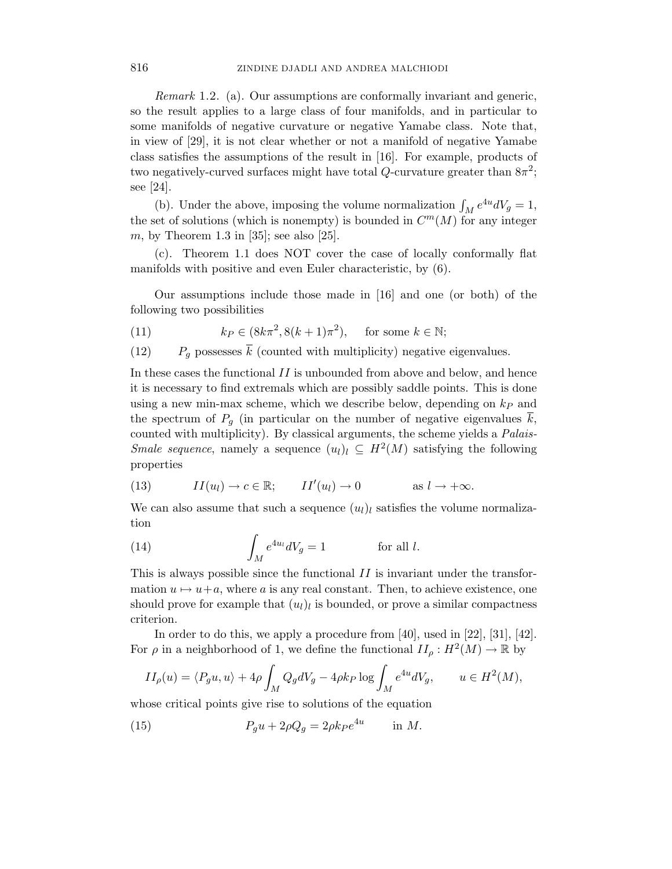Remark 1.2. (a). Our assumptions are conformally invariant and generic, so the result applies to a large class of four manifolds, and in particular to some manifolds of negative curvature or negative Yamabe class. Note that, in view of [29], it is not clear whether or not a manifold of negative Yamabe class satisfies the assumptions of the result in [16]. For example, products of two negatively-curved surfaces might have total  $Q$ -curvature greater than  $8\pi^2$ ; see [24].

(b). Under the above, imposing the volume normalization  $\int_M e^{4u} dV_g = 1$ , the set of solutions (which is nonempty) is bounded in  $C<sup>m</sup>(M)$  for any integer m, by Theorem 1.3 in [35]; see also [25].

(c). Theorem 1.1 does NOT cover the case of locally conformally flat manifolds with positive and even Euler characteristic, by (6).

Our assumptions include those made in [16] and one (or both) of the following two possibilities

(11) 
$$
k_P \in (8k\pi^2, 8(k+1)\pi^2), \quad \text{for some } k \in \mathbb{N};
$$

(12)  $P_q$  possesses  $\bar{k}$  (counted with multiplicity) negative eigenvalues.

In these cases the functional  $II$  is unbounded from above and below, and hence it is necessary to find extremals which are possibly saddle points. This is done using a new min-max scheme, which we describe below, depending on  $k_P$  and the spectrum of  $P_g$  (in particular on the number of negative eigenvalues k, counted with multiplicity). By classical arguments, the scheme yields a Palais-*Smale sequence*, namely a sequence  $(u_l)_l \subseteq H^2(M)$  satisfying the following properties

(13) 
$$
II(u_l) \to c \in \mathbb{R}; \qquad II'(u_l) \to 0 \qquad \text{as } l \to +\infty.
$$

We can also assume that such a sequence  $(u_l)_l$  satisfies the volume normalization

(14) 
$$
\int_M e^{4u_l} dV_g = 1 \quad \text{for all } l.
$$

This is always possible since the functional  $II$  is invariant under the transformation  $u \mapsto u+a$ , where a is any real constant. Then, to achieve existence, one should prove for example that  $(u_l)_l$  is bounded, or prove a similar compactness criterion.

In order to do this, we apply a procedure from [40], used in [22], [31], [42]. For  $\rho$  in a neighborhood of 1, we define the functional  $II_{\rho}: H^2(M) \to \mathbb{R}$  by

$$
II_{\rho}(u) = \langle P_g u, u \rangle + 4\rho \int_M Q_g dV_g - 4\rho k_P \log \int_M e^{4u} dV_g, \qquad u \in H^2(M),
$$

whose critical points give rise to solutions of the equation

(15) 
$$
P_g u + 2\rho Q_g = 2\rho k_P e^{4u} \quad \text{in } M.
$$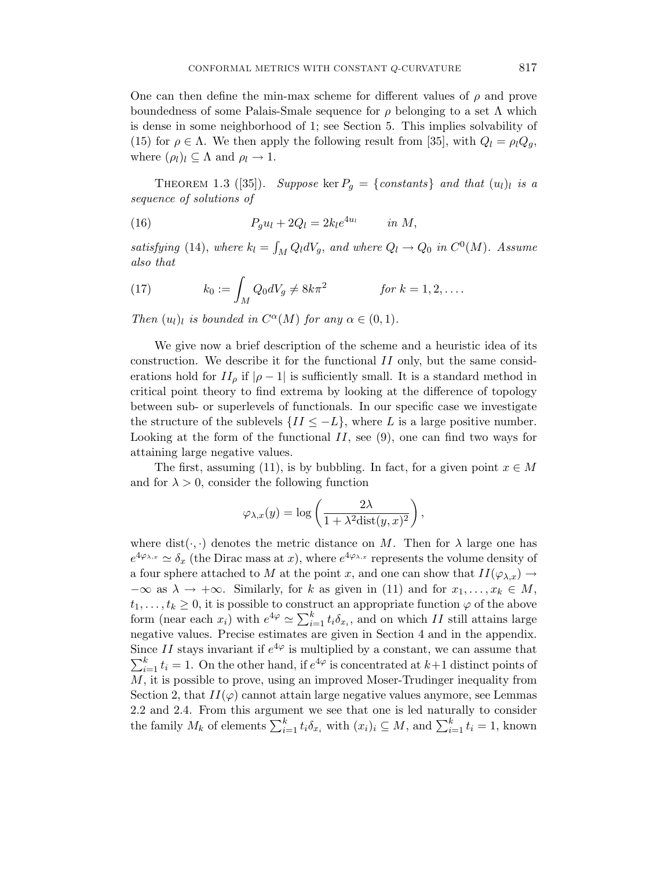One can then define the min-max scheme for different values of  $\rho$  and prove boundedness of some Palais-Smale sequence for  $\rho$  belonging to a set  $\Lambda$  which is dense in some neighborhood of 1; see Section 5. This implies solvability of (15) for  $\rho \in \Lambda$ . We then apply the following result from [35], with  $Q_l = \rho_l Q_g$ , where  $(\rho_l)_l \subseteq \Lambda$  and  $\rho_l \to 1$ .

THEOREM 1.3 ([35]). Suppose ker  $P_g = \{constants\}$  and that  $(u_l)_l$  is a sequence of solutions of

(16) 
$$
P_g u_l + 2Q_l = 2k_l e^{4u_l} \qquad in M,
$$

satisfying (14), where  $k_l = \int_M Q_l dV_g$ , and where  $Q_l \to Q_0$  in  $C^0(M)$ . Assume also that

(17) 
$$
k_0 := \int_M Q_0 dV_g \neq 8k\pi^2 \qquad \text{for } k = 1, 2, \dots.
$$

Then  $(u_l)_l$  is bounded in  $C^{\alpha}(M)$  for any  $\alpha \in (0,1)$ .

We give now a brief description of the scheme and a heuristic idea of its construction. We describe it for the functional II only, but the same considerations hold for  $II_\rho$  if  $|\rho - 1|$  is sufficiently small. It is a standard method in critical point theory to find extrema by looking at the difference of topology between sub- or superlevels of functionals. In our specific case we investigate the structure of the sublevels  $\{II \leq -L\}$ , where L is a large positive number. Looking at the form of the functional  $II$ , see (9), one can find two ways for attaining large negative values.

The first, assuming (11), is by bubbling. In fact, for a given point  $x \in M$ and for  $\lambda > 0$ , consider the following function

$$
\varphi_{\lambda,x}(y)=\log\left(\frac{2\lambda}{1+\lambda^2{\rm dist}(y,x)^2}\right),
$$

where dist( $\cdot$ ,  $\cdot$ ) denotes the metric distance on M. Then for  $\lambda$  large one has  $e^{4\varphi_{\lambda,x}} \simeq \delta_x$  (the Dirac mass at x), where  $e^{4\varphi_{\lambda,x}}$  represents the volume density of a four sphere attached to M at the point x, and one can show that  $II(\varphi_{\lambda,x}) \to$  $-\infty$  as  $\lambda \to +\infty$ . Similarly, for k as given in (11) and for  $x_1, \ldots, x_k \in M$ ,  $t_1, \ldots, t_k \geq 0$ , it is possible to construct an appropriate function  $\varphi$  of the above form (near each  $x_i$ ) with  $e^{4\varphi} \simeq \sum_{i=1}^k t_i \delta_{x_i}$ , and on which II still attains large negative values. Precise estimates are given in Section 4 and in the appendix. Since II stays invariant if  $e^{4\varphi}$  is multiplied by a constant, we can assume that  $\sum_{i=1}^{k} t_i = 1$ . On the other hand, if  $e^{4\varphi}$  is concentrated at  $k+1$  distinct points of  $M$ , it is possible to prove, using an improved Moser-Trudinger inequality from Section 2, that  $II(\varphi)$  cannot attain large negative values anymore, see Lemmas 2.2 and 2.4. From this argument we see that one is led naturally to consider the family  $M_k$  of elements  $\sum_{i=1}^k t_i \delta_{x_i}$  with  $(x_i)_i \subseteq M$ , and  $\sum_{i=1}^k t_i = 1$ , known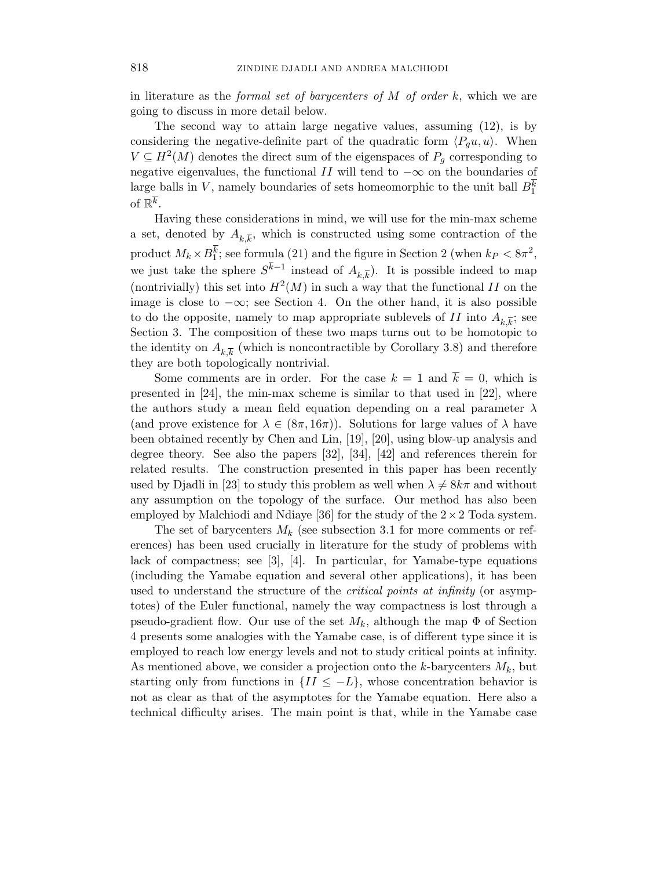in literature as the formal set of barycenters of  $M$  of order  $k$ , which we are going to discuss in more detail below.

The second way to attain large negative values, assuming (12), is by considering the negative-definite part of the quadratic form  $\langle P_q u, u \rangle$ . When  $V \subseteq H^2(M)$  denotes the direct sum of the eigenspaces of  $P_g$  corresponding to negative eigenvalues, the functional  $II$  will tend to  $-\infty$  on the boundaries of large balls in V, namely boundaries of sets homeomorphic to the unit ball  $B_1^k$ of  $\mathbb{R}^{\overline{k}}$ .

Having these considerations in mind, we will use for the min-max scheme a set, denoted by  $A_{k,\overline{k}}$ , which is constructed using some contraction of the product  $M_k \times B_1^k$ ; see formula (21) and the figure in Section 2 (when  $k_P < 8\pi^2$ , we just take the sphere  $S^{k-1}$  instead of  $A_{k,\overline{k}}$ ). It is possible indeed to map (nontrivially) this set into  $H^2(M)$  in such a way that the functional II on the image is close to −∞; see Section 4. On the other hand, it is also possible to do the opposite, namely to map appropriate sublevels of  $II$  into  $A_{k,\overline{k}}$ ; see Section 3. The composition of these two maps turns out to be homotopic to the identity on  $A_{k,\overline{k}}$  (which is noncontractible by Corollary 3.8) and therefore they are both topologically nontrivial.

Some comments are in order. For the case  $k = 1$  and  $\overline{k} = 0$ , which is presented in [24], the min-max scheme is similar to that used in [22], where the authors study a mean field equation depending on a real parameter  $\lambda$ (and prove existence for  $\lambda \in (8\pi, 16\pi)$ ). Solutions for large values of  $\lambda$  have been obtained recently by Chen and Lin, [19], [20], using blow-up analysis and degree theory. See also the papers [32], [34], [42] and references therein for related results. The construction presented in this paper has been recently used by Djadli in [23] to study this problem as well when  $\lambda \neq 8k\pi$  and without any assumption on the topology of the surface. Our method has also been employed by Malchiodi and Ndiaye [36] for the study of the  $2 \times 2$  Toda system.

The set of barycenters  $M_k$  (see subsection 3.1 for more comments or references) has been used crucially in literature for the study of problems with lack of compactness; see [3], [4]. In particular, for Yamabe-type equations (including the Yamabe equation and several other applications), it has been used to understand the structure of the critical points at infinity (or asymptotes) of the Euler functional, namely the way compactness is lost through a pseudo-gradient flow. Our use of the set  $M_k$ , although the map  $\Phi$  of Section 4 presents some analogies with the Yamabe case, is of different type since it is employed to reach low energy levels and not to study critical points at infinity. As mentioned above, we consider a projection onto the k-barycenters  $M_k$ , but starting only from functions in  $\{II \leq -L\}$ , whose concentration behavior is not as clear as that of the asymptotes for the Yamabe equation. Here also a technical difficulty arises. The main point is that, while in the Yamabe case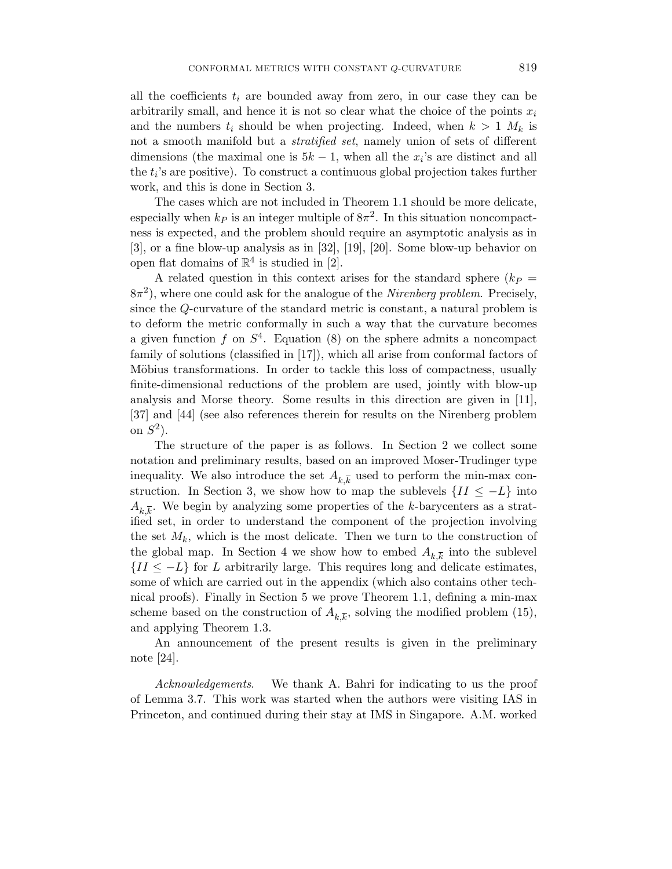all the coefficients  $t_i$  are bounded away from zero, in our case they can be arbitrarily small, and hence it is not so clear what the choice of the points  $x_i$ and the numbers  $t_i$  should be when projecting. Indeed, when  $k > 1$   $M_k$  is not a smooth manifold but a *stratified set*, namely union of sets of different dimensions (the maximal one is  $5k - 1$ , when all the  $x_i$ 's are distinct and all the  $t_i$ 's are positive). To construct a continuous global projection takes further work, and this is done in Section 3.

The cases which are not included in Theorem 1.1 should be more delicate, especially when  $k_P$  is an integer multiple of  $8\pi^2$ . In this situation noncompactness is expected, and the problem should require an asymptotic analysis as in [3], or a fine blow-up analysis as in [32], [19], [20]. Some blow-up behavior on open flat domains of  $\mathbb{R}^4$  is studied in [2].

A related question in this context arises for the standard sphere  $(k_P =$  $8\pi^2$ ), where one could ask for the analogue of the *Nirenberg problem*. Precisely, since the Q-curvature of the standard metric is constant, a natural problem is to deform the metric conformally in such a way that the curvature becomes a given function f on  $S<sup>4</sup>$ . Equation (8) on the sphere admits a noncompact family of solutions (classified in [17]), which all arise from conformal factors of Möbius transformations. In order to tackle this loss of compactness, usually finite-dimensional reductions of the problem are used, jointly with blow-up analysis and Morse theory. Some results in this direction are given in [11], [37] and [44] (see also references therein for results on the Nirenberg problem on  $S^2$ ).

The structure of the paper is as follows. In Section 2 we collect some notation and preliminary results, based on an improved Moser-Trudinger type inequality. We also introduce the set  $A_{k,\overline{k}}$  used to perform the min-max construction. In Section 3, we show how to map the sublevels  $\{II \leq -L\}$  into  $A_{k,\overline{k}}$ . We begin by analyzing some properties of the k-barycenters as a stratified set, in order to understand the component of the projection involving the set  $M_k$ , which is the most delicate. Then we turn to the construction of the global map. In Section 4 we show how to embed  $A_{k,\overline{k}}$  into the sublevel  ${II \leq -L}$  for L arbitrarily large. This requires long and delicate estimates, some of which are carried out in the appendix (which also contains other technical proofs). Finally in Section 5 we prove Theorem 1.1, defining a min-max scheme based on the construction of  $A_{k,\overline{k}}$ , solving the modified problem (15), and applying Theorem 1.3.

An announcement of the present results is given in the preliminary note [24].

Acknowledgements. We thank A. Bahri for indicating to us the proof of Lemma 3.7. This work was started when the authors were visiting IAS in Princeton, and continued during their stay at IMS in Singapore. A.M. worked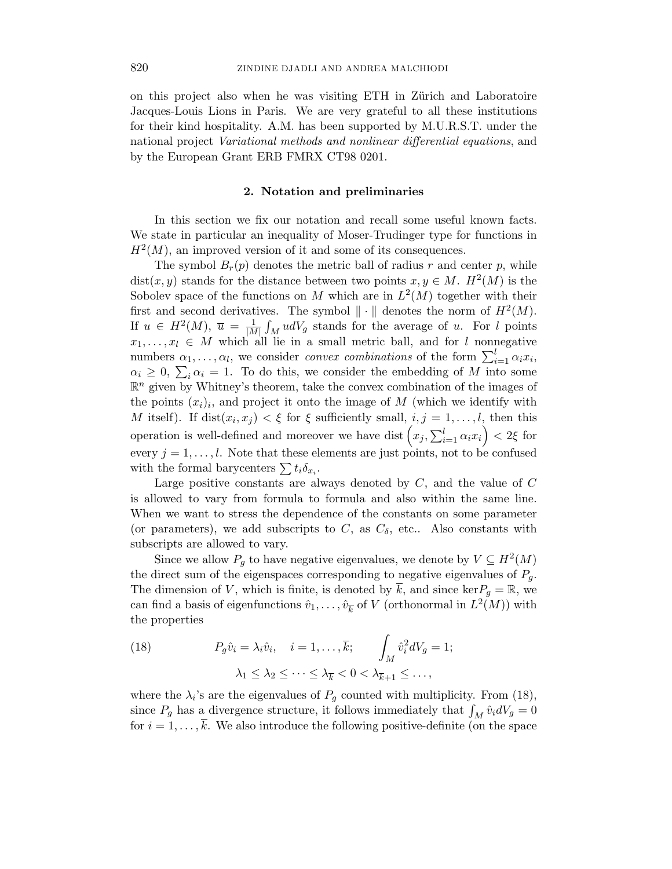on this project also when he was visiting ETH in Zürich and Laboratoire Jacques-Louis Lions in Paris. We are very grateful to all these institutions for their kind hospitality. A.M. has been supported by M.U.R.S.T. under the national project Variational methods and nonlinear differential equations, and by the European Grant ERB FMRX CT98 0201.

#### 2. Notation and preliminaries

In this section we fix our notation and recall some useful known facts. We state in particular an inequality of Moser-Trudinger type for functions in  $H<sup>2</sup>(M)$ , an improved version of it and some of its consequences.

The symbol  $B_r(p)$  denotes the metric ball of radius r and center p, while  $dist(x, y)$  stands for the distance between two points  $x, y \in M$ .  $H^2(M)$  is the Sobolev space of the functions on M which are in  $L^2(M)$  together with their first and second derivatives. The symbol  $\|\cdot\|$  denotes the norm of  $H^2(M)$ . If  $u \in H^2(M)$ ,  $\overline{u} = \frac{1}{|M|} \int_M u dV_g$  stands for the average of u. For l points  $x_1, \ldots, x_l \in M$  which all lie in a small metric ball, and for l nonnegative numbers  $\alpha_1, \ldots, \alpha_l$ , we consider *convex combinations* of the form  $\sum_{i=1}^l \alpha_i x_i$ ,  $\alpha_i \geq 0$ ,  $\sum_i \alpha_i = 1$ . To do this, we consider the embedding of M into some  $\mathbb{R}^n$  given by Whitney's theorem, take the convex combination of the images of the points  $(x_i)_i$ , and project it onto the image of M (which we identify with M itself). If  $dist(x_i, x_j) < \xi$  for  $\xi$  sufficiently small,  $i, j = 1, \ldots, l$ , then this operation is well-defined and moreover we have dist  $(x_j, \sum_{i=1}^l \alpha_i x_i) < 2\xi$  for every  $j = 1, \ldots, l$ . Note that these elements are just points, not to be confused with the formal barycenters  $\sum t_i \delta_{x_i}$ .

Large positive constants are always denoted by  $C$ , and the value of  $C$ is allowed to vary from formula to formula and also within the same line. When we want to stress the dependence of the constants on some parameter (or parameters), we add subscripts to C, as  $C_{\delta}$ , etc.. Also constants with subscripts are allowed to vary.

Since we allow  $P_g$  to have negative eigenvalues, we denote by  $V \subseteq H^2(M)$ the direct sum of the eigenspaces corresponding to negative eigenvalues of  $P<sub>q</sub>$ . The dimension of V, which is finite, is denoted by  $\overline{k}$ , and since ker $P_g = \mathbb{R}$ , we can find a basis of eigenfunctions  $\hat{v}_1, \dots, \hat{v}_{\overline{k}}$  of V (orthonormal in  $L^2(M)$ ) with the properties

(18) 
$$
P_g \hat{v}_i = \lambda_i \hat{v}_i, \quad i = 1, \dots, \overline{k}; \qquad \int_M \hat{v}_i^2 dV_g = 1; \\ \lambda_1 \leq \lambda_2 \leq \dots \leq \lambda_{\overline{k}} < 0 < \lambda_{\overline{k}+1} \leq \dots,
$$

where the  $\lambda_i$ 's are the eigenvalues of  $P_g$  counted with multiplicity. From (18), since  $P_g$  has a divergence structure, it follows immediately that  $\int_M \hat{v}_i dV_g = 0$ for  $i = 1, \ldots, \overline{k}$ . We also introduce the following positive-definite (on the space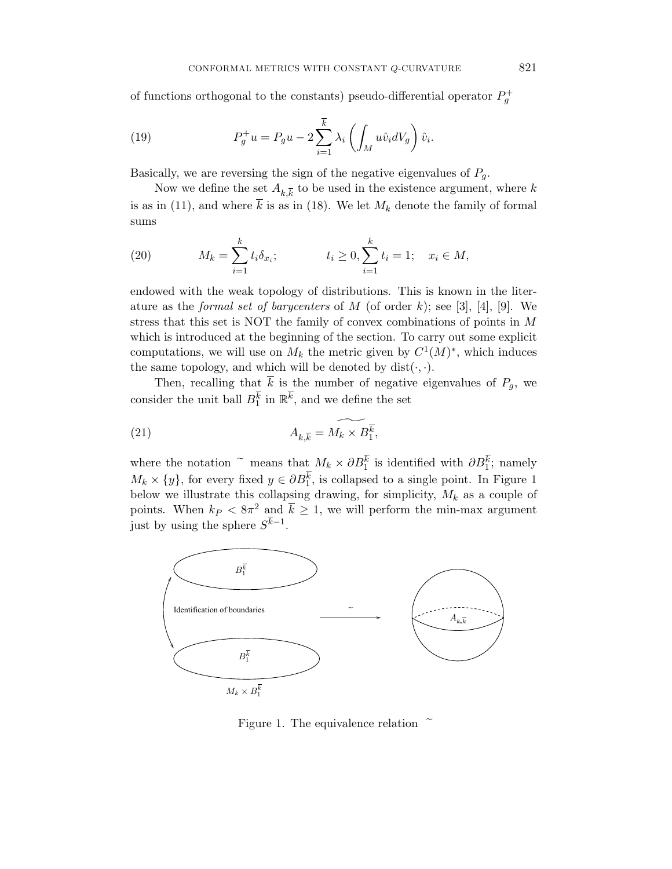of functions orthogonal to the constants) pseudo-differential operator  $P_g^+$ 

(19) 
$$
P_g^+ u = P_g u - 2 \sum_{i=1}^{\overline{k}} \lambda_i \left( \int_M u \hat{v}_i dV_g \right) \hat{v}_i.
$$

Basically, we are reversing the sign of the negative eigenvalues of  $P_g$ .

Now we define the set  $A_{k,\overline{k}}$  to be used in the existence argument, where k is as in (11), and where  $\overline{k}$  is as in (18). We let  $M_k$  denote the family of formal sums

(20) 
$$
M_k = \sum_{i=1}^k t_i \delta_{x_i}; \qquad t_i \ge 0, \sum_{i=1}^k t_i = 1; \quad x_i \in M,
$$

endowed with the weak topology of distributions. This is known in the literature as the *formal set of barycenters* of  $M$  (of order k); see [3], [4], [9]. We stress that this set is NOT the family of convex combinations of points in M which is introduced at the beginning of the section. To carry out some explicit computations, we will use on  $M_k$  the metric given by  $C^1(M)^*$ , which induces the same topology, and which will be denoted by  $dist(\cdot, \cdot)$ .

Then, recalling that  $\overline{k}$  is the number of negative eigenvalues of  $P_q$ , we consider the unit ball  $B_1^{\overline{k}}$  in  $\mathbb{R}^{\overline{k}}$ , and we define the set

(21) 
$$
A_{k,\overline{k}} = \widetilde{M_k \times B_1^k},
$$

where the notation  $\tilde{e}$  means that  $M_k \times \partial B_1^k$  is identified with  $\partial B_1^k$ ; namely  $M_k \times \{y\}$ , for every fixed  $y \in \partial B_1^k$ , is collapsed to a single point. In Figure 1 below we illustrate this collapsing drawing, for simplicity,  $M_k$  as a couple of points. When  $k_P < 8\pi^2$  and  $\bar{k} \geq 1$ , we will perform the min-max argument just by using the sphere  $S^{k-1}$ .



Figure 1. The equivalence relation  $\tilde{ }$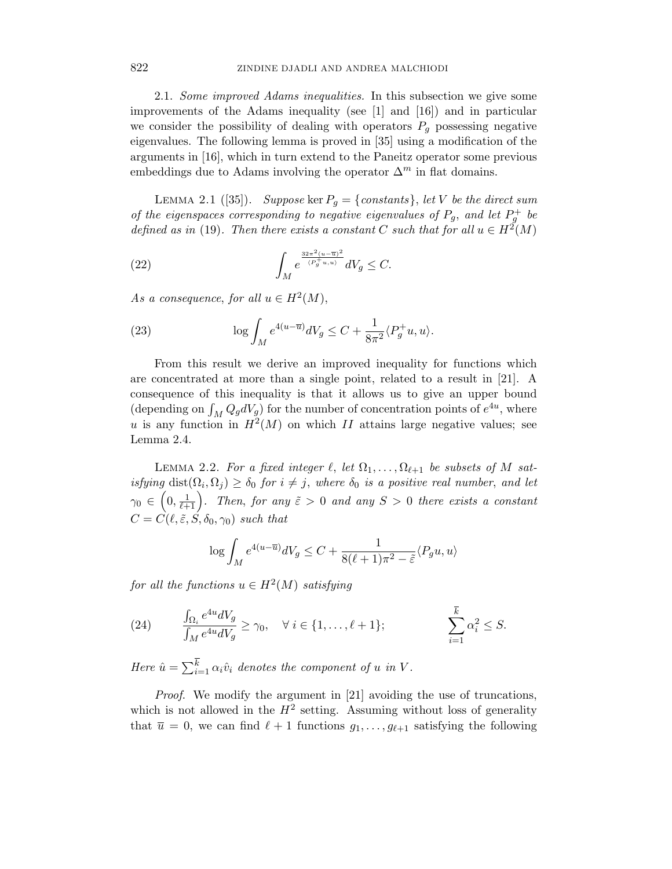2.1. Some improved Adams inequalities. In this subsection we give some improvements of the Adams inequality (see  $[1]$  and  $[16]$ ) and in particular we consider the possibility of dealing with operators  $P_q$  possessing negative eigenvalues. The following lemma is proved in [35] using a modification of the arguments in [16], which in turn extend to the Paneitz operator some previous embeddings due to Adams involving the operator  $\Delta^m$  in flat domains.

LEMMA 2.1 ([35]). Suppose ker  $P_q = \{constants\}$ , let V be the direct sum of the eigenspaces corresponding to negative eigenvalues of  $P_g$ , and let  $P_g^+$  be defined as in (19). Then there exists a constant C such that for all  $u \in H^2(M)$ 

(22) 
$$
\int_M e^{\frac{32\pi^2 (u-\overline{u})^2}{\langle P_g^+ u, u \rangle}} dV_g \leq C.
$$

As a consequence, for all  $u \in H^2(M)$ ,

(23) 
$$
\log \int_M e^{4(u-\overline{u})} dV_g \leq C + \frac{1}{8\pi^2} \langle P_g^+ u, u \rangle.
$$

From this result we derive an improved inequality for functions which are concentrated at more than a single point, related to a result in [21]. A consequence of this inequality is that it allows us to give an upper bound (depending on  $\int_M Q_g dV_g$ ) for the number of concentration points of  $e^{4u}$ , where u is any function in  $H^2(M)$  on which II attains large negative values; see Lemma 2.4.

LEMMA 2.2. For a fixed integer  $\ell$ , let  $\Omega_1, \ldots, \Omega_{\ell+1}$  be subsets of M satisfying  $dist(\Omega_i, \Omega_j) \ge \delta_0$  for  $i \ne j$ , where  $\delta_0$  is a positive real number, and let  $\gamma_0 \in \left(0, \frac{1}{\ell+1}\right)$ . Then, for any  $\tilde{\varepsilon} > 0$  and any  $S > 0$  there exists a constant  $C = C(\ell, \tilde{\varepsilon}, S, \delta_0, \gamma_0)$  such that

$$
\log \int_M e^{4(u-\overline{u})} dV_g \le C + \frac{1}{8(\ell+1)\pi^2 - \tilde{\varepsilon}} \langle P_g u, u \rangle
$$

for all the functions  $u \in H^2(M)$  satisfying

(24) 
$$
\frac{\int_{\Omega_i} e^{4u} dV_g}{\int_M e^{4u} dV_g} \ge \gamma_0, \quad \forall \ i \in \{1, \dots, \ell + 1\}; \qquad \qquad \sum_{i=1}^{\overline{k}} \alpha_i^2 \le S.
$$

Here  $\hat{u} = \sum_{i=1}^{k} \alpha_i \hat{v}_i$  denotes the component of u in V.

Proof. We modify the argument in [21] avoiding the use of truncations, which is not allowed in the  $H^2$  setting. Assuming without loss of generality that  $\overline{u} = 0$ , we can find  $\ell + 1$  functions  $g_1, \ldots, g_{\ell+1}$  satisfying the following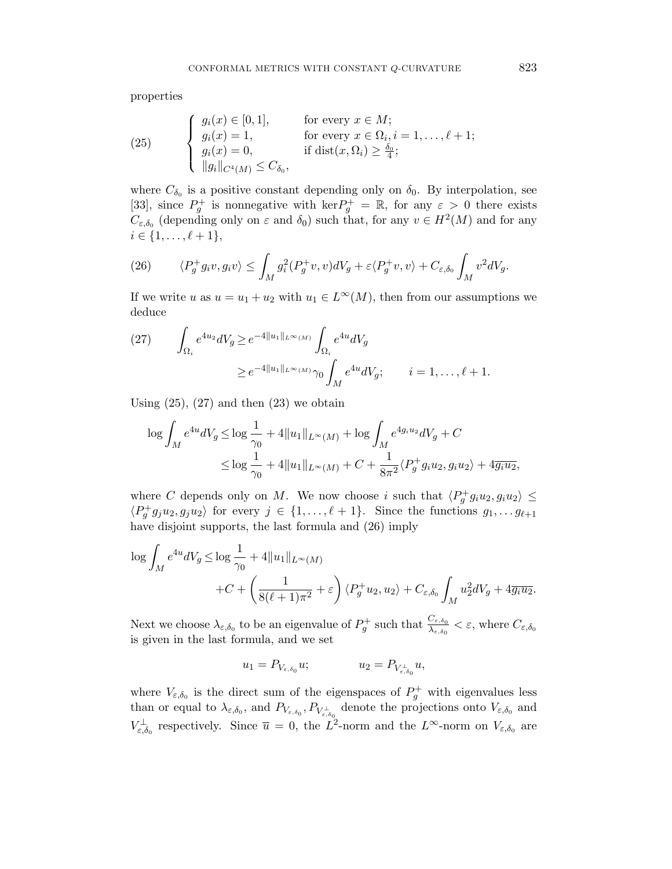properties

(25) 
$$
\begin{cases} g_i(x) \in [0,1], & \text{for every } x \in M; \\ g_i(x) = 1, & \text{for every } x \in \Omega_i, i = 1,\ldots,\ell+1; \\ g_i(x) = 0, & \text{if } \text{dist}(x,\Omega_i) \ge \frac{\delta_0}{4}; \\ \|g_i\|_{C^4(M)} \le C_{\delta_0}, \end{cases}
$$

where  $C_{\delta_0}$  is a positive constant depending only on  $\delta_0$ . By interpolation, see [33], since  $P_g^+$  is nonnegative with  $\ker P_g^+ = \mathbb{R}$ , for any  $\varepsilon > 0$  there exists  $C_{\varepsilon,\delta_0}$  (depending only on  $\varepsilon$  and  $\delta_0$ ) such that, for any  $v \in H^2(M)$  and for any  $i \in \{1, \ldots, \ell + 1\},\$ 

(26) 
$$
\langle P_g^+ g_i v, g_i v \rangle \leq \int_M g_i^2(P_g^+ v, v) dV_g + \varepsilon \langle P_g^+ v, v \rangle + C_{\varepsilon, \delta_0} \int_M v^2 dV_g.
$$

If we write u as  $u = u_1 + u_2$  with  $u_1 \in L^{\infty}(M)$ , then from our assumptions we deduce

(27) 
$$
\int_{\Omega_i} e^{4u_2} dV_g \ge e^{-4||u_1||_{L^{\infty}(M)}} \int_{\Omega_i} e^{4u} dV_g
$$

$$
\ge e^{-4||u_1||_{L^{\infty}(M)}} \gamma_0 \int_M e^{4u} dV_g; \qquad i = 1, ..., \ell + 1.
$$

Using  $(25)$ ,  $(27)$  and then  $(23)$  we obtain

$$
\log \int_M e^{4u} dV_g \le \log \frac{1}{\gamma_0} + 4||u_1||_{L^{\infty}(M)} + \log \int_M e^{4g_i u_2} dV_g + C
$$
  

$$
\le \log \frac{1}{\gamma_0} + 4||u_1||_{L^{\infty}(M)} + C + \frac{1}{8\pi^2} \langle P_g^+ g_i u_2, g_i u_2 \rangle + 4\overline{g_i u_2},
$$

where C depends only on M. We now choose i such that  $\langle P_g^+ g_i u_2, g_i u_2 \rangle \leq$  $\langle P_g^+ g_j u_2, g_j u_2 \rangle$  for every  $j \in \{1, \ldots, \ell + 1\}$ . Since the functions  $g_1, \ldots, g_{\ell+1}$ have disjoint supports, the last formula and (26) imply

$$
\log \int_M e^{4u} dV_g \le \log \frac{1}{\gamma_0} + 4||u_1||_{L^{\infty}(M)}
$$
  
 
$$
+C + \left(\frac{1}{8(\ell+1)\pi^2} + \varepsilon\right) \langle P_g^+ u_2, u_2 \rangle + C_{\varepsilon, \delta_0} \int_M u_2^2 dV_g + 4\overline{g_i u_2}.
$$

Next we choose  $\lambda_{\varepsilon,\delta_0}$  to be an eigenvalue of  $P_g^+$  such that  $\frac{C_{\varepsilon,\delta_0}}{\lambda_{\varepsilon,\delta_0}} < \varepsilon$ , where  $C_{\varepsilon,\delta_0}$ is given in the last formula, and we set

$$
u_1=P_{V_{\varepsilon,\delta_0}}u;\hspace{1cm}u_2=P_{V_{\varepsilon,\delta_0}^\perp}u,
$$

where  $V_{\varepsilon,\delta_0}$  is the direct sum of the eigenspaces of  $P_g^+$  with eigenvalues less than or equal to  $\lambda_{\varepsilon,\delta_0}$ , and  $P_{V_{\varepsilon,\delta_0}}, P_{V_{\varepsilon,\delta_0}^{\perp}}$  denote the projections onto  $V_{\varepsilon,\delta_0}$  and  $V_{\varepsilon,\delta_0}^{\perp}$  respectively. Since  $\overline{u} = 0$ , the  $L^2$ -norm and the  $L^{\infty}$ -norm on  $V_{\varepsilon,\delta_0}$  are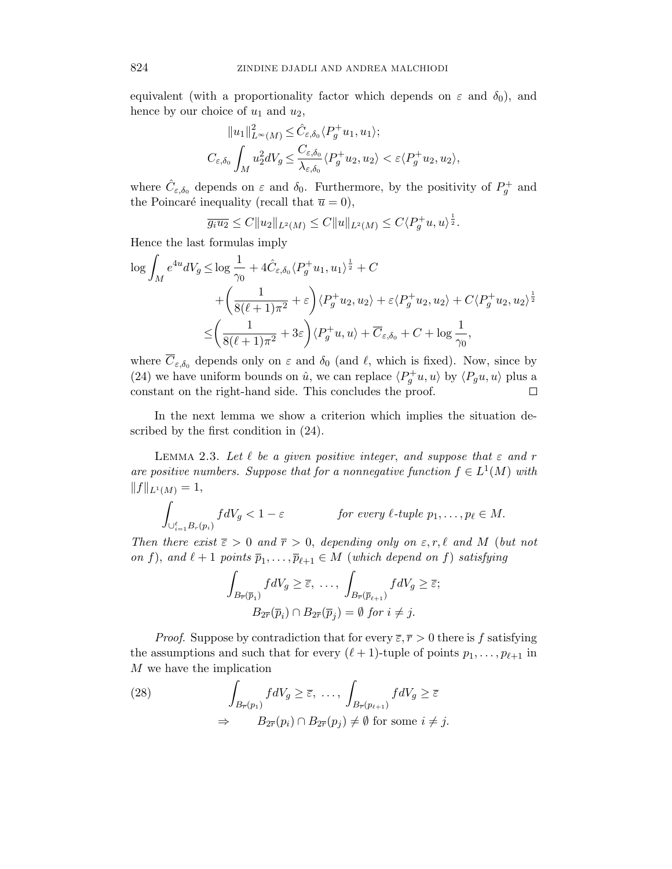equivalent (with a proportionality factor which depends on  $\varepsilon$  and  $\delta_0$ ), and hence by our choice of  $u_1$  and  $u_2$ ,

$$
||u_1||_{L^{\infty}(M)}^2 \leq \hat{C}_{\varepsilon,\delta_0} \langle P_g^+ u_1, u_1 \rangle;
$$
  

$$
C_{\varepsilon,\delta_0} \int_M u_2^2 dV_g \leq \frac{C_{\varepsilon,\delta_0}}{\lambda_{\varepsilon,\delta_0}} \langle P_g^+ u_2, u_2 \rangle < \varepsilon \langle P_g^+ u_2, u_2 \rangle,
$$

where  $\hat{C}_{\varepsilon,\delta_0}$  depends on  $\varepsilon$  and  $\delta_0$ . Furthermore, by the positivity of  $P_g^+$  and the Poincaré inequality (recall that  $\overline{u} = 0$ ),

$$
\overline{g_i u_2} \le C \|u_2\|_{L^2(M)} \le C \|u\|_{L^2(M)} \le C \langle P_g^+ u, u \rangle^{\frac{1}{2}}.
$$

Hence the last formulas imply

$$
\log \int_M e^{4u} dV_g \le \log \frac{1}{\gamma_0} + 4 \hat{C}_{\varepsilon, \delta_0} \langle P_g^+ u_1, u_1 \rangle^{\frac{1}{2}} + C + \left( \frac{1}{8(\ell+1)\pi^2} + \varepsilon \right) \langle P_g^+ u_2, u_2 \rangle + \varepsilon \langle P_g^+ u_2, u_2 \rangle + C \langle P_g^+ u_2, u_2 \rangle^{\frac{1}{2}} \le \left( \frac{1}{8(\ell+1)\pi^2} + 3\varepsilon \right) \langle P_g^+ u, u \rangle + \overline{C}_{\varepsilon, \delta_0} + C + \log \frac{1}{\gamma_0},
$$

where  $\overline{C}_{\varepsilon,\delta_0}$  depends only on  $\varepsilon$  and  $\delta_0$  (and  $\ell$ , which is fixed). Now, since by (24) we have uniform bounds on  $\hat{u}$ , we can replace  $\langle P_g^+u, u \rangle$  by  $\langle P_gu, u \rangle$  plus a constant on the right-hand side. This concludes the proof.

In the next lemma we show a criterion which implies the situation described by the first condition in (24).

LEMMA 2.3. Let  $\ell$  be a given positive integer, and suppose that  $\varepsilon$  and r are positive numbers. Suppose that for a nonnegative function  $f \in L^1(M)$  with  $||f||_{L^1(M)} = 1,$ 

$$
\int_{\bigcup_{i=1}^{\ell} B_r(p_i)} f dV_g < 1 - \varepsilon \qquad \text{for every } \ell \text{-tuple } p_1, \dots, p_\ell \in M.
$$

Then there exist  $\bar{\varepsilon} > 0$  and  $\bar{r} > 0$ , depending only on  $\varepsilon, r, \ell$  and M (but not on f), and  $\ell + 1$  points  $\overline{p}_1, \ldots, \overline{p}_{\ell+1} \in M$  (which depend on f) satisfying

$$
\int_{B_{\overline{r}}(\overline{p}_1)} f dV_g \geq \overline{\varepsilon}, \dots, \int_{B_{\overline{r}}(\overline{p}_{\ell+1})} f dV_g \geq \overline{\varepsilon};
$$
  

$$
B_{2\overline{r}}(\overline{p}_i) \cap B_{2\overline{r}}(\overline{p}_j) = \emptyset \text{ for } i \neq j.
$$

*Proof.* Suppose by contradiction that for every  $\bar{\varepsilon}, \bar{r} > 0$  there is f satisfying the assumptions and such that for every  $(\ell + 1)$ -tuple of points  $p_1, \ldots, p_{\ell+1}$  in M we have the implication

(28) 
$$
\int_{B_{\overline{r}}(p_1)} f dV_g \geq \overline{\varepsilon}, \dots, \int_{B_{\overline{r}}(p_{\ell+1})} f dV_g \geq \overline{\varepsilon} \implies B_{2\overline{r}}(p_i) \cap B_{2\overline{r}}(p_j) \neq \emptyset \text{ for some } i \neq j.
$$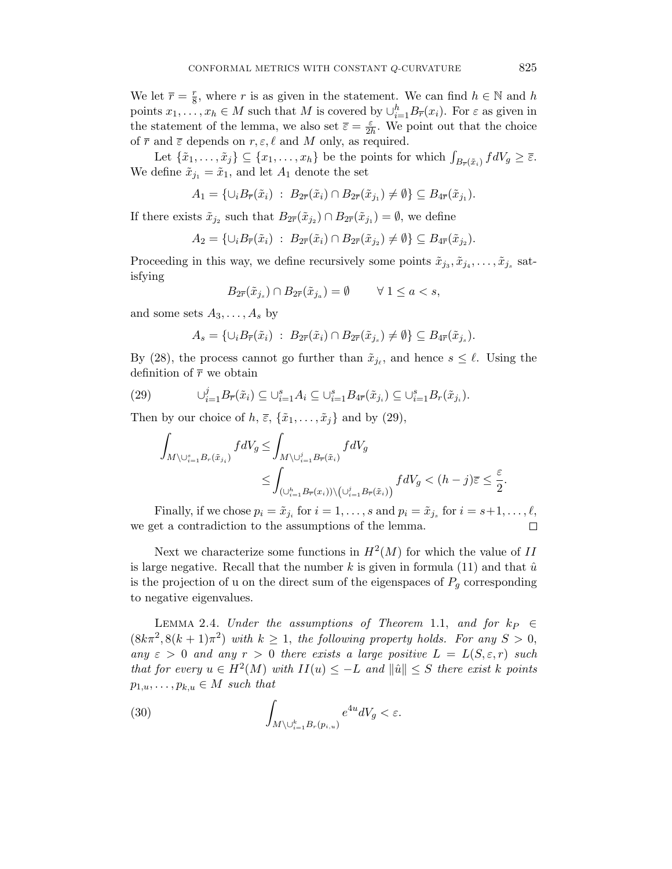We let  $\bar{r} = \frac{r}{8}$  $\frac{r}{8}$ , where r is as given in the statement. We can find  $h \in \mathbb{N}$  and h points  $x_1, \ldots, x_h \in M$  such that M is covered by  $\cup_{i=1}^h B_{\overline{r}}(x_i)$ . For  $\varepsilon$  as given in the statement of the lemma, we also set  $\overline{\varepsilon} = \frac{\varepsilon}{2l}$  $\frac{\varepsilon}{2h}$ . We point out that the choice of  $\bar{r}$  and  $\bar{\varepsilon}$  depends on  $r, \varepsilon, \ell$  and M only, as required.

Let  $\{\tilde{x}_1,\ldots,\tilde{x}_j\} \subseteq \{x_1,\ldots,x_h\}$  be the points for which  $\int_{B_{\overline{r}}(\tilde{x}_i)} f dV_g \geq \overline{\varepsilon}$ . We define  $\tilde{x}_{j_1} = \tilde{x}_1$ , and let  $A_1$  denote the set

$$
A_1 = \{ \cup_i B_{\overline{r}}(\tilde{x}_i) \; : \; B_{2\overline{r}}(\tilde{x}_i) \cap B_{2\overline{r}}(\tilde{x}_{j_1}) \neq \emptyset \} \subseteq B_{4\overline{r}}(\tilde{x}_{j_1}).
$$

If there exists  $\tilde{x}_{j_2}$  such that  $B_{2\overline{r}}(\tilde{x}_{j_2}) \cap B_{2\overline{r}}(\tilde{x}_{j_1}) = \emptyset$ , we define

$$
A_2 = \{ \cup_i B_{\overline{r}}(\tilde{x}_i) \; : \; B_{2\overline{r}}(\tilde{x}_i) \cap B_{2\overline{r}}(\tilde{x}_{j_2}) \neq \emptyset \} \subseteq B_{4\overline{r}}(\tilde{x}_{j_2}).
$$

Proceeding in this way, we define recursively some points  $\tilde{x}_{j_3}, \tilde{x}_{j_4}, \ldots, \tilde{x}_{j_s}$  satisfying

$$
B_{2\overline{r}}(\tilde{x}_{j_s}) \cap B_{2\overline{r}}(\tilde{x}_{j_a}) = \emptyset \qquad \forall 1 \le a < s,
$$

and some sets  $A_3, \ldots, A_s$  by

$$
A_s = \{ \cup_i B_{\overline{r}}(\tilde{x}_i) \; : \; B_{2\overline{r}}(\tilde{x}_i) \cap B_{2\overline{r}}(\tilde{x}_{j_s}) \neq \emptyset \} \subseteq B_{4\overline{r}}(\tilde{x}_{j_s}).
$$

By (28), the process cannot go further than  $\tilde{x}_{j_{\ell}}$ , and hence  $s \leq \ell$ . Using the definition of  $\bar{r}$  we obtain

(29) 
$$
\bigcup_{i=1}^j B_{\overline{r}}(\tilde{x}_i) \subseteq \bigcup_{i=1}^s A_i \subseteq \bigcup_{i=1}^s B_{4\overline{r}}(\tilde{x}_{j_i}) \subseteq \bigcup_{i=1}^s B_r(\tilde{x}_{j_i}).
$$

Then by our choice of  $h, \overline{\varepsilon}, \{\tilde{x}_1, \ldots, \tilde{x}_j\}$  and by (29),

$$
\begin{aligned} \int_{M\backslash\cup_{i=1}^sB_r(\tilde{x}_{j_i})}fdV_g\leq&\int_{M\backslash\cup_{i=1}^jB_{\overline{r}}(\tilde{x}_i)}fdV_g\\ &\leq\int_{(\cup_{i=1}^hB_{\overline{r}}(x_i))\backslash\big(\cup_{i=1}^jB_{\overline{r}}(\tilde{x}_i)\big)}fdV_g<(h-j)\overline{\varepsilon}\leq\frac{\varepsilon}{2}. \end{aligned}
$$

Finally, if we chose  $p_i = \tilde{x}_{j_i}$  for  $i = 1, \ldots, s$  and  $p_i = \tilde{x}_{j_s}$  for  $i = s+1, \ldots, \ell$ , we get a contradiction to the assumptions of the lemma.  $\Box$ 

Next we characterize some functions in  $H^2(M)$  for which the value of II is large negative. Recall that the number  $k$  is given in formula (11) and that  $\hat{u}$ is the projection of u on the direct sum of the eigenspaces of  $P<sub>g</sub>$  corresponding to negative eigenvalues.

LEMMA 2.4. Under the assumptions of Theorem 1.1, and for  $k_P \in$  $(8k\pi^2, 8(k+1)\pi^2)$  with  $k \geq 1$ , the following property holds. For any  $S > 0$ , any  $\varepsilon > 0$  and any  $r > 0$  there exists a large positive  $L = L(S, \varepsilon, r)$  such that for every  $u \in H^2(M)$  with  $II(u) \leq -L$  and  $\|\hat{u}\| \leq S$  there exist k points  $p_{1,u},\ldots,p_{k,u}\in M$  such that

(30) 
$$
\int_{M\setminus\cup_{i=1}^k B_r(p_{i,u})} e^{4u} dV_g < \varepsilon.
$$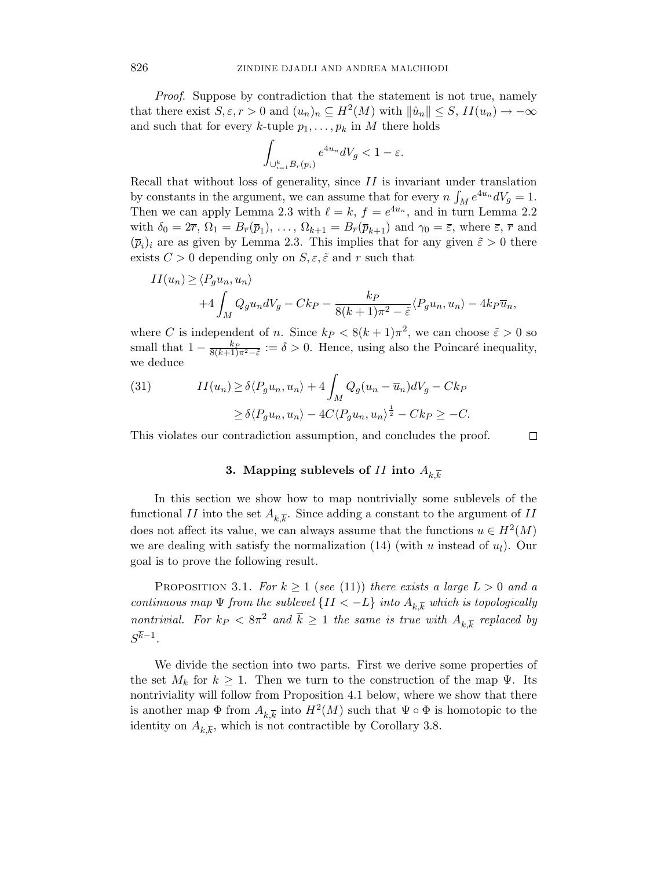Proof. Suppose by contradiction that the statement is not true, namely that there exist  $S, \varepsilon, r > 0$  and  $(u_n)_n \subseteq H^2(M)$  with  $\|\hat{u}_n\| \leq S$ ,  $II(u_n) \to -\infty$ and such that for every k-tuple  $p_1, \ldots, p_k$  in M there holds

$$
\int_{\cup_{i=1}^k B_r(p_i)} e^{4u_n} dV_g < 1-\varepsilon.
$$

Recall that without loss of generality, since  $II$  is invariant under translation by constants in the argument, we can assume that for every  $n \int_M e^{4u_n} dV_g = 1$ . Then we can apply Lemma 2.3 with  $\ell = k, f = e^{4u_n}$ , and in turn Lemma 2.2 with  $\delta_0 = 2\overline{r}$ ,  $\Omega_1 = B_{\overline{r}}(\overline{p}_1), \ldots, \Omega_{k+1} = B_{\overline{r}}(\overline{p}_{k+1})$  and  $\gamma_0 = \overline{\varepsilon}$ , where  $\overline{\varepsilon}$ ,  $\overline{r}$  and  $(\bar{p}_i)_i$  are as given by Lemma 2.3. This implies that for any given  $\tilde{\varepsilon} > 0$  there exists  $C > 0$  depending only on  $S, \varepsilon, \tilde{\varepsilon}$  and r such that

$$
II(u_n) \ge \langle P_g u_n, u_n \rangle
$$
  
+4  $\int_M Q_g u_n dV_g - Ck_P - \frac{k_P}{8(k+1)\pi^2 - \tilde{\varepsilon}} \langle P_g u_n, u_n \rangle - 4k_P \overline{u}_n,$ 

where C is independent of n. Since  $k_P < 8(k+1)\pi^2$ , we can choose  $\tilde{\varepsilon} > 0$  so small that  $1 - \frac{k_P}{8(k+1)\pi^2 - \tilde{\varepsilon}} := \delta > 0$ . Hence, using also the Poincaré inequality, we deduce

(31) 
$$
II(u_n) \ge \delta \langle P_g u_n, u_n \rangle + 4 \int_M Q_g (u_n - \overline{u}_n) dV_g - C k_P
$$

$$
\ge \delta \langle P_g u_n, u_n \rangle - 4C \langle P_g u_n, u_n \rangle^{\frac{1}{2}} - C k_P \ge -C.
$$

This violates our contradiction assumption, and concludes the proof.

### 3. Mapping sublevels of II into  $A_{k,\overline{k}}$

 $\Box$ 

In this section we show how to map nontrivially some sublevels of the functional  $II$  into the set  $A_{k,\overline{k}}$ . Since adding a constant to the argument of  $II$ does not affect its value, we can always assume that the functions  $u \in H^2(M)$ we are dealing with satisfy the normalization  $(14)$  (with u instead of  $u<sub>l</sub>$ ). Our goal is to prove the following result.

PROPOSITION 3.1. For  $k \ge 1$  (see (11)) there exists a large  $L > 0$  and a continuous map  $\Psi$  from the sublevel  $\{II < -L\}$  into  $A_{k,\overline{k}}$  which is topologically nontrivial. For  $k_P < 8\pi^2$  and  $\overline{k} \ge 1$  the same is true with  $A_{k,\overline{k}}$  replaced by  $S^{k-1}$ .

We divide the section into two parts. First we derive some properties of the set  $M_k$  for  $k \geq 1$ . Then we turn to the construction of the map  $\Psi$ . Its nontriviality will follow from Proposition 4.1 below, where we show that there is another map  $\Phi$  from  $A_{k,\overline{k}}$  into  $H^2(M)$  such that  $\Psi \circ \Phi$  is homotopic to the identity on  $A_{k,\overline{k}}$ , which is not contractible by Corollary 3.8.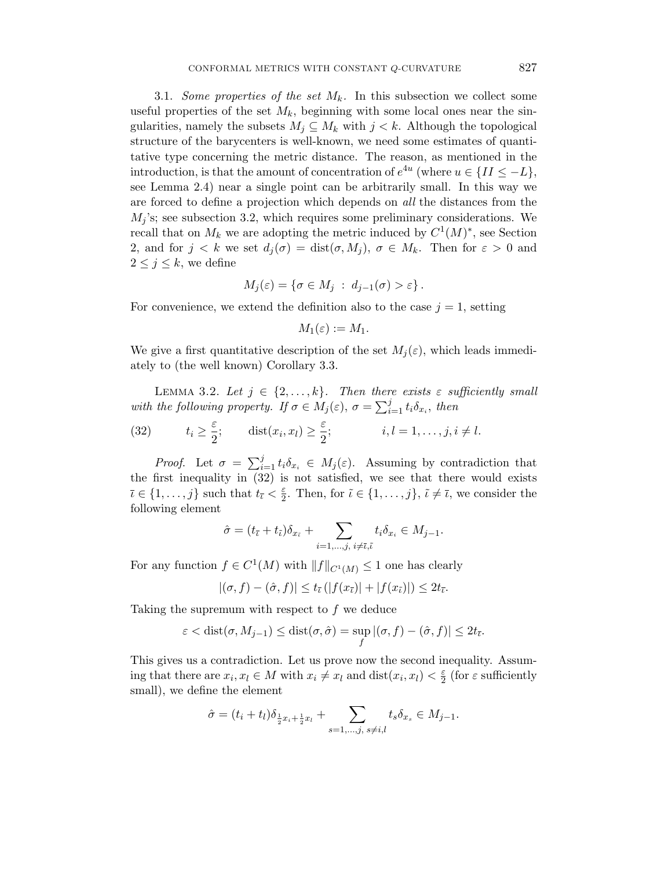3.1. Some properties of the set  $M_k$ . In this subsection we collect some useful properties of the set  $M_k$ , beginning with some local ones near the singularities, namely the subsets  $M_j \subseteq M_k$  with  $j < k$ . Although the topological structure of the barycenters is well-known, we need some estimates of quantitative type concerning the metric distance. The reason, as mentioned in the introduction, is that the amount of concentration of  $e^{4u}$  (where  $u \in \{II \leq -L\}$ , see Lemma 2.4) near a single point can be arbitrarily small. In this way we are forced to define a projection which depends on all the distances from the  $M_i$ 's; see subsection 3.2, which requires some preliminary considerations. We recall that on  $M_k$  we are adopting the metric induced by  $C^1(M)^*$ , see Section 2, and for  $j < k$  we set  $d_i(\sigma) = \text{dist}(\sigma, M_i)$ ,  $\sigma \in M_k$ . Then for  $\varepsilon > 0$  and  $2 \leq j \leq k$ , we define

$$
M_j(\varepsilon) = \{ \sigma \in M_j \; : \; d_{j-1}(\sigma) > \varepsilon \} \, .
$$

For convenience, we extend the definition also to the case  $j = 1$ , setting

$$
M_1(\varepsilon):=M_1.
$$

We give a first quantitative description of the set  $M_i(\varepsilon)$ , which leads immediately to (the well known) Corollary 3.3.

LEMMA 3.2. Let  $j \in \{2, ..., k\}$ . Then there exists  $\varepsilon$  sufficiently small with the following property. If  $\sigma \in M_j(\varepsilon)$ ,  $\sigma = \sum_{i=1}^j t_i \delta_{x_i}$ , then

(32) 
$$
t_i \geq \frac{\varepsilon}{2}
$$
;  $dist(x_i, x_l) \geq \frac{\varepsilon}{2}$ ;  $i, l = 1, ..., j, i \neq l$ .

*Proof.* Let  $\sigma = \sum_{i=1}^{j} t_i \delta_{x_i} \in M_j(\varepsilon)$ . Assuming by contradiction that the first inequality in (32) is not satisfied, we see that there would exists  $\bar{\iota} \in \{1, \ldots, j\}$  such that  $t_{\bar{\iota}} < \frac{\varepsilon}{2}$  $\frac{\varepsilon}{2}$ . Then, for  $\tilde{\iota} \in \{1, \ldots, j\}$ ,  $\tilde{\iota} \neq \bar{\iota}$ , we consider the following element

$$
\hat{\sigma} = (t_{\bar{\iota}} + t_{\tilde{\iota}}) \delta_{x_{\tilde{\iota}}} + \sum_{i=1,\dots,j,\ i \neq \tilde{\iota}, \tilde{\iota}} t_i \delta_{x_i} \in M_{j-1}.
$$

For any function  $f \in C^1(M)$  with  $||f||_{C^1(M)} \leq 1$  one has clearly

$$
|(\sigma, f) - (\hat{\sigma}, f)| \le t_{\bar{\iota}} (|f(x_{\bar{\iota}})| + |f(x_{\hat{\iota}})|) \le 2t_{\bar{\iota}}.
$$

Taking the supremum with respect to  $f$  we deduce

$$
\varepsilon < \text{dist}(\sigma, M_{j-1}) \leq \text{dist}(\sigma, \hat{\sigma}) = \sup_f |(\sigma, f) - (\hat{\sigma}, f)| \leq 2t_{\bar{\iota}}.
$$

This gives us a contradiction. Let us prove now the second inequality. Assuming that there are  $x_i, x_l \in M$  with  $x_i \neq x_l$  and  $dist(x_i, x_l) < \frac{\varepsilon}{2}$  $\frac{\varepsilon}{2}$  (for  $\varepsilon$  sufficiently small), we define the element

$$
\hat{\sigma} = (t_i + t_l)\delta_{\frac{1}{2}x_i + \frac{1}{2}x_l} + \sum_{s=1,\dots,j,\ s \neq i,l} t_s \delta_{x_s} \in M_{j-1}.
$$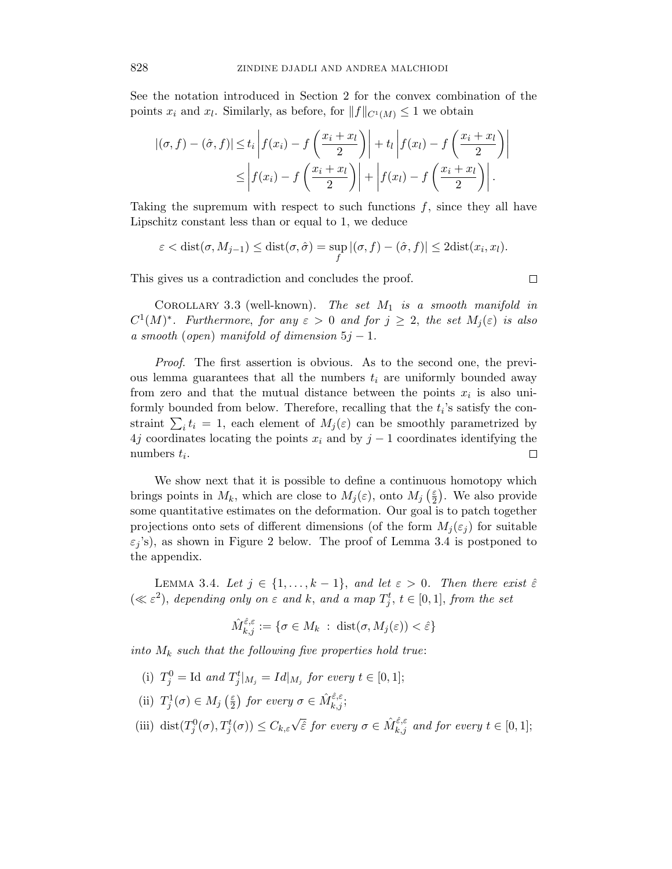See the notation introduced in Section 2 for the convex combination of the points  $x_i$  and  $x_l$ . Similarly, as before, for  $||f||_{C^1(M)} \leq 1$  we obtain

$$
|(\sigma, f) - (\hat{\sigma}, f)| \le t_i \left| f(x_i) - f\left(\frac{x_i + x_l}{2}\right) \right| + t_l \left| f(x_l) - f\left(\frac{x_i + x_l}{2}\right) \right|
$$
  

$$
\le \left| f(x_i) - f\left(\frac{x_i + x_l}{2}\right) \right| + \left| f(x_l) - f\left(\frac{x_i + x_l}{2}\right) \right|.
$$

Taking the supremum with respect to such functions  $f$ , since they all have Lipschitz constant less than or equal to 1, we deduce

$$
\varepsilon < \text{dist}(\sigma, M_{j-1}) \leq \text{dist}(\sigma, \hat{\sigma}) = \sup_f |(\sigma, f) - (\hat{\sigma}, f)| \leq 2\text{dist}(x_i, x_i).
$$

 $\Box$ 

This gives us a contradiction and concludes the proof.

COROLLARY 3.3 (well-known). The set  $M_1$  is a smooth manifold in  $C^1(M)^*$ . Furthermore, for any  $\varepsilon > 0$  and for  $j \geq 2$ , the set  $M_j(\varepsilon)$  is also a smooth (open) manifold of dimension  $5j-1$ .

Proof. The first assertion is obvious. As to the second one, the previous lemma guarantees that all the numbers  $t_i$  are uniformly bounded away from zero and that the mutual distance between the points  $x_i$  is also uniformly bounded from below. Therefore, recalling that the  $t_i$ 's satisfy the constraint  $\sum_i t_i = 1$ , each element of  $M_j(\varepsilon)$  can be smoothly parametrized by 4j coordinates locating the points  $x_i$  and by  $j-1$  coordinates identifying the numbers  $t_i$ .  $\Box$ 

We show next that it is possible to define a continuous homotopy which brings points in  $M_k$ , which are close to  $M_j(\varepsilon)$ , onto  $M_j(\frac{\varepsilon}{2})$  $\frac{\varepsilon}{2}$ ). We also provide some quantitative estimates on the deformation. Our goal is to patch together projections onto sets of different dimensions (of the form  $M_j(\varepsilon_j)$  for suitable  $\varepsilon_i$ 's), as shown in Figure 2 below. The proof of Lemma 3.4 is postponed to the appendix.

LEMMA 3.4. Let  $j \in \{1, \ldots, k-1\}$ , and let  $\varepsilon > 0$ . Then there exist  $\hat{\varepsilon}$  $(\ll \varepsilon^2)$ , depending only on  $\varepsilon$  and k, and a map  $T_j^t$ ,  $t \in [0,1]$ , from the set

$$
\hat{M}_{k,j}^{\hat{\varepsilon},\varepsilon} := \{ \sigma \in M_k \; : \; \text{dist}(\sigma, M_j(\varepsilon)) < \hat{\varepsilon} \}
$$

into  $M_k$  such that the following five properties hold true:

- (i)  $T_j^0 = \text{Id}$  and  $T_j^t|_{M_j} = Id|_{M_j}$  for every  $t \in [0, 1]$ ;
- (ii)  $T_j^1(\sigma) \in M_j\left(\frac{\varepsilon}{2}\right)$  $(\frac{\varepsilon}{2})$  for every  $\sigma \in \hat{M}^{\hat{\varepsilon},\varepsilon}_{k,j};$
- (iii) dist $(T_j^0(\sigma), T_j^t(\sigma)) \leq C_{k,\varepsilon}\sqrt{\hat{\varepsilon}}$  for every  $\sigma \in \hat{M}_{k,j}^{\hat{\varepsilon},\varepsilon}$  and for every  $t \in [0,1]$ ;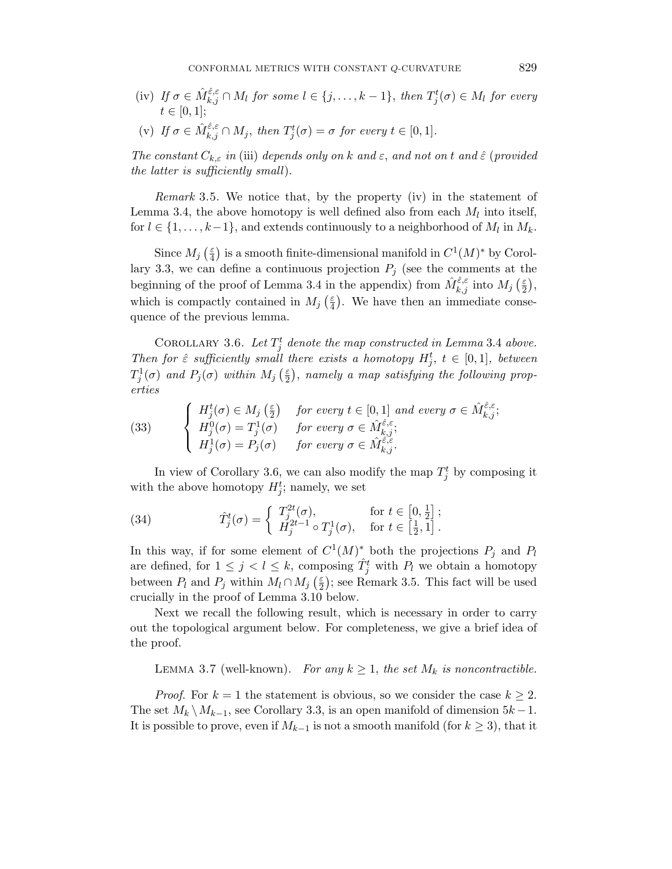(iv) If  $\sigma \in \hat{M}_{k,j}^{\hat{\varepsilon},\varepsilon} \cap M_l$  for some  $l \in \{j,\ldots,k-1\}$ , then  $T_j^t(\sigma) \in M_l$  for every  $t\in [0,1];$ 

(v) If 
$$
\sigma \in \hat{M}_{k,j}^{\hat{\varepsilon},\varepsilon} \cap M_j
$$
, then  $T_j^t(\sigma) = \sigma$  for every  $t \in [0,1]$ .

The constant  $C_{k,\varepsilon}$  in (iii) depends only on k and  $\varepsilon$ , and not on t and  $\hat{\varepsilon}$  (provided the latter is sufficiently small).

Remark 3.5. We notice that, by the property (iv) in the statement of Lemma 3.4, the above homotopy is well defined also from each  $M_l$  into itself, for  $l \in \{1, \ldots, k-1\}$ , and extends continuously to a neighborhood of  $M_l$  in  $M_k$ .

Since  $M_j\left(\frac{\varepsilon}{4}\right)$  $\frac{\varepsilon}{4}$ ) is a smooth finite-dimensional manifold in  $C^1(M)^*$  by Corollary 3.3, we can define a continuous projection  $P_j$  (see the comments at the beginning of the proof of Lemma 3.4 in the appendix) from  $\hat{M}_{k,j}^{\hat{\varepsilon},\varepsilon}$  into  $M_j$  ( $\frac{\varepsilon}{2}$  $\frac{\varepsilon}{2}$ ), which is compactly contained in  $M_j\left(\frac{\varepsilon}{4}\right)$  $\frac{\varepsilon}{4}$ ). We have then an immediate consequence of the previous lemma.

COROLLARY 3.6. Let  $T_j^t$  denote the map constructed in Lemma 3.4 above. Then for  $\hat{\varepsilon}$  sufficiently small there exists a homotopy  $H_j^t$ ,  $t \in [0,1]$ , between  $T_j^1(\sigma)$  and  $P_j(\sigma)$  within  $M_j\left(\frac{\varepsilon}{2}\right)$  $\frac{\varepsilon}{2}$ ), namely a map satisfying the following properties

(33) 
$$
\begin{cases}\nH_j^t(\sigma) \in M_j\left(\frac{\varepsilon}{2}\right) & \text{for every } t \in [0,1] \text{ and every } \sigma \in \hat{M}_{k,j}^{\hat{\varepsilon},\varepsilon}; \\
H_j^0(\sigma) = T_j^1(\sigma) & \text{for every } \sigma \in \hat{M}_{k,j}^{\hat{\varepsilon},\varepsilon}; \\
H_j^1(\sigma) = P_j(\sigma) & \text{for every } \sigma \in \hat{M}_{k,j}^{\hat{\varepsilon},\varepsilon}.\n\end{cases}
$$

In view of Corollary 3.6, we can also modify the map  $T_j^t$  by composing it with the above homotopy  $H_j^t$ ; namely, we set

(34) 
$$
\hat{T}_j^t(\sigma) = \begin{cases} T_j^{2t}(\sigma), & \text{for } t \in [0, \frac{1}{2}]; \\ H_j^{2t-1} \circ T_j^1(\sigma), & \text{for } t \in [\frac{1}{2}, 1]. \end{cases}
$$

In this way, if for some element of  $C^1(M)^*$  both the projections  $P_j$  and  $P_l$ are defined, for  $1 \leq j \leq l \leq k$ , composing  $\hat{T}_j^t$  with  $P_l$  we obtain a homotopy between  $P_l$  and  $P_j$  within  $M_l \cap M_j$  ( $\frac{\varepsilon}{2}$  $\frac{\varepsilon}{2}$ ; see Remark 3.5. This fact will be used crucially in the proof of Lemma 3.10 below.

Next we recall the following result, which is necessary in order to carry out the topological argument below. For completeness, we give a brief idea of the proof.

LEMMA 3.7 (well-known). For any  $k \geq 1$ , the set  $M_k$  is noncontractible.

*Proof.* For  $k = 1$  the statement is obvious, so we consider the case  $k \geq 2$ . The set  $M_k \setminus M_{k-1}$ , see Corollary 3.3, is an open manifold of dimension  $5k-1$ . It is possible to prove, even if  $M_{k-1}$  is not a smooth manifold (for  $k \geq 3$ ), that it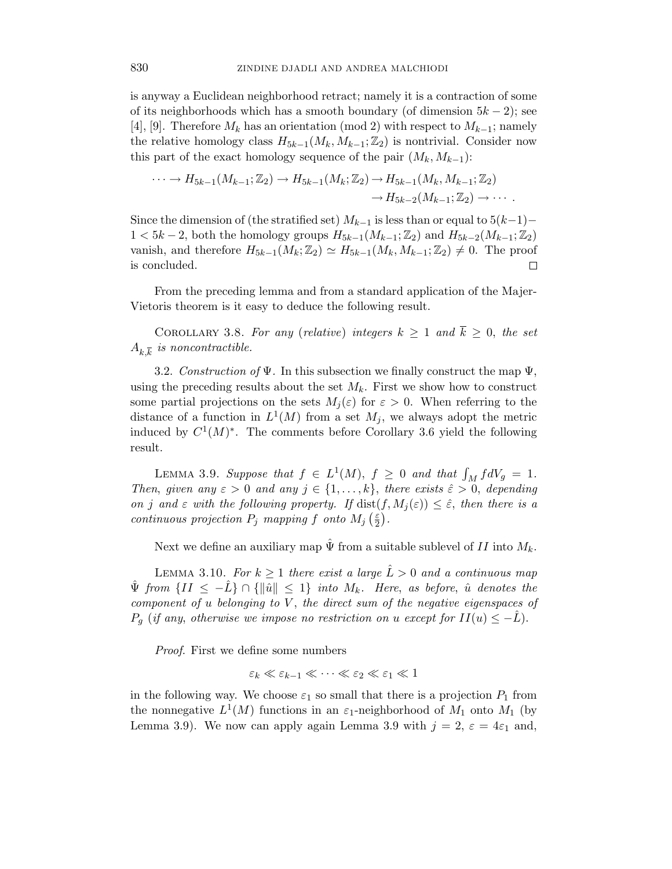is anyway a Euclidean neighborhood retract; namely it is a contraction of some of its neighborhoods which has a smooth boundary (of dimension  $5k - 2$ ); see [4], [9]. Therefore  $M_k$  has an orientation (mod 2) with respect to  $M_{k-1}$ ; namely the relative homology class  $H_{5k-1}(M_k, M_{k-1}; \mathbb{Z}_2)$  is nontrivial. Consider now this part of the exact homology sequence of the pair  $(M_k, M_{k-1})$ :

$$
\cdots \to H_{5k-1}(M_{k-1}; \mathbb{Z}_2) \to H_{5k-1}(M_k; \mathbb{Z}_2) \to H_{5k-1}(M_k, M_{k-1}; \mathbb{Z}_2) \to H_{5k-2}(M_{k-1}; \mathbb{Z}_2) \to \cdots
$$

Since the dimension of (the stratified set)  $M_{k-1}$  is less than or equal to  $5(k-1) 1 < 5k-2$ , both the homology groups  $H_{5k-1}(M_{k-1};\mathbb{Z}_2)$  and  $H_{5k-2}(M_{k-1};\mathbb{Z}_2)$ vanish, and therefore  $H_{5k-1}(M_k; \mathbb{Z}_2) \simeq H_{5k-1}(M_k, M_{k-1}; \mathbb{Z}_2) \neq 0$ . The proof is concluded.

From the preceding lemma and from a standard application of the Majer-Vietoris theorem is it easy to deduce the following result.

COROLLARY 3.8. For any (relative) integers  $k \geq 1$  and  $\overline{k} \geq 0$ , the set  $A_{k,\overline{k}}$  is noncontractible.

3.2. Construction of  $\Psi$ . In this subsection we finally construct the map  $\Psi$ , using the preceding results about the set  $M_k$ . First we show how to construct some partial projections on the sets  $M_i(\varepsilon)$  for  $\varepsilon > 0$ . When referring to the distance of a function in  $L^1(M)$  from a set  $M_j$ , we always adopt the metric induced by  $C^1(M)^*$ . The comments before Corollary 3.6 yield the following result.

LEMMA 3.9. Suppose that  $f \in L^1(M)$ ,  $f \geq 0$  and that  $\int_M f dV_g = 1$ . Then, given any  $\varepsilon > 0$  and any  $j \in \{1, \ldots, k\}$ , there exists  $\hat{\varepsilon} > 0$ , depending on j and  $\varepsilon$  with the following property. If  $dist(f, M_i(\varepsilon)) \leq \hat{\varepsilon}$ , then there is a continuous projection  $P_j$  mapping f onto  $M_j$  ( $\frac{\varepsilon}{2}$  $\frac{\varepsilon}{2}$ .

Next we define an auxiliary map  $\hat{\Psi}$  from a suitable sublevel of II into  $M_k$ .

LEMMA 3.10. For  $k \geq 1$  there exist a large  $\hat{L} > 0$  and a continuous map  $\hat{\Psi}$  from  $\{II \leq -\hat{L}\} \cap \{\|\hat{u}\| \leq 1\}$  into  $M_k$ . Here, as before,  $\hat{u}$  denotes the component of  $u$  belonging to  $V$ , the direct sum of the negative eigenspaces of  $P_q$  (if any, otherwise we impose no restriction on u except for  $II(u) \leq -L$ ).

Proof. First we define some numbers

$$
\varepsilon_k \ll \varepsilon_{k-1} \ll \cdots \ll \varepsilon_2 \ll \varepsilon_1 \ll 1
$$

in the following way. We choose  $\varepsilon_1$  so small that there is a projection  $P_1$  from the nonnegative  $L^1(M)$  functions in an  $\varepsilon_1$ -neighborhood of  $M_1$  onto  $M_1$  (by Lemma 3.9). We now can apply again Lemma 3.9 with  $j = 2$ ,  $\varepsilon = 4\varepsilon_1$  and,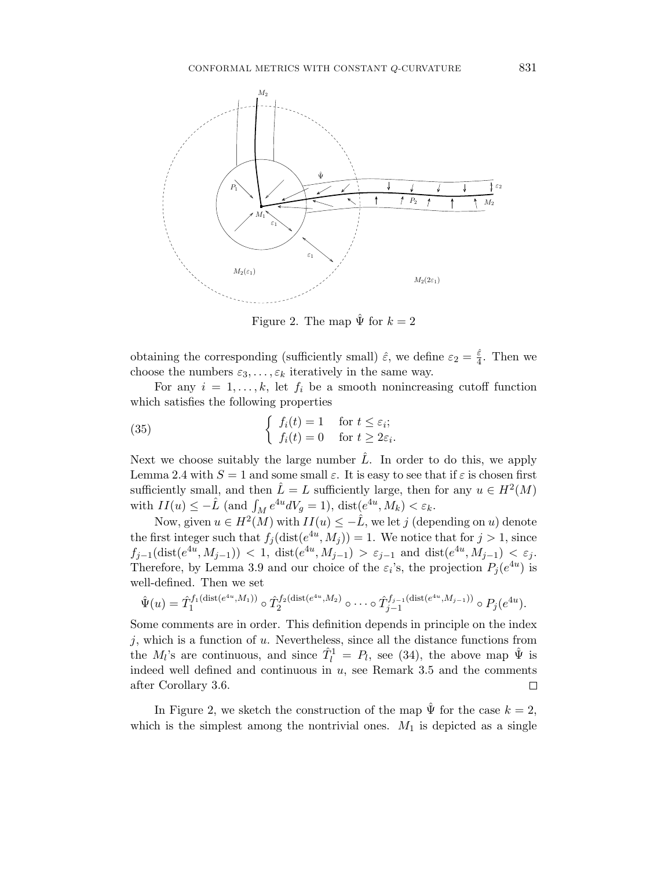

Figure 2. The map  $\hat{\Psi}$  for  $k=2$ 

obtaining the corresponding (sufficiently small)  $\hat{\varepsilon}$ , we define  $\varepsilon_2 = \frac{\hat{\varepsilon}}{4}$  $\frac{\varepsilon}{4}$ . Then we choose the numbers  $\varepsilon_3, \ldots, \varepsilon_k$  iteratively in the same way.

For any  $i = 1, \ldots, k$ , let  $f_i$  be a smooth nonincreasing cutoff function which satisfies the following properties

(35) 
$$
\begin{cases} f_i(t) = 1 & \text{for } t \leq \varepsilon_i; \\ f_i(t) = 0 & \text{for } t \geq 2\varepsilon_i. \end{cases}
$$

Next we choose suitably the large number  $\hat{L}$ . In order to do this, we apply Lemma 2.4 with  $S = 1$  and some small  $\varepsilon$ . It is easy to see that if  $\varepsilon$  is chosen first sufficiently small, and then  $\hat{L} = L$  sufficiently large, then for any  $u \in H^2(M)$ with  $II(u) \leq -\hat{L}$  (and  $\int_M e^{4u} dV_g = 1$ ),  $dist(e^{4u}, M_k) < \varepsilon_k$ .

Now, given  $u \in H^2(M)$  with  $II(u) \leq -\hat{L}$ , we let j (depending on u) denote the first integer such that  $f_j(\text{dist}(e^{4u}, M_j)) = 1$ . We notice that for  $j > 1$ , since  $f_{j-1}(\text{dist}(e^{4u}, M_{j-1})) < 1$ ,  $\text{dist}(e^{4u}, M_{j-1}) > \varepsilon_{j-1}$  and  $\text{dist}(e^{4u}, M_{j-1}) < \varepsilon_j$ . Therefore, by Lemma 3.9 and our choice of the  $\varepsilon_i$ 's, the projection  $P_j(e^{4u})$  is well-defined. Then we set

$$
\hat{\Psi}(u) = \hat{T}_1^{f_1(\text{dist}(e^{4u}, M_1))} \circ \hat{T}_2^{f_2(\text{dist}(e^{4u}, M_2))} \circ \cdots \circ \hat{T}_{j-1}^{f_{j-1}(\text{dist}(e^{4u}, M_{j-1}))} \circ P_j(e^{4u}).
$$

Some comments are in order. This definition depends in principle on the index  $j$ , which is a function of  $u$ . Nevertheless, since all the distance functions from the  $M_l$ 's are continuous, and since  $\hat{T}_l^1 = P_l$ , see (34), the above map  $\hat{\Psi}$  is indeed well defined and continuous in  $u$ , see Remark 3.5 and the comments after Corollary 3.6.  $\Box$ 

In Figure 2, we sketch the construction of the map  $\hat{\Psi}$  for the case  $k = 2$ , which is the simplest among the nontrivial ones.  $M_1$  is depicted as a single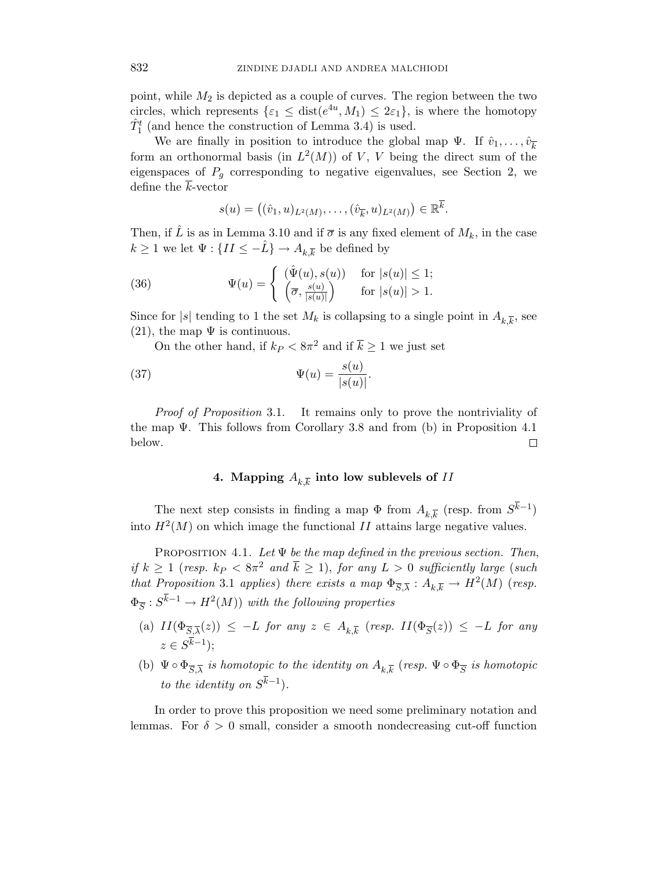point, while  $M_2$  is depicted as a couple of curves. The region between the two circles, which represents  $\{\varepsilon_1 \leq \text{dist}(e^{4u}, M_1) \leq 2\varepsilon_1\}$ , is where the homotopy  $\hat{T}_1^t$  (and hence the construction of Lemma 3.4) is used.

We are finally in position to introduce the global map  $\Psi$ . If  $\hat{v}_1, \ldots, \hat{v}_{\overline{k}}$ form an orthonormal basis (in  $L^2(M)$ ) of V, V being the direct sum of the eigenspaces of  $P_g$  corresponding to negative eigenvalues, see Section 2, we define the  $\overline{k}$ -vector

$$
s(u) = ((\hat{v}_1, u)_{L^2(M)}, \dots, (\hat{v}_{\overline{k}}, u)_{L^2(M)}) \in \mathbb{R}^k.
$$

Then, if  $\hat{L}$  is as in Lemma 3.10 and if  $\bar{\sigma}$  is any fixed element of  $M_k$ , in the case  $k\geq 1$  we let  $\Psi:\{II\leq -\hat{L}\}\to A_{k,\overline{k}}$  be defined by

(36) 
$$
\Psi(u) = \begin{cases} (\hat{\Psi}(u), s(u)) & \text{for } |s(u)| \leq 1; \\ (\overline{\sigma}, \frac{s(u)}{|s(u)|}) & \text{for } |s(u)| > 1. \end{cases}
$$

Since for |s| tending to 1 the set  $M_k$  is collapsing to a single point in  $A_{k,\overline{k}}$ , see (21), the map  $\Psi$  is continuous.

On the other hand, if  $k_P < 8\pi^2$  and if  $\overline{k} \ge 1$  we just set

(37) 
$$
\Psi(u) = \frac{s(u)}{|s(u)|}.
$$

Proof of Proposition 3.1. It remains only to prove the nontriviality of the map  $\Psi$ . This follows from Corollary 3.8 and from (b) in Proposition 4.1 below.  $\Box$ 

## 4. Mapping  $A_{k,\overline{k}}$  into low sublevels of  $II$

The next step consists in finding a map  $\Phi$  from  $A_{k,\overline{k}}$  (resp. from  $S^{k-1}$ ) into  $H<sup>2</sup>(M)$  on which image the functional II attains large negative values.

PROPOSITION 4.1. Let  $\Psi$  be the map defined in the previous section. Then, if  $k \geq 1$  (resp.  $k_P < 8\pi^2$  and  $\bar{k} \geq 1$ ), for any  $L > 0$  sufficiently large (such that Proposition 3.1 applies) there exists a map  $\Phi_{\overline{S},\overline{\lambda}}: A_{k,\overline{k}} \to H^2(M)$  (resp.  $\Phi_{\overline{S}}: S^{k-1} \to H^2(M)$  with the following properties

- (a)  $II(\Phi_{\overline{S},\overline{\lambda}}(z)) \leq -L$  for any  $z \in A_{k,\overline{k}}$  (resp.  $II(\Phi_{\overline{S}}(z)) \leq -L$  for any  $z \in S^{k-1}$ );
- (b)  $\Psi \circ \Phi_{\overline{S},\overline{\lambda}}$  is homotopic to the identity on  $A_{k,\overline{k}}$  (resp.  $\Psi \circ \Phi_{\overline{S}}$  is homotopic to the identity on  $S^{k-1}$ ).

In order to prove this proposition we need some preliminary notation and lemmas. For  $\delta > 0$  small, consider a smooth nondecreasing cut-off function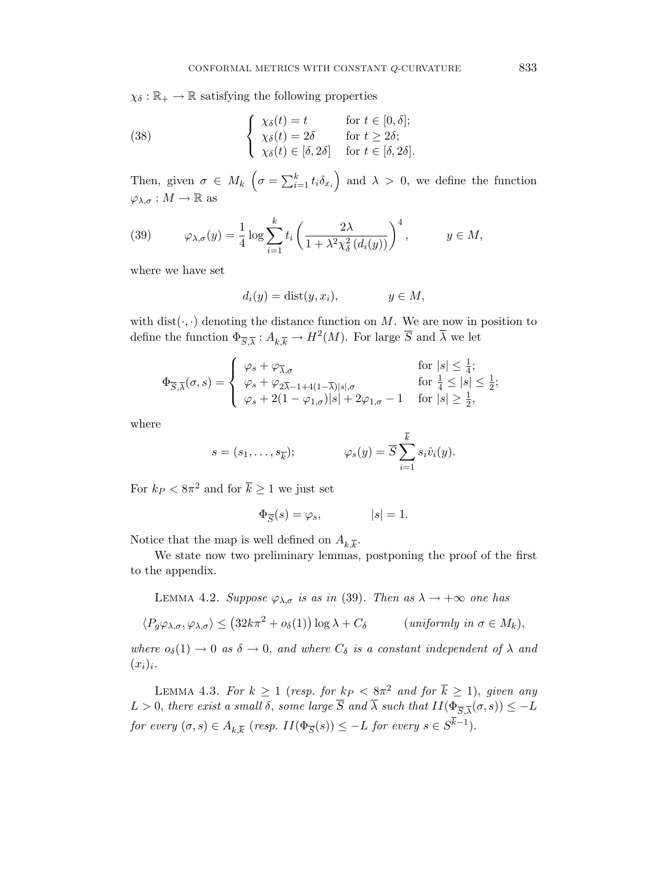$\chi_{\delta}: \mathbb{R}_{+} \to \mathbb{R}$  satisfying the following properties

(38) 
$$
\begin{cases} \chi_{\delta}(t) = t & \text{for } t \in [0, \delta];\\ \chi_{\delta}(t) = 2\delta & \text{for } t \geq 2\delta;\\ \chi_{\delta}(t) \in [\delta, 2\delta] & \text{for } t \in [\delta, 2\delta]. \end{cases}
$$

Then, given  $\sigma \in M_k$   $\left(\sigma = \sum_{i=1}^k t_i \delta_{x_i}\right)$  and  $\lambda > 0$ , we define the function  $\varphi_{\lambda,\sigma}:M\to\mathbb{R}$  as

(39) 
$$
\varphi_{\lambda,\sigma}(y) = \frac{1}{4} \log \sum_{i=1}^k t_i \left( \frac{2\lambda}{1 + \lambda^2 \chi_{\delta}^2(d_i(y))} \right)^4, \qquad y \in M,
$$

where we have set

$$
d_i(y) = \text{dist}(y, x_i), \qquad y \in M,
$$

with  $dist(\cdot, \cdot)$  denoting the distance function on M. We are now in position to define the function  $\Phi_{\overline{S},\overline{\lambda}}: A_{k,\overline{k}} \to H^2(M)$ . For large  $\overline{S}$  and  $\overline{\lambda}$  we let

$$
\Phi_{\overline{S},\overline{\lambda}}(\sigma,s) = \begin{cases}\n\varphi_s + \varphi_{\overline{\lambda},\sigma} & \text{for } |s| \leq \frac{1}{4}; \\
\varphi_s + \varphi_{2\overline{\lambda}-1+4(1-\overline{\lambda})|s|,\sigma} & \text{for } \frac{1}{4} \leq |s| \leq \frac{1}{2}; \\
\varphi_s + 2(1-\varphi_{1,\sigma})|s| + 2\varphi_{1,\sigma} - 1 & \text{for } |s| \geq \frac{1}{2},\n\end{cases}
$$

where

$$
s = (s_1, \dots, s_{\overline{k}}); \qquad \varphi_s(y) = \overline{S} \sum_{i=1}^{\overline{k}} s_i \hat{v}_i(y).
$$

For  $k_P < 8\pi^2$  and for  $\overline{k} \ge 1$  we just set

$$
\Phi_{\overline{S}}(s) = \varphi_s, \qquad |s| = 1.
$$

Notice that the map is well defined on  $A_{k,\overline{k}}$ .

We state now two preliminary lemmas, postponing the proof of the first to the appendix.

LEMMA 4.2. Suppose  $\varphi_{\lambda,\sigma}$  is as in (39). Then as  $\lambda \to +\infty$  one has

$$
\langle P_g \varphi_{\lambda,\sigma}, \varphi_{\lambda,\sigma} \rangle \le (32k\pi^2 + o_\delta(1)) \log \lambda + C_\delta \qquad (uniformly \ in \ \sigma \in M_k),
$$

where  $o_{\delta}(1) \rightarrow 0$  as  $\delta \rightarrow 0$ , and where  $C_{\delta}$  is a constant independent of  $\lambda$  and  $(x_i)_i$ .

LEMMA 4.3. For  $k \geq 1$  (resp. for  $k_P < 8\pi^2$  and for  $\overline{k} \geq 1$ ), given any  $L > 0$ , there exist a small  $\delta$ , some large  $\overline{S}$  and  $\overline{\lambda}$  such that  $II(\Phi_{\overline{S},\overline{\lambda}}(\sigma,s)) \leq -L$ for every  $(\sigma, s) \in A_{k,\overline{k}}$  (resp.  $II(\Phi_{\overline{S}}(s)) \leq -L$  for every  $s \in S^{k-1}$ ).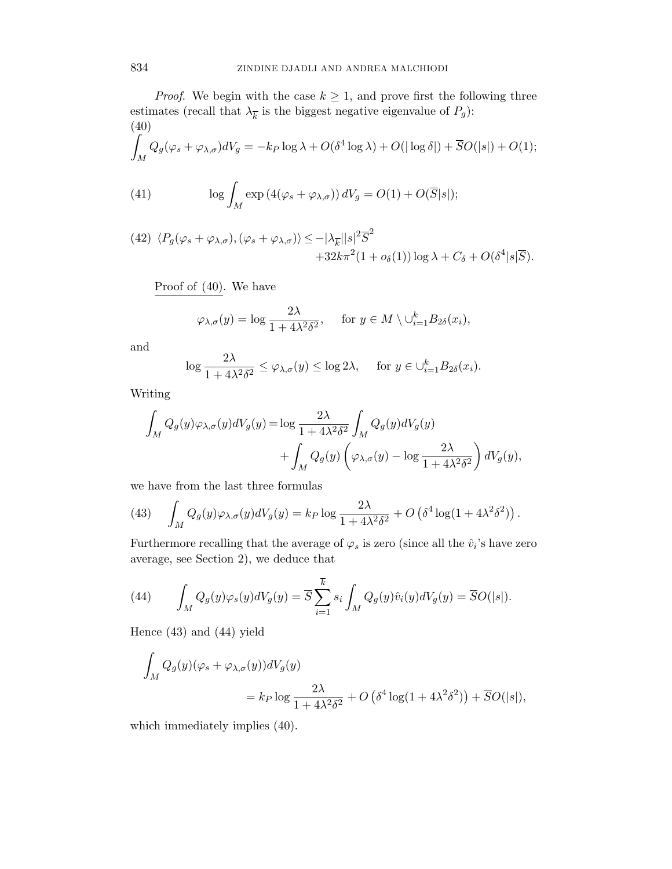*Proof.* We begin with the case  $k \geq 1$ , and prove first the following three estimates (recall that  $\lambda_{\overline{k}}$  is the biggest negative eigenvalue of  $P_g$ ): (40) Z

$$
\int_M Q_g(\varphi_s + \varphi_{\lambda,\sigma})dV_g = -k_P \log \lambda + O(\delta^4 \log \lambda) + O(|\log \delta|) + \overline{S}O(|s|) + O(1);
$$

(41) 
$$
\log \int_M \exp\left(4(\varphi_s + \varphi_{\lambda,\sigma})\right) dV_g = O(1) + O(\overline{S}|s|);
$$

(42) 
$$
\langle P_g(\varphi_s + \varphi_{\lambda,\sigma}), (\varphi_s + \varphi_{\lambda,\sigma}) \rangle \le -|\lambda_{\overline{k}}||s|^2 \overline{S}^2
$$
  
  $+32k\pi^2(1 + o_\delta(1)) \log \lambda + C_\delta + O(\delta^4|s|\overline{S}).$ 

Proof of (40). We have

$$
\varphi_{\lambda,\sigma}(y) = \log \frac{2\lambda}{1 + 4\lambda^2 \delta^2}
$$
, for  $y \in M \setminus \bigcup_{i=1}^k B_{2\delta}(x_i)$ ,

and

$$
\log \frac{2\lambda}{1 + 4\lambda^2 \delta^2} \le \varphi_{\lambda,\sigma}(y) \le \log 2\lambda, \quad \text{ for } y \in \cup_{i=1}^k B_{2\delta}(x_i).
$$

Writing

$$
\int_M Q_g(y)\varphi_{\lambda,\sigma}(y)dV_g(y) = \log \frac{2\lambda}{1 + 4\lambda^2 \delta^2} \int_M Q_g(y)dV_g(y) \n+ \int_M Q_g(y)\left(\varphi_{\lambda,\sigma}(y) - \log \frac{2\lambda}{1 + 4\lambda^2 \delta^2}\right)dV_g(y),
$$

we have from the last three formulas

(43) 
$$
\int_M Q_g(y) \varphi_{\lambda,\sigma}(y) dV_g(y) = k_P \log \frac{2\lambda}{1 + 4\lambda^2 \delta^2} + O\left(\delta^4 \log(1 + 4\lambda^2 \delta^2)\right).
$$

Furthermore recalling that the average of  $\varphi_s$  is zero (since all the  $\hat{v}_i$ 's have zero average, see Section 2), we deduce that

(44) 
$$
\int_M Q_g(y)\varphi_s(y)dV_g(y) = \overline{S}\sum_{i=1}^{\overline{k}} s_i \int_M Q_g(y)\hat{v}_i(y)dV_g(y) = \overline{S}O(|s|).
$$

Hence (43) and (44) yield

$$
\int_M Q_g(y)(\varphi_s + \varphi_{\lambda,\sigma}(y))dV_g(y)
$$
  
=  $k_P \log \frac{2\lambda}{1 + 4\lambda^2 \delta^2} + O(\delta^4 \log(1 + 4\lambda^2 \delta^2)) + \overline{S}O(|s|),$ 

which immediately implies  $(40)$ .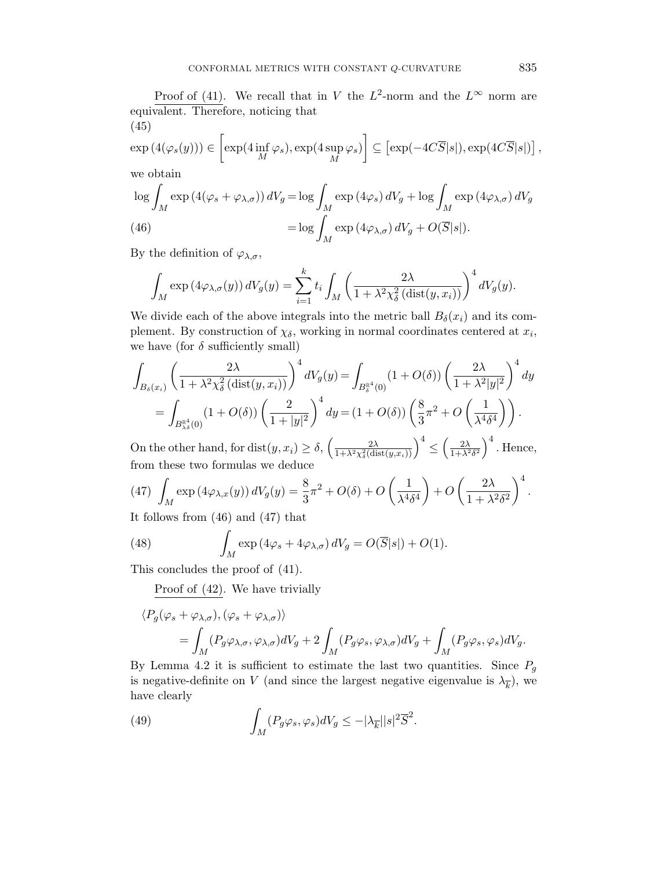Proof of (41). We recall that in V the  $L^2$ -norm and the  $L^{\infty}$  norm are equivalent. Therefore, noticing that (45)

$$
\exp(4(\varphi_s(y))) \in \left[\exp(4\inf_M \varphi_s), \exp(4\sup_M \varphi_s)\right] \subseteq \left[\exp(-4C\overline{S}|s|), \exp(4C\overline{S}|s|)\right],
$$

we obtain

$$
\log \int_{M} \exp\left(4(\varphi_{s} + \varphi_{\lambda,\sigma})\right) dV_{g} = \log \int_{M} \exp\left(4\varphi_{s}\right) dV_{g} + \log \int_{M} \exp\left(4\varphi_{\lambda,\sigma}\right) dV_{g}
$$
\n
$$
(46)
$$
\n
$$
= \log \int_{M} \exp\left(4\varphi_{\lambda,\sigma}\right) dV_{g} + O(\overline{S}|s|).
$$

By the definition of  $\varphi_{\lambda,\sigma}$ ,

$$
\int_M \exp\left(4\varphi_{\lambda,\sigma}(y)\right) dV_g(y) = \sum_{i=1}^k t_i \int_M \left(\frac{2\lambda}{1+\lambda^2 \chi_{\delta}^2 \left(\text{dist}(y,x_i)\right)}\right)^4 dV_g(y).
$$

We divide each of the above integrals into the metric ball  $B_{\delta}(x_i)$  and its complement. By construction of  $\chi_{\delta}$ , working in normal coordinates centered at  $x_i$ , we have (for  $\delta$  sufficiently small)

$$
\int_{B_{\delta}(x_i)} \left(\frac{2\lambda}{1+\lambda^2\chi_{\delta}^2(\text{dist}(y,x_i))}\right)^4 dV_g(y) = \int_{B_{\delta}^{\mathbb{R}^4}(0)} (1+O(\delta)) \left(\frac{2\lambda}{1+\lambda^2|y|^2}\right)^4 dy
$$

$$
= \int_{B_{\lambda\delta}^{\mathbb{R}^4}(0)} (1+O(\delta)) \left(\frac{2}{1+|y|^2}\right)^4 dy = (1+O(\delta)) \left(\frac{8}{3}\pi^2 + O\left(\frac{1}{\lambda^4\delta^4}\right)\right).
$$

On the other hand, for dist $(y, x_i) \ge \delta$ ,  $\left(\frac{2\lambda}{1 + \lambda^2 \chi_{\delta}^2 \text{(di)}}\right)$  $\frac{2\lambda}{1+\lambda^2\chi^2_\delta({\rm dist}(y,x_i))}\Big)^4\leq$  $\left(\frac{2\lambda}{1+\lambda^2\delta^2}\right)^4$ . Hence, from these two formulas we deduce

(47) 
$$
\int_M \exp(4\varphi_{\lambda,x}(y)) dV_g(y) = \frac{8}{3}\pi^2 + O(\delta) + O\left(\frac{1}{\lambda^4 \delta^4}\right) + O\left(\frac{2\lambda}{1 + \lambda^2 \delta^2}\right)^4.
$$

It follows from (46) and (47) that

(48) 
$$
\int_M \exp(4\varphi_s + 4\varphi_{\lambda,\sigma}) dV_g = O(\overline{S}|s|) + O(1).
$$

This concludes the proof of (41).

Proof of (42). We have trivially

$$
\langle P_g(\varphi_s + \varphi_{\lambda,\sigma}), (\varphi_s + \varphi_{\lambda,\sigma}) \rangle
$$
  
=  $\int_M (P_g \varphi_{\lambda,\sigma}, \varphi_{\lambda,\sigma}) dV_g + 2 \int_M (P_g \varphi_s, \varphi_{\lambda,\sigma}) dV_g + \int_M (P_g \varphi_s, \varphi_s) dV_g.$ 

By Lemma 4.2 it is sufficient to estimate the last two quantities. Since  $P_g$ is negative-definite on V (and since the largest negative eigenvalue is  $\lambda_{\overline{k}}$ ), we have clearly

(49) 
$$
\int_M (P_g \varphi_s, \varphi_s) dV_g \le -|\lambda_{\overline{k}}| |s|^2 \overline{S}^2.
$$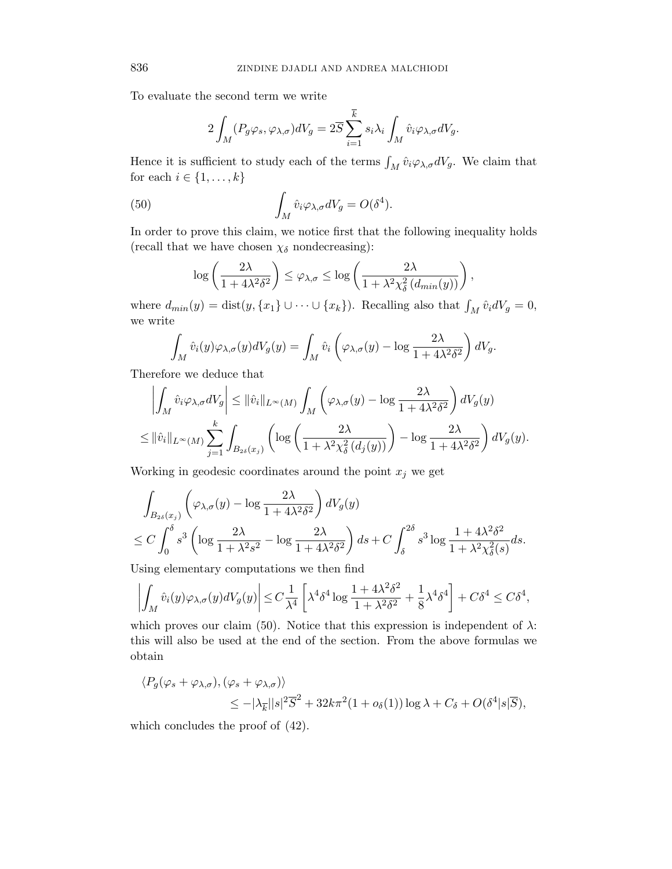To evaluate the second term we write

$$
2\int_M (P_g \varphi_s, \varphi_{\lambda, \sigma})dV_g = 2\overline{S} \sum_{i=1}^{\overline{k}} s_i \lambda_i \int_M \hat{v}_i \varphi_{\lambda, \sigma} dV_g.
$$

Hence it is sufficient to study each of the terms  $\int_M \hat{v}_i \varphi_{\lambda,\sigma} dV_g$ . We claim that for each  $i \in \{1, \ldots, k\}$ 

(50) 
$$
\int_M \hat{v}_i \varphi_{\lambda,\sigma} dV_g = O(\delta^4).
$$

In order to prove this claim, we notice first that the following inequality holds (recall that we have chosen  $\chi_{\delta}$  nondecreasing):

$$
\log\left(\frac{2\lambda}{1+4\lambda^2\delta^2}\right) \leq \varphi_{\lambda,\sigma} \leq \log\left(\frac{2\lambda}{1+\lambda^2\chi^2_{\delta}\left(d_{min}(y)\right)}\right),
$$

where  $d_{min}(y) = \text{dist}(y, \{x_1\} \cup \cdots \cup \{x_k\})$ . Recalling also that  $\int_M \hat{v}_i dV_g = 0$ , we write

$$
\int_M \hat{v}_i(y)\varphi_{\lambda,\sigma}(y)dV_g(y) = \int_M \hat{v}_i\left(\varphi_{\lambda,\sigma}(y) - \log\frac{2\lambda}{1+4\lambda^2\delta^2}\right)dV_g.
$$

Therefore we deduce that

$$
\left| \int_M \hat{v}_i \varphi_{\lambda, \sigma} dV_g \right| \leq \|\hat{v}_i\|_{L^{\infty}(M)} \int_M \left( \varphi_{\lambda, \sigma}(y) - \log \frac{2\lambda}{1 + 4\lambda^2 \delta^2} \right) dV_g(y)
$$
  

$$
\leq \|\hat{v}_i\|_{L^{\infty}(M)} \sum_{j=1}^k \int_{B_{2\delta}(x_j)} \left( \log \left( \frac{2\lambda}{1 + \lambda^2 \chi_{\delta}^2(d_j(y))} \right) - \log \frac{2\lambda}{1 + 4\lambda^2 \delta^2} \right) dV_g(y).
$$

Working in geodesic coordinates around the point  $x_j$  we get

$$
\int_{B_{2\delta}(x_j)} \left( \varphi_{\lambda,\sigma}(y) - \log \frac{2\lambda}{1 + 4\lambda^2 \delta^2} \right) dV_g(y) \n\leq C \int_0^{\delta} s^3 \left( \log \frac{2\lambda}{1 + \lambda^2 s^2} - \log \frac{2\lambda}{1 + 4\lambda^2 \delta^2} \right) ds + C \int_{\delta}^{2\delta} s^3 \log \frac{1 + 4\lambda^2 \delta^2}{1 + \lambda^2 \chi_{\delta}^2(s)} ds.
$$

Using elementary computations we then find

$$
\left| \int_M \hat{v}_i(y) \varphi_{\lambda,\sigma}(y) dV_g(y) \right| \le C \frac{1}{\lambda^4} \left[ \lambda^4 \delta^4 \log \frac{1 + 4\lambda^2 \delta^2}{1 + \lambda^2 \delta^2} + \frac{1}{8} \lambda^4 \delta^4 \right] + C \delta^4 \le C \delta^4,
$$

which proves our claim (50). Notice that this expression is independent of  $\lambda$ : this will also be used at the end of the section. From the above formulas we obtain

$$
\langle P_g(\varphi_s + \varphi_{\lambda,\sigma}), (\varphi_s + \varphi_{\lambda,\sigma}) \rangle
$$
  
 
$$
\leq -|\lambda_{\overline{k}}||s|^2 \overline{S}^2 + 32k\pi^2 (1 + o_{\delta}(1)) \log \lambda + C_{\delta} + O(\delta^4 |s| \overline{S}),
$$

which concludes the proof of (42).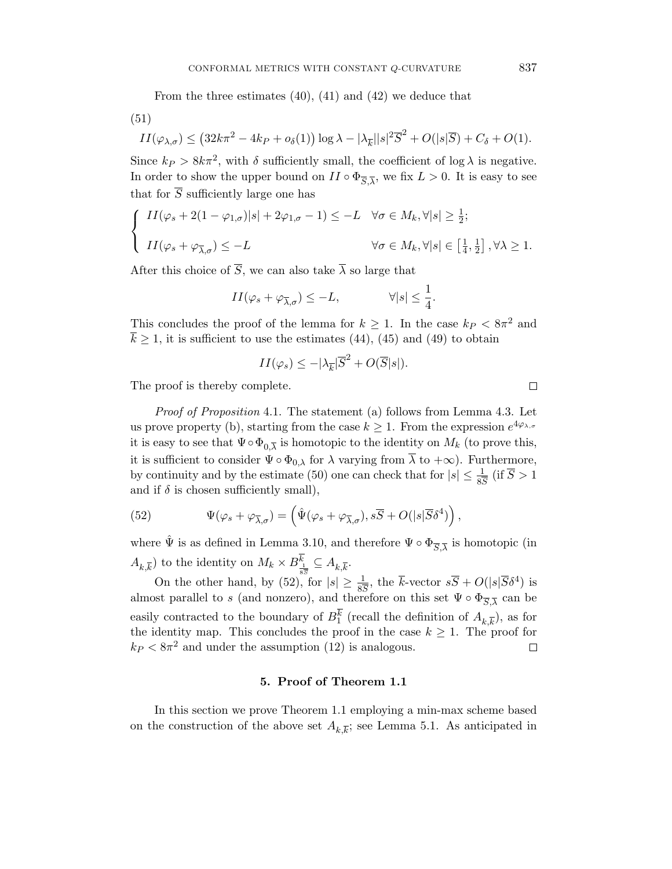From the three estimates (40), (41) and (42) we deduce that

(51)

$$
II(\varphi_{\lambda,\sigma}) \le (32k\pi^2 - 4k_P + o_{\delta}(1)) \log \lambda - |\lambda_{\overline{k}}||s|^2 \overline{S}^2 + O(|s|\overline{S}) + C_{\delta} + O(1).
$$

Since  $k_P > 8k\pi^2$ , with  $\delta$  sufficiently small, the coefficient of log  $\lambda$  is negative. In order to show the upper bound on  $II \circ \Phi_{\overline{S}, \overline{\lambda}}$ , we fix  $L > 0$ . It is easy to see that for  $\overline{S}$  sufficiently large one has

$$
\begin{cases}\nII(\varphi_s + 2(1 - \varphi_{1,\sigma})|s| + 2\varphi_{1,\sigma} - 1) \le -L \quad \forall \sigma \in M_k, \forall |s| \ge \frac{1}{2}; \\
II(\varphi_s + \varphi_{\overline{\lambda},\sigma}) \le -L \qquad \forall \sigma \in M_k, \forall |s| \in \left[\frac{1}{4}, \frac{1}{2}\right], \forall \lambda \ge 1.\n\end{cases}
$$

After this choice of  $\overline{S}$ , we can also take  $\overline{\lambda}$  so large that

$$
II(\varphi_s + \varphi_{\overline{\lambda}, \sigma}) \le -L, \qquad \qquad \forall |s| \le \frac{1}{4}.
$$

This concludes the proof of the lemma for  $k \geq 1$ . In the case  $k_P < 8\pi^2$  and  $k \geq 1$ , it is sufficient to use the estimates (44), (45) and (49) to obtain

$$
II(\varphi_s) \le -|\lambda_{\overline{k}}|\overline{S}^2 + O(\overline{S}|s|).
$$

The proof is thereby complete.

Proof of Proposition 4.1. The statement (a) follows from Lemma 4.3. Let us prove property (b), starting from the case  $k \geq 1$ . From the expression  $e^{4\varphi_{\lambda,\sigma}}$ it is easy to see that  $\Psi \circ \Phi_{0,\overline{\lambda}}$  is homotopic to the identity on  $M_k$  (to prove this, it is sufficient to consider  $\Psi \circ \Phi_{0,\lambda}$  for  $\lambda$  varying from  $\overline{\lambda}$  to  $+\infty$ ). Furthermore, by continuity and by the estimate (50) one can check that for  $|s| \leq \frac{1}{8S}$  (if  $\overline{S} > 1$ and if  $\delta$  is chosen sufficiently small),

(52) 
$$
\Psi(\varphi_s + \varphi_{\overline{\lambda}, \sigma}) = \left( \hat{\Psi}(\varphi_s + \varphi_{\overline{\lambda}, \sigma}), s\overline{S} + O(|s|\overline{S}\delta^4) \right),
$$

where  $\hat{\Psi}$  is as defined in Lemma 3.10, and therefore  $\Psi \circ \Phi_{\overline{S}, \overline{\lambda}}$  is homotopic (in  $(A_{k,\overline{k}})$  to the identity on  $M_k \times B_{\frac{1}{2\overline{k}}}^k \subseteq A_{k,\overline{k}}$ .

On the other hand, by  $(52)$ , for  $|s| \ge \frac{1}{8S}$ , the  $\overline{k}$ -vector  $s\overline{S} + O(|s|\overline{S}\delta^4)$  is almost parallel to s (and nonzero), and therefore on this set  $\Psi \circ \Phi_{\overline{S}, \overline{\lambda}}$  can be easily contracted to the boundary of  $B_1^k$  (recall the definition of  $A_{k,\overline{k}}$ ), as for the identity map. This concludes the proof in the case  $k \geq 1$ . The proof for  $k_P < 8\pi^2$  and under the assumption (12) is analogous.  $\Box$ 

### 5. Proof of Theorem 1.1

In this section we prove Theorem 1.1 employing a min-max scheme based on the construction of the above set  $A_{k,\overline{k}}$ ; see Lemma 5.1. As anticipated in

 $\Box$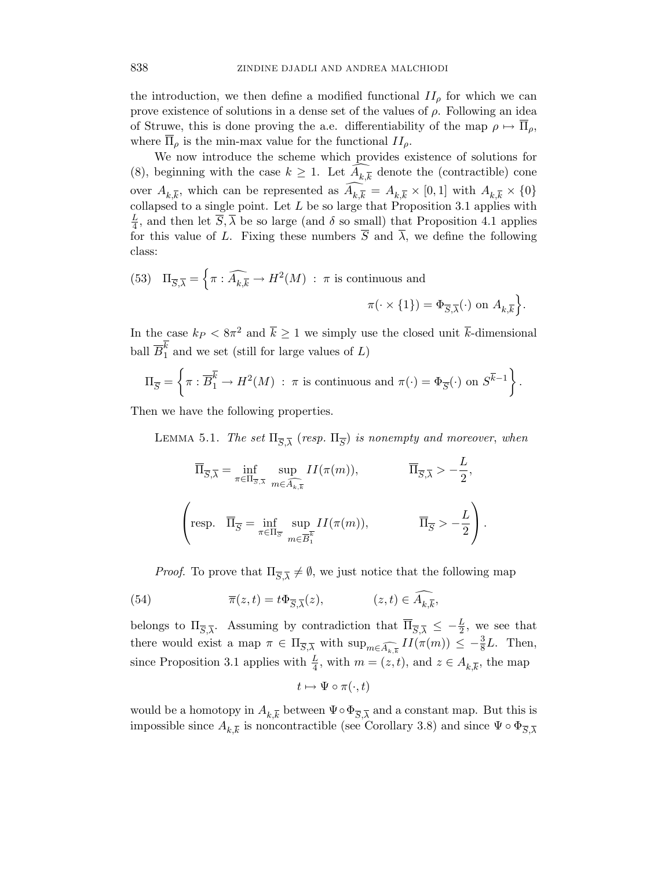the introduction, we then define a modified functional  $II_{\rho}$  for which we can prove existence of solutions in a dense set of the values of  $\rho$ . Following an idea of Struwe, this is done proving the a.e. differentiability of the map  $\rho \mapsto \overline{\Pi}_{\rho}$ , where  $\Pi_{\rho}$  is the min-max value for the functional  $II_{\rho}$ .

We now introduce the scheme which provides existence of solutions for (8), beginning with the case  $k \geq 1$ . Let  $A_{k,\overline{k}}$  denote the (contractible) cone over  $A_{k,\overline{k}}$ , which can be represented as  $A_{k,\overline{k}} = A_{k,\overline{k}} \times [0,1]$  with  $A_{k,\overline{k}} \times \{0\}$ collapsed to a single point. Let  $L$  be so large that Proposition 3.1 applies with L  $\frac{L}{4}$ , and then let  $\overline{S}$ ,  $\lambda$  be so large (and  $\delta$  so small) that Proposition 4.1 applies for this value of L. Fixing these numbers  $\overline{S}$  and  $\overline{\lambda}$ , we define the following class:

(53) 
$$
\Pi_{\overline{S},\overline{\lambda}} = \left\{ \pi : \widehat{A_{k,\overline{k}}} \to H^2(M) : \pi \text{ is continuous and} \right\}
$$
  

$$
\pi(\cdot \times \{1\}) = \Phi_{\overline{S},\overline{\lambda}}(\cdot) \text{ on } A_{k,\overline{k}} \right\}.
$$

In the case  $k_P < 8\pi^2$  and  $\bar{k} \ge 1$  we simply use the closed unit  $\bar{k}$ -dimensional ball  $\overline{B}_1^k$  and we set (still for large values of L)

$$
\Pi_{\overline{S}} = \left\{ \pi : \overline{B}_1^{\overline{k}} \to H^2(M) : \pi \text{ is continuous and } \pi(\cdot) = \Phi_{\overline{S}}(\cdot) \text{ on } S^{\overline{k}-1} \right\}.
$$

Then we have the following properties.

LEMMA 5.1. The set  $\Pi_{\overline{S},\overline{\lambda}}$  (resp.  $\Pi_{\overline{S}}$ ) is nonempty and moreover, when

$$
\overline{\Pi}_{\overline{S},\overline{\lambda}} = \inf_{\pi \in \Pi_{\overline{S},\overline{\lambda}}} \sup_{m \in \widehat{A_{k,\overline{k}}}} II(\pi(m)), \qquad \overline{\Pi}_{\overline{S},\overline{\lambda}} > -\frac{L}{2},
$$
  

$$
\left( \text{resp. } \overline{\Pi}_{\overline{S}} = \inf_{\pi \in \Pi_{\overline{S}}} \sup_{m \in \overline{B}_{1}^{\overline{k}}} II(\pi(m)), \qquad \overline{\Pi}_{\overline{S}} > -\frac{L}{2} \right).
$$

*Proof.* To prove that  $\Pi_{\overline{S},\overline{\lambda}} \neq \emptyset$ , we just notice that the following map

(54) 
$$
\overline{\pi}(z,t) = t\Phi_{\overline{S},\overline{\lambda}}(z), \qquad (z,t) \in \widehat{A_{k,\overline{k}}},
$$

belongs to  $\Pi_{\overline{S},\overline{\lambda}}$ . Assuming by contradiction that  $\overline{\Pi}_{\overline{S},\overline{\lambda}} \leq -\frac{L}{2}$ , we see that there would exist a map  $\pi \in \Pi_{\overline{S},\overline{\lambda}}$  with  $\sup_{m \in \widehat{A_{k,\overline{k}}}} II(\pi(m)) \leq -\frac{3}{8}L$ . Then, since Proposition 3.1 applies with  $\frac{L}{4}$ , with  $m = (z, t)$ , and  $z \in A_{k, \overline{k}}$ , the map

$$
t\mapsto \Psi\circ\pi(\cdot,t)
$$

would be a homotopy in  $A_{k,\overline{k}}$  between  $\Psi \circ \Phi_{\overline{S},\overline{\lambda}}$  and a constant map. But this is impossible since  $A_{k,\overline{k}}$  is noncontractible (see Corollary 3.8) and since  $\Psi \circ \Phi_{\overline{S},\overline{\lambda}}$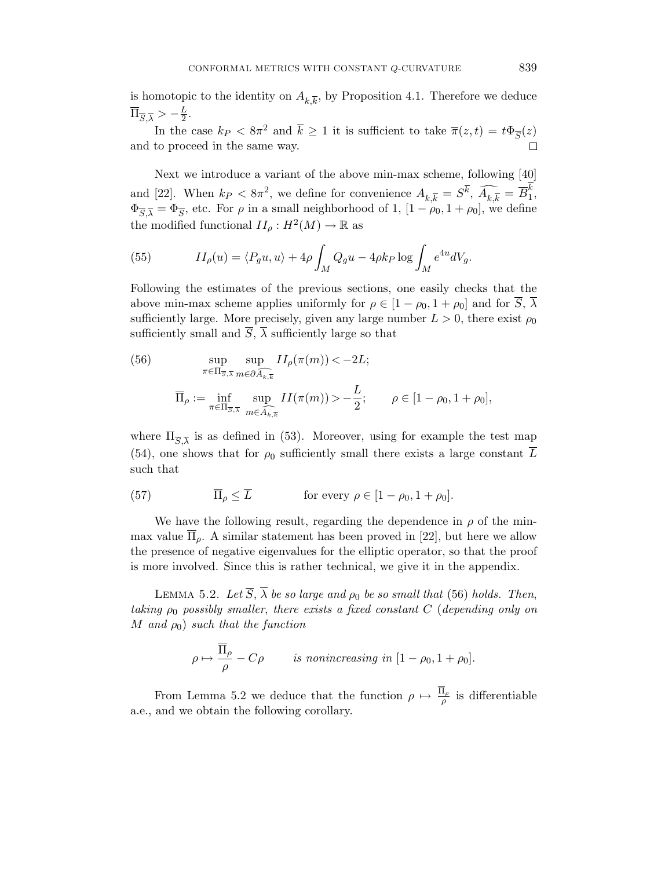is homotopic to the identity on  $A_{k,\overline{k}}$ , by Proposition 4.1. Therefore we deduce  $\overline{\Pi}_{\overline{S},\overline{\lambda}} > -\frac{L}{2}$  $\frac{L}{2}$ .

In the case  $k_P < 8\pi^2$  and  $\bar{k} \ge 1$  it is sufficient to take  $\bar{\pi}(z, t) = t\Phi_{\overline{S}}(z)$ and to proceed in the same way.  $\Box$ 

Next we introduce a variant of the above min-max scheme, following [40] and [22]. When  $k_P < 8\pi^2$ , we define for convenience  $A_{k,\overline{k}} = S^{\overline{k}}, \ \widehat{A_{k,\overline{k}}} = \overline{B}_1^k$  $\frac{1}{1}$  $\Phi_{\overline{S},\overline{\lambda}} = \Phi_{\overline{S}}$ , etc. For  $\rho$  in a small neighborhood of 1,  $[1 - \rho_0, 1 + \rho_0]$ , we define the modified functional  $II_\rho: H^2(M) \to \mathbb{R}$  as

(55) 
$$
II_{\rho}(u) = \langle P_g u, u \rangle + 4\rho \int_M Q_g u - 4\rho k_P \log \int_M e^{4u} dV_g.
$$

Following the estimates of the previous sections, one easily checks that the above min-max scheme applies uniformly for  $\rho \in [1 - \rho_0, 1 + \rho_0]$  and for  $\overline{S}, \overline{\lambda}$ sufficiently large. More precisely, given any large number  $L > 0$ , there exist  $\rho_0$ sufficiently small and  $\overline{S}$ ,  $\overline{\lambda}$  sufficiently large so that

(56) 
$$
\sup_{\pi \in \Pi_{\overline{S},\overline{\lambda}} \atop m \in \Pi_{\overline{S},\overline{\lambda}} \atop m \in \Pi_{\overline{S},\overline{\lambda}} \atop m \in \overline{A_{k,\overline{k}}}} \frac{II_{\rho}(\pi(m)) < -2L;}{II_{\rho} := \inf_{\pi \in \Pi_{\overline{S},\overline{\lambda}} \atop m \in \overline{A_{k,\overline{k}}}} II(\pi(m)) > -\frac{L}{2}; \qquad \rho \in [1 - \rho_0, 1 + \rho_0],}
$$

where  $\Pi_{\overline{S},\overline{\lambda}}$  is as defined in (53). Moreover, using for example the test map (54), one shows that for  $\rho_0$  sufficiently small there exists a large constant  $\overline{L}$ such that

(57) 
$$
\overline{\Pi}_{\rho} \leq \overline{L} \quad \text{for every } \rho \in [1 - \rho_0, 1 + \rho_0].
$$

We have the following result, regarding the dependence in  $\rho$  of the minmax value  $\overline{\Pi}_{\rho}$ . A similar statement has been proved in [22], but here we allow the presence of negative eigenvalues for the elliptic operator, so that the proof is more involved. Since this is rather technical, we give it in the appendix.

LEMMA 5.2. Let  $\overline{S}$ ,  $\overline{\lambda}$  be so large and  $\rho_0$  be so small that (56) holds. Then, taking  $\rho_0$  possibly smaller, there exists a fixed constant C (depending only on M and  $\rho_0$ ) such that the function

$$
\rho \mapsto \frac{\overline{\Pi}_{\rho}}{\rho} - C\rho \qquad \text{is nonincreasing in } [1 - \rho_0, 1 + \rho_0].
$$

From Lemma 5.2 we deduce that the function  $\rho \mapsto \frac{\Pi_{\rho}}{\rho}$  is differentiable a.e., and we obtain the following corollary.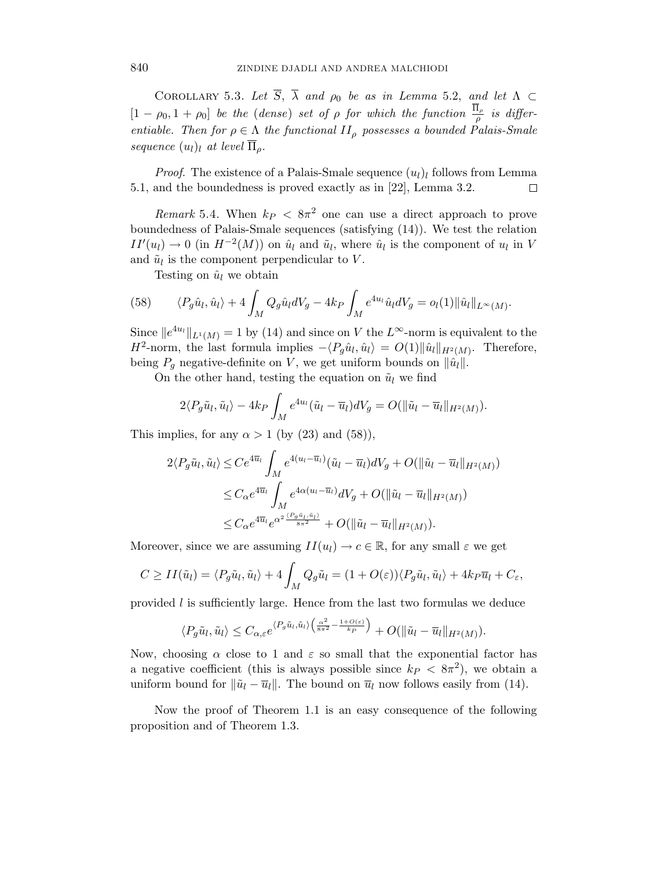COROLLARY 5.3. Let  $\overline{S}$ ,  $\overline{\lambda}$  and  $\rho_0$  be as in Lemma 5.2, and let  $\Lambda \subset$  $[1 - \rho_0, 1 + \rho_0]$  be the (dense) set of  $\rho$  for which the function  $\frac{\Pi_\rho}{\rho}$  is differentiable. Then for  $\rho \in \Lambda$  the functional  $II_{\rho}$  possesses a bounded Palais-Smale sequence  $(u_l)_l$  at level  $\overline{\Pi}_o$ .

*Proof.* The existence of a Palais-Smale sequence  $(u_l)_l$  follows from Lemma 5.1, and the boundedness is proved exactly as in [22], Lemma 3.2.  $\Box$ 

Remark 5.4. When  $k_P < 8\pi^2$  one can use a direct approach to prove boundedness of Palais-Smale sequences (satisfying (14)). We test the relation  $II'(u_l) \to 0$  (in  $H^{-2}(M)$ ) on  $\hat{u}_l$  and  $\tilde{u}_l$ , where  $\hat{u}_l$  is the component of  $u_l$  in V and  $\tilde{u}_l$  is the component perpendicular to V.

Testing on  $\hat{u}_l$  we obtain

(58) 
$$
\langle P_g \hat{u}_l, \hat{u}_l \rangle + 4 \int_M Q_g \hat{u}_l dV_g - 4k_P \int_M e^{4u_l} \hat{u}_l dV_g = o_l(1) ||\hat{u}_l||_{L^{\infty}(M)}.
$$

Since  $||e^{4u_l}||_{L^1(M)} = 1$  by (14) and since on V the  $L^{\infty}$ -norm is equivalent to the  $H^2$ -norm, the last formula implies  $-\langle P_g \hat{u}_l, \hat{u}_l \rangle = O(1) ||\hat{u}_l||_{H^2(M)}$ . Therefore, being  $P_q$  negative-definite on V, we get uniform bounds on  $\|\hat{u}_l\|$ .

On the other hand, testing the equation on  $\tilde{u}_l$  we find

$$
2\langle P_g\tilde{u}_l,\tilde{u}_l\rangle-4k_P\int_M e^{4u_l}(\tilde{u}_l-\overline{u}_l)dV_g=O(\|\tilde{u}_l-\overline{u}_l\|_{H^2(M)}).
$$

This implies, for any  $\alpha > 1$  (by (23) and (58)),

$$
2\langle P_g\tilde{u}_l, \tilde{u}_l\rangle \leq Ce^{4\overline{u}_l} \int_M e^{4(u_l - \overline{u}_l)} (\tilde{u}_l - \overline{u}_l) dV_g + O(\|\tilde{u}_l - \overline{u}_l\|_{H^2(M)})
$$
  

$$
\leq C_{\alpha} e^{4\overline{u}_l} \int_M e^{4\alpha(u_l - \overline{u}_l)} dV_g + O(\|\tilde{u}_l - \overline{u}_l\|_{H^2(M)})
$$
  

$$
\leq C_{\alpha} e^{4\overline{u}_l} e^{\alpha^2 \frac{(P_g\tilde{u}_l, \tilde{u}_l)}{8\pi^2}} + O(\|\tilde{u}_l - \overline{u}_l\|_{H^2(M)}).
$$

Moreover, since we are assuming  $II(u_l) \to c \in \mathbb{R}$ , for any small  $\varepsilon$  we get

$$
C \ge II(\tilde{u}_l) = \langle P_g \tilde{u}_l, \tilde{u}_l \rangle + 4 \int_M Q_g \tilde{u}_l = (1 + O(\varepsilon)) \langle P_g \tilde{u}_l, \tilde{u}_l \rangle + 4k_P \overline{u}_l + C_{\varepsilon},
$$

provided l is sufficiently large. Hence from the last two formulas we deduce

$$
\langle P_g\tilde{u}_l,\tilde{u}_l\rangle\leq C_{\alpha,\varepsilon}e^{\langle P_g\tilde{u}_l,\tilde{u}_l\rangle\left(\frac{\alpha^2}{8\pi^2}-\frac{1+O(\varepsilon)}{k_P}\right)}+O(\|\tilde{u}_l-\overline{u}_l\|_{H^2(M)}).
$$

Now, choosing  $\alpha$  close to 1 and  $\varepsilon$  so small that the exponential factor has a negative coefficient (this is always possible since  $k_P < 8\pi^2$ ), we obtain a uniform bound for  $\|\tilde{u}_l - \overline{u}_l\|$ . The bound on  $\overline{u}_l$  now follows easily from (14).

Now the proof of Theorem 1.1 is an easy consequence of the following proposition and of Theorem 1.3.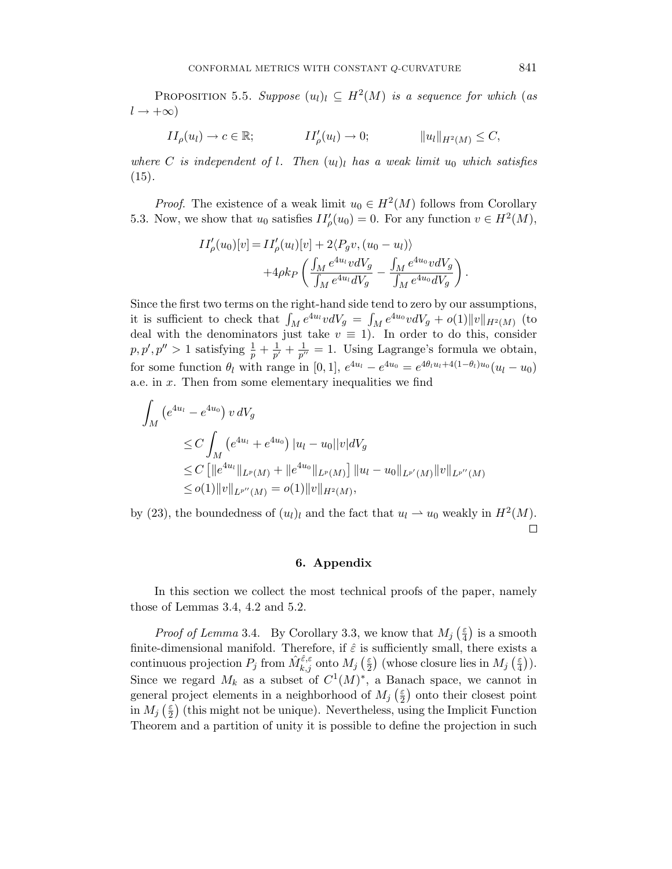PROPOSITION 5.5. Suppose  $(u_l)_l \subseteq H^2(M)$  is a sequence for which (as  $l \rightarrow +\infty$ )

$$
II_{\rho}(u_l) \to c \in \mathbb{R}; \qquad II'_{\rho}(u_l) \to 0; \qquad \qquad ||u_l||_{H^2(M)} \leq C,
$$

where C is independent of l. Then  $(u_l)_l$  has a weak limit  $u_0$  which satisfies  $(15).$ 

*Proof.* The existence of a weak limit  $u_0 \in H^2(M)$  follows from Corollary 5.3. Now, we show that  $u_0$  satisfies  $II'_\rho(u_0) = 0$ . For any function  $v \in H^2(M)$ ,

$$
II'_{\rho}(u_0)[v] = II'_{\rho}(u_l)[v] + 2\langle P_g v, (u_0 - u_l) \rangle + 4\rho k_P \left( \frac{\int_M e^{4u_l} v dV_g}{\int_M e^{4u_l} dV_g} - \frac{\int_M e^{4u_0} v dV_g}{\int_M e^{4u_0} dV_g} \right).
$$

Since the first two terms on the right-hand side tend to zero by our assumptions, it is sufficient to check that  $\int_M e^{4u_l} v dV_g = \int_M e^{4u_0} v dV_g + o(1) \|v\|_{H^2(M)}$  (to deal with the denominators just take  $v \equiv 1$ ). In order to do this, consider  $p, p', p'' > 1$  satisfying  $\frac{1}{p} + \frac{1}{p'}$  $\frac{1}{p'} + \frac{1}{p'}$  $\frac{1}{p^{\prime\prime}}=1.$  Using Lagrange's formula we obtain, for some function  $\theta_l$  with range in [0, 1],  $e^{4u_l} - e^{4u_0} = e^{4\theta_l u_l + 4(1-\theta_l)u_0}(u_l - u_0)$ a.e. in  $x$ . Then from some elementary inequalities we find

$$
\int_{M} (e^{4u_{l}} - e^{4u_{0}}) v dV_{g}
$$
\n
$$
\leq C \int_{M} (e^{4u_{l}} + e^{4u_{0}}) |u_{l} - u_{0}| |v| dV_{g}
$$
\n
$$
\leq C \left[ \|e^{4u_{l}}\|_{L^{p}(M)} + \|e^{4u_{0}}\|_{L^{p}(M)} \right] \|u_{l} - u_{0}\|_{L^{p'}(M)} \|v\|_{L^{p''}(M)}
$$
\n
$$
\leq o(1) \|v\|_{L^{p''}(M)} = o(1) \|v\|_{H^{2}(M)},
$$

by (23), the boundedness of  $(u_l)_l$  and the fact that  $u_l \rightharpoonup u_0$  weakly in  $H^2(M)$ .  $\Box$ 

### 6. Appendix

In this section we collect the most technical proofs of the paper, namely those of Lemmas 3.4, 4.2 and 5.2.

*Proof of Lemma* 3.4. By Corollary 3.3, we know that  $M_j \left( \frac{\varepsilon}{4} \right)$  $\frac{\varepsilon}{4}$ ) is a smooth finite-dimensional manifold. Therefore, if  $\hat{\varepsilon}$  is sufficiently small, there exists a continuous projection  $P_j$  from  $\hat{M}_{k,j}^{\hat{\varepsilon},\varepsilon}$  onto  $M_j$  ( $\frac{\varepsilon}{2}$  $\left(\frac{\varepsilon}{2}\right)$  (whose closure lies in  $M_j$  ( $\frac{\varepsilon}{4}$ )  $\frac{\varepsilon}{4})$ ). Since we regard  $M_k$  as a subset of  $C^1(M)^*$ , a Banach space, we cannot in general project elements in a neighborhood of  $M_j$  ( $\frac{\varepsilon}{2}$  $\frac{\varepsilon}{2}$  ) onto their closest point in  $M_j\left(\frac{\varepsilon}{2}\right)$  $\frac{\varepsilon}{2}$  (this might not be unique). Nevertheless, using the Implicit Function Theorem and a partition of unity it is possible to define the projection in such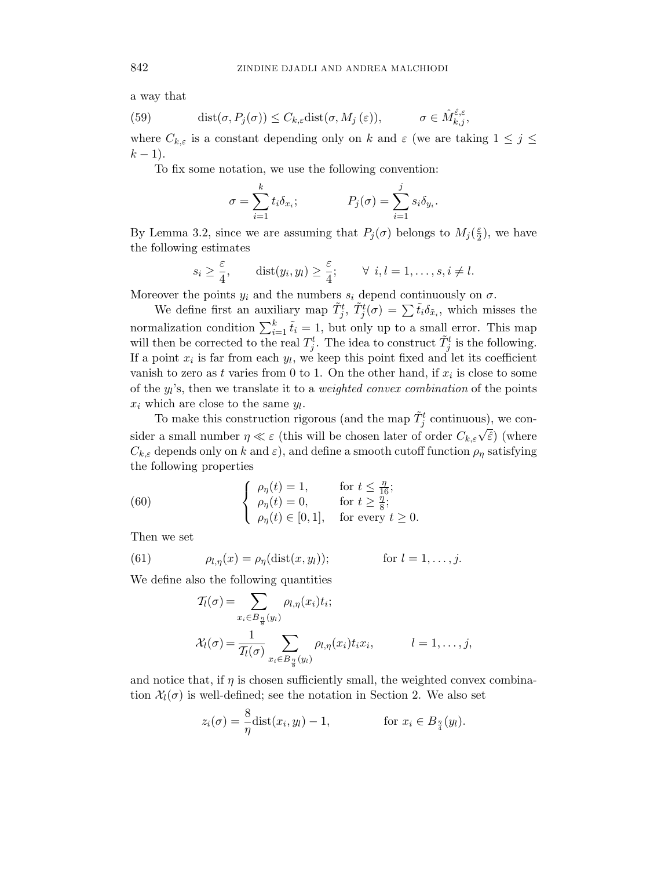a way that

(59) 
$$
\text{dist}(\sigma, P_j(\sigma)) \leq C_{k,\varepsilon} \text{dist}(\sigma, M_j(\varepsilon)), \qquad \sigma \in \hat{M}_{k,j}^{\hat{\varepsilon},\varepsilon},
$$

where  $C_{k,\varepsilon}$  is a constant depending only on k and  $\varepsilon$  (we are taking  $1 \leq j \leq$  $k-1$ ).

To fix some notation, we use the following convention:

$$
\sigma = \sum_{i=1}^k t_i \delta_{x_i}; \qquad \qquad P_j(\sigma) = \sum_{i=1}^j s_i \delta_{y_i}.
$$

By Lemma 3.2, since we are assuming that  $P_j(\sigma)$  belongs to  $M_j(\frac{\varepsilon}{2})$  $(\frac{\varepsilon}{2})$ , we have the following estimates

$$
s_i \ge \frac{\varepsilon}{4}
$$
,  $dist(y_i, y_l) \ge \frac{\varepsilon}{4}$ ;  $\forall i, l = 1, ..., s, i \ne l$ .

Moreover the points  $y_i$  and the numbers  $s_i$  depend continuously on  $\sigma$ .

We define first an auxiliary map  $\tilde{T}^t_j$ ,  $\tilde{T}^t_j(\sigma) = \sum \tilde{t}_i \delta_{\tilde{x}_i}$ , which misses the normalization condition  $\sum_{i=1}^{k} \tilde{t}_i = 1$ , but only up to a small error. This map will then be corrected to the real  $T_j^t$ . The idea to construct  $\tilde{T}_j^t$  is the following. If a point  $x_i$  is far from each  $y_i$ , we keep this point fixed and let its coefficient vanish to zero as t varies from 0 to 1. On the other hand, if  $x_i$  is close to some of the  $y_i$ 's, then we translate it to a *weighted convex combination* of the points  $x_i$  which are close to the same  $y_i$ .

To make this construction rigorous (and the map  $\tilde{T}^t_j$  continuous), we consider a small number  $\eta \ll \varepsilon$  (this will be chosen later of order  $C_{k,\varepsilon} \sqrt{\tilde{\varepsilon}}$ ) (where  $C_{k,\varepsilon}$  depends only on k and  $\varepsilon$ ), and define a smooth cutoff function  $\rho_{\eta}$  satisfying the following properties

(60) 
$$
\begin{cases} \rho_{\eta}(t) = 1, & \text{for } t \leq \frac{\eta}{16}; \\ \rho_{\eta}(t) = 0, & \text{for } t \geq \frac{\eta}{8}; \\ \rho_{\eta}(t) \in [0, 1], & \text{for every } t \geq 0. \end{cases}
$$

Then we set

(61) 
$$
\rho_{l,\eta}(x) = \rho_{\eta}(\text{dist}(x,y_l)); \qquad \text{for } l = 1,\ldots,j.
$$

We define also the following quantities

$$
T_l(\sigma) = \sum_{x_i \in B_{\frac{\eta}{8}}(y_l)} \rho_{l,\eta}(x_i) t_i;
$$
  

$$
\mathcal{X}_l(\sigma) = \frac{1}{\mathcal{T}_l(\sigma)} \sum_{x_i \in B_{\frac{\eta}{8}}(y_l)} \rho_{l,\eta}(x_i) t_i x_i, \qquad l = 1, \dots, j,
$$

and notice that, if  $\eta$  is chosen sufficiently small, the weighted convex combination  $\mathcal{X}_l(\sigma)$  is well-defined; see the notation in Section 2. We also set

$$
z_i(\sigma) = \frac{8}{\eta} \text{dist}(x_i, y_l) - 1, \qquad \text{for } x_i \in B_{\frac{\eta}{4}}(y_l).
$$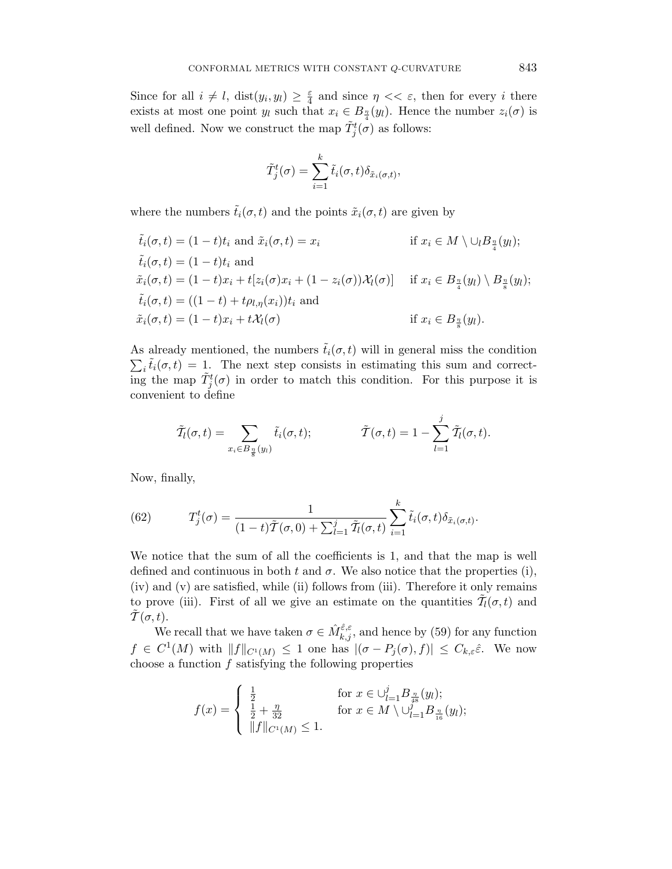Since for all  $i \neq l$ ,  $dist(y_i, y_l) \geq \frac{\varepsilon}{4}$  $\frac{\varepsilon}{4}$  and since  $\eta \ll \varepsilon$ , then for every *i* there exists at most one point  $y_l$  such that  $x_i \in B_{\frac{\eta}{4}}(y_l)$ . Hence the number  $z_i(\sigma)$  is well defined. Now we construct the map  $\tilde{T}^t_j(\sigma)$  as follows:

$$
\tilde{T}_j^t(\sigma) = \sum_{i=1}^k \tilde{t}_i(\sigma, t) \delta_{\tilde{x}_i(\sigma, t)},
$$

where the numbers  $\tilde{t}_i(\sigma, t)$  and the points  $\tilde{x}_i(\sigma, t)$  are given by

$$
\tilde{t}_i(\sigma, t) = (1 - t)t_i \text{ and } \tilde{x}_i(\sigma, t) = x_i \qquad \text{if } x_i \in M \setminus \bigcup_l B_{\frac{n}{4}}(y_l);
$$
\n
$$
\tilde{t}_i(\sigma, t) = (1 - t)t_i \text{ and }
$$
\n
$$
\tilde{x}_i(\sigma, t) = (1 - t)x_i + t[z_i(\sigma)x_i + (1 - z_i(\sigma))\mathcal{X}_l(\sigma)] \quad \text{if } x_i \in B_{\frac{n}{4}}(y_l) \setminus B_{\frac{n}{8}}(y_l);
$$
\n
$$
\tilde{t}_i(\sigma, t) = ((1 - t) + t\rho_{l,\eta}(x_i))t_i \text{ and }
$$
\n
$$
\tilde{x}_i(\sigma, t) = (1 - t)x_i + t\mathcal{X}_l(\sigma)
$$
\n
$$
\text{if } x_i \in B_{\frac{n}{8}}(y_l).
$$

As already mentioned, the numbers  $\tilde{t}_i(\sigma, t)$  will in general miss the condition  $\sum_i \tilde{t}_i(\sigma, t) = 1$ . The next step consists in estimating this sum and correct- $\overline{\text{C}}$  in  $\text{C}$  in order to match this condition. For this purpose it is convenient to define

$$
\tilde{T}_l(\sigma,t) = \sum_{x_i \in B_{\frac{n}{8}}(y_l)} \tilde{t}_i(\sigma,t); \qquad \tilde{T}(\sigma,t) = 1 - \sum_{l=1}^j \tilde{T}_l(\sigma,t).
$$

Now, finally,

(62) 
$$
T_j^t(\sigma) = \frac{1}{(1-t)\tilde{T}(\sigma,0) + \sum_{l=1}^j \tilde{T}_l(\sigma,t)} \sum_{i=1}^k \tilde{t}_i(\sigma,t) \delta_{\tilde{x}_i(\sigma,t)}.
$$

We notice that the sum of all the coefficients is 1, and that the map is well defined and continuous in both t and  $\sigma$ . We also notice that the properties (i), (iv) and (v) are satisfied, while (ii) follows from (iii). Therefore it only remains to prove (iii). First of all we give an estimate on the quantities  $\tilde{\mathcal{T}}_l(\sigma, t)$  and  $\overline{T}(\sigma, t)$ .

We recall that we have taken  $\sigma \in \hat{M}_{k,j}^{\hat{\varepsilon},\varepsilon}$ , and hence by (59) for any function  $f \in C^1(M)$  with  $||f||_{C^1(M)} \leq 1$  one has  $|(\sigma - P_j(\sigma), f)| \leq C_{k,\varepsilon} \hat{\varepsilon}$ . We now choose a function  $f$  satisfying the following properties

$$
f(x) = \begin{cases} \frac{1}{2} & \text{for } x \in \cup_{l=1}^{j} B_{\frac{n}{48}}(y_l); \\ \frac{1}{2} + \frac{\eta}{32} & \text{for } x \in M \setminus \cup_{l=1}^{j} B_{\frac{n}{16}}(y_l); \\ \|f\|_{C^1(M)} \le 1. \end{cases}
$$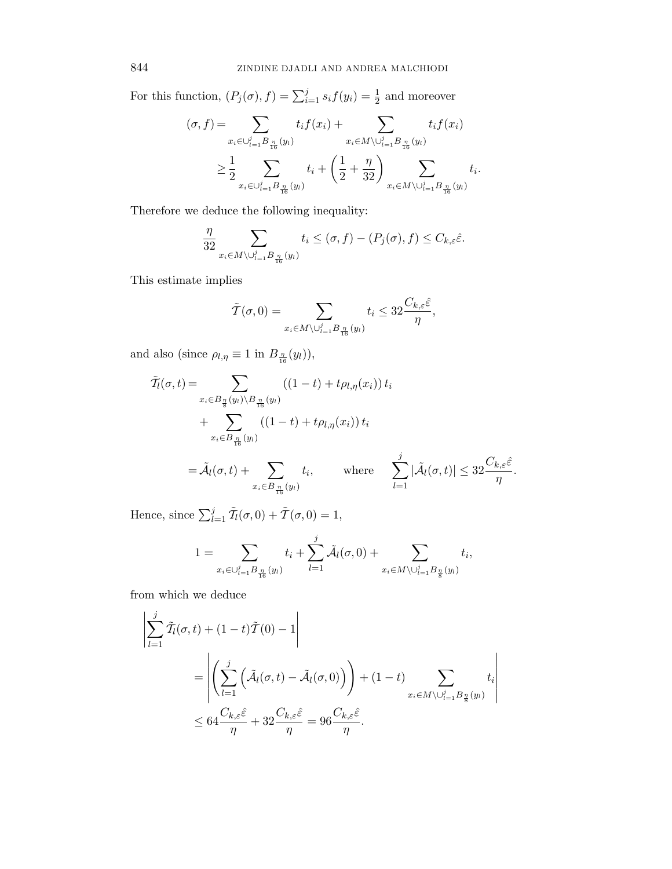For this function,  $(P_j(\sigma), f) = \sum_{i=1}^j s_i f(y_i) = \frac{1}{2}$  and moreover

$$
(\sigma, f) = \sum_{x_i \in \bigcup_{l=1}^j B_{\frac{\eta}{16}}(y_l)} t_i f(x_i) + \sum_{x_i \in M \setminus \bigcup_{l=1}^j B_{\frac{\eta}{16}}(y_l)} t_i f(x_i)
$$
  

$$
\geq \frac{1}{2} \sum_{x_i \in \bigcup_{l=1}^j B_{\frac{\eta}{16}}(y_l)} t_i + \left(\frac{1}{2} + \frac{\eta}{32}\right) \sum_{x_i \in M \setminus \bigcup_{l=1}^j B_{\frac{\eta}{16}}(y_l)} t_i.
$$

Therefore we deduce the following inequality:

$$
\frac{\eta}{32} \sum_{x_i \in M \setminus \cup_{l=1}^j B_{\frac{\eta}{16}}(y_l)} t_i \leq (\sigma, f) - (P_j(\sigma), f) \leq C_{k,\varepsilon} \hat{\varepsilon}.
$$

This estimate implies

$$
\tilde{T}(\sigma,0) = \sum_{x_i \in M \setminus \cup_{l=1}^j B_{\frac{\eta}{16}}(y_l)} t_i \leq 32 \frac{C_{k,\varepsilon} \hat{\varepsilon}}{\eta},
$$

and also (since  $\rho_{l,\eta} \equiv 1$  in  $B_{\frac{\eta}{16}}(y_l)$ ),

$$
\tilde{T}_l(\sigma, t) = \sum_{\substack{x_i \in B_{\frac{\eta}{8}}(y_l) \backslash B_{\frac{\eta}{16}}(y_l)}} ((1 - t) + t \rho_{l, \eta}(x_i)) t_i
$$
\n
$$
+ \sum_{\substack{x_i \in B_{\frac{\eta}{16}}(y_l)}} ((1 - t) + t \rho_{l, \eta}(x_i)) t_i
$$
\n
$$
= \tilde{\mathcal{A}}_l(\sigma, t) + \sum_{\substack{x_i \in B_{\frac{\eta}{16}}(y_l)}} t_i, \qquad \text{where} \qquad \sum_{l=1}^j |\tilde{\mathcal{A}}_l(\sigma, t)| \leq 32 \frac{C_{k, \varepsilon} \hat{\varepsilon}}{\eta}.
$$

Hence, since  $\sum_{l=1}^{j} \tilde{T}_l(\sigma, 0) + \tilde{T}(\sigma, 0) = 1$ ,

$$
1 = \sum_{x_i \in \bigcup_{l=1}^j B_{\frac{\eta}{16}}(y_l)} t_i + \sum_{l=1}^j \tilde{\mathcal{A}}_l(\sigma, 0) + \sum_{x_i \in M \setminus \bigcup_{l=1}^j B_{\frac{\eta}{8}}(y_l)} t_i,
$$

from which we deduce

$$
\left| \sum_{l=1}^{j} \tilde{T}_{l}(\sigma, t) + (1 - t)\tilde{T}(0) - 1 \right|
$$
  
= 
$$
\left| \left( \sum_{l=1}^{j} \left( \tilde{A}_{l}(\sigma, t) - \tilde{A}_{l}(\sigma, 0) \right) \right) + (1 - t) \sum_{x_{i} \in M \setminus \cup_{l=1}^{j} B_{\frac{\eta}{8}}(y_{l})} t_{i} \right|
$$
  

$$
\leq 64 \frac{C_{k, \varepsilon} \hat{\varepsilon}}{\eta} + 32 \frac{C_{k, \varepsilon} \hat{\varepsilon}}{\eta} = 96 \frac{C_{k, \varepsilon} \hat{\varepsilon}}{\eta}.
$$

 $\overline{\phantom{a}}$ I I I I I  $\mathsf{I}$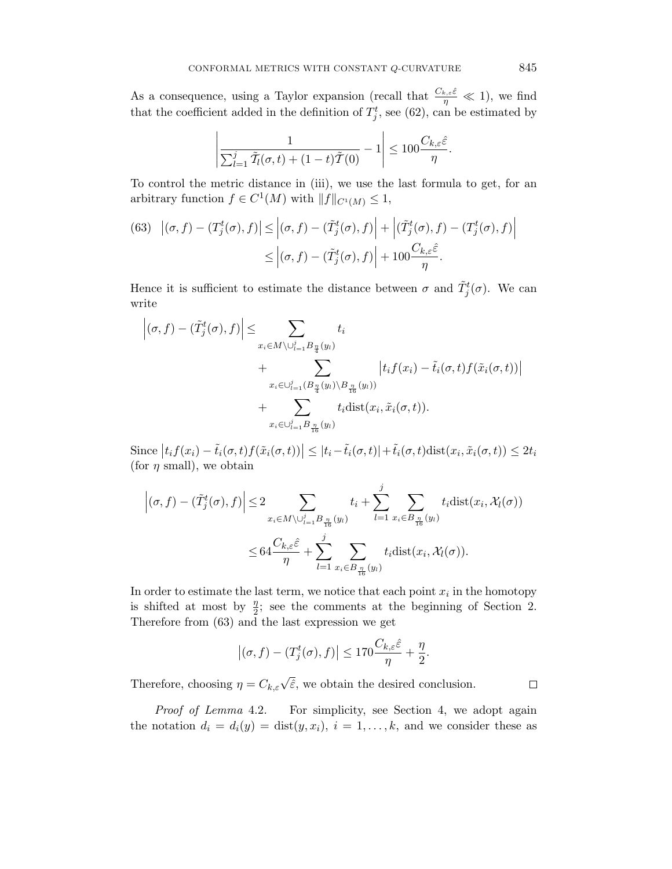As a consequence, using a Taylor expansion (recall that  $\frac{C_{k,\varepsilon}\hat{\varepsilon}}{\eta} \ll 1$ ), we find that the coefficient added in the definition of  $T_j^t$ , see (62), can be estimated by

$$
\left|\frac{1}{\sum_{l=1}^j \tilde{T}_l(\sigma,t) + (1-t)\tilde{T}(0)} - 1\right| \le 100 \frac{C_{k,\varepsilon} \hat{\varepsilon}}{\eta}.
$$

To control the metric distance in (iii), we use the last formula to get, for an arbitrary function  $f \in C^1(M)$  with  $||f||_{C^1(M)} \leq 1$ ,

(63) 
$$
|(\sigma, f) - (T_j^t(\sigma), f)| \le |(\sigma, f) - (\tilde{T}_j^t(\sigma), f)| + |(\tilde{T}_j^t(\sigma), f) - (T_j^t(\sigma), f)|
$$

$$
\le |(\sigma, f) - (\tilde{T}_j^t(\sigma), f)| + 100 \frac{C_{k,\varepsilon} \hat{\varepsilon}}{\eta}.
$$

Hence it is sufficient to estimate the distance between  $\sigma$  and  $\tilde{T}^t_j(\sigma)$ . We can write

$$
\left| (\sigma, f) - (\tilde{T}_j^t(\sigma), f) \right| \leq \sum_{x_i \in M \setminus \bigcup_{l=1}^j B_{\frac{\eta}{4}}(y_l)} t_i
$$
  
+ 
$$
\sum_{x_i \in \bigcup_{l=1}^j (B_{\frac{\eta}{4}}(y_l) \setminus B_{\frac{\eta}{16}}(y_l))} |t_i f(x_i) - \tilde{t}_i(\sigma, t) f(\tilde{x}_i(\sigma, t))|
$$
  
+ 
$$
\sum_{x_i \in \bigcup_{l=1}^j B_{\frac{\eta}{16}}(y_l)} t_i \text{dist}(x_i, \tilde{x}_i(\sigma, t)).
$$

Since  $|t_i f(x_i) - \tilde{t}_i(\sigma, t) f(\tilde{x}_i(\sigma, t))| \leq |t_i - \tilde{t}_i(\sigma, t)| + \tilde{t}_i(\sigma, t) \text{dist}(x_i, \tilde{x}_i(\sigma, t)) \leq 2t_i$ (for  $\eta$  small), we obtain

$$
\left| (\sigma, f) - (\tilde{T}_j^t(\sigma), f) \right| \le 2 \sum_{x_i \in M \setminus \cup_{l=1}^j B_{\frac{\eta}{16}}(y_l)} t_i + \sum_{l=1}^j \sum_{x_i \in B_{\frac{\eta}{16}}(y_l)} t_i \text{dist}(x_i, \mathcal{X}_l(\sigma))
$$
  

$$
\le 64 \frac{C_{k,\varepsilon} \hat{\varepsilon}}{\eta} + \sum_{l=1}^j \sum_{x_i \in B_{\frac{\eta}{16}}(y_l)} t_i \text{dist}(x_i, \mathcal{X}_l(\sigma)).
$$

In order to estimate the last term, we notice that each point  $x_i$  in the homotopy is shifted at most by  $\frac{\eta}{2}$ ; see the comments at the beginning of Section 2. Therefore from (63) and the last expression we get

$$
\left|(\sigma, f) - (T_j^t(\sigma), f)\right| \le 170 \frac{C_{k,\varepsilon} \hat{\varepsilon}}{\eta} + \frac{\eta}{2}.
$$

Therefore, choosing  $\eta = C_{k,\varepsilon} \sqrt{\hat{\varepsilon}}$ , we obtain the desired conclusion.

Proof of Lemma 4.2. For simplicity, see Section 4, we adopt again the notation  $d_i = d_i(y) = \text{dist}(y, x_i), i = 1, \ldots, k$ , and we consider these as

 $\Box$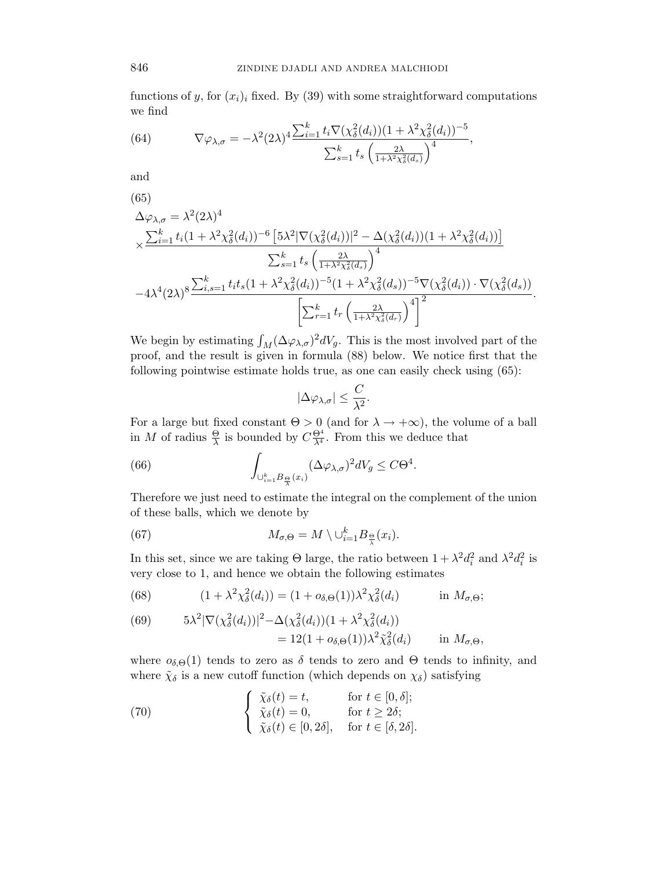functions of y, for  $(x_i)_i$  fixed. By (39) with some straightforward computations we find

(64) 
$$
\nabla \varphi_{\lambda,\sigma} = -\lambda^2 (2\lambda)^4 \frac{\sum_{i=1}^k t_i \nabla (\chi^2_{\delta}(d_i))(1 + \lambda^2 \chi^2_{\delta}(d_i))^{-5}}{\sum_{s=1}^k t_s \left(\frac{2\lambda}{1 + \lambda^2 \chi^2_{\delta}(d_s)}\right)^4},
$$

and

(65)  
\n
$$
\Delta \varphi_{\lambda,\sigma} = \lambda^2 (2\lambda)^4
$$
\n
$$
\times \frac{\sum_{i=1}^k t_i (1 + \lambda^2 \chi_\delta^2(d_i))^{-6} \left[ 5\lambda^2 |\nabla(\chi_\delta^2(d_i))|^2 - \Delta(\chi_\delta^2(d_i)) (1 + \lambda^2 \chi_\delta^2(d_i)) \right]}{\sum_{s=1}^k t_s \left( \frac{2\lambda}{1 + \lambda^2 \chi_\delta^2(d_s)} \right)^4}
$$
\n
$$
-4\lambda^4 (2\lambda)^8 \frac{\sum_{i,s=1}^k t_i t_s (1 + \lambda^2 \chi_\delta^2(d_i))^{-5} (1 + \lambda^2 \chi_\delta^2(d_s))^{-5} \nabla(\chi_\delta^2(d_i)) \cdot \nabla(\chi_\delta^2(d_s))}{\left[ \sum_{r=1}^k t_r \left( \frac{2\lambda}{1 + \lambda^2 \chi_\delta^2(d_r)} \right)^4 \right]^2}.
$$

We begin by estimating  $\int_M (\Delta \varphi_{\lambda,\sigma})^2 dV_g$ . This is the most involved part of the proof, and the result is given in formula (88) below. We notice first that the following pointwise estimate holds true, as one can easily check using (65):

$$
|\Delta\varphi_{\lambda,\sigma}|\leq \frac{C}{\lambda^2}.
$$

For a large but fixed constant  $\Theta > 0$  (and for  $\lambda \to +\infty$ ), the volume of a ball in M of radius  $\frac{\Theta}{\lambda}$  is bounded by  $C\frac{\Theta^4}{\lambda^4}$ . From this we deduce that

(66) 
$$
\int_{\cup_{i=1}^k B_{\frac{\Theta}{\lambda}}(x_i)} (\Delta \varphi_{\lambda,\sigma})^2 dV_g \leq C\Theta^4.
$$

Therefore we just need to estimate the integral on the complement of the union of these balls, which we denote by

(67) 
$$
M_{\sigma,\Theta} = M \setminus \bigcup_{i=1}^k B_{\frac{\Theta}{\lambda}}(x_i).
$$

In this set, since we are taking  $\Theta$  large, the ratio between  $1 + \lambda^2 d_i^2$  and  $\lambda^2 d_i^2$  is very close to 1, and hence we obtain the following estimates

(68) 
$$
(1 + \lambda^2 \chi_{\delta}^2(d_i)) = (1 + o_{\delta,\Theta}(1))\lambda^2 \chi_{\delta}^2(d_i) \qquad \text{in } M_{\sigma,\Theta};
$$

(69) 
$$
5\lambda^2 |\nabla(\chi^2_{\delta}(d_i))|^2 - \Delta(\chi^2_{\delta}(d_i))(1 + \lambda^2 \chi^2_{\delta}(d_i))
$$

$$
= 12(1 + o_{\delta,\Theta}(1))\lambda^2 \tilde{\chi}^2_{\delta}(d_i) \qquad \text{in } M_{\sigma,\Theta},
$$

where  $\sigma_{\delta,\Theta}(1)$  tends to zero as  $\delta$  tends to zero and  $\Theta$  tends to infinity, and where  $\tilde{\chi}_{\delta}$  is a new cutoff function (which depends on  $\chi_{\delta}$ ) satisfying

(70) 
$$
\begin{cases} \tilde{\chi}_{\delta}(t) = t, & \text{for } t \in [0, \delta];\\ \tilde{\chi}_{\delta}(t) = 0, & \text{for } t \geq 2\delta;\\ \tilde{\chi}_{\delta}(t) \in [0, 2\delta], & \text{for } t \in [\delta, 2\delta]. \end{cases}
$$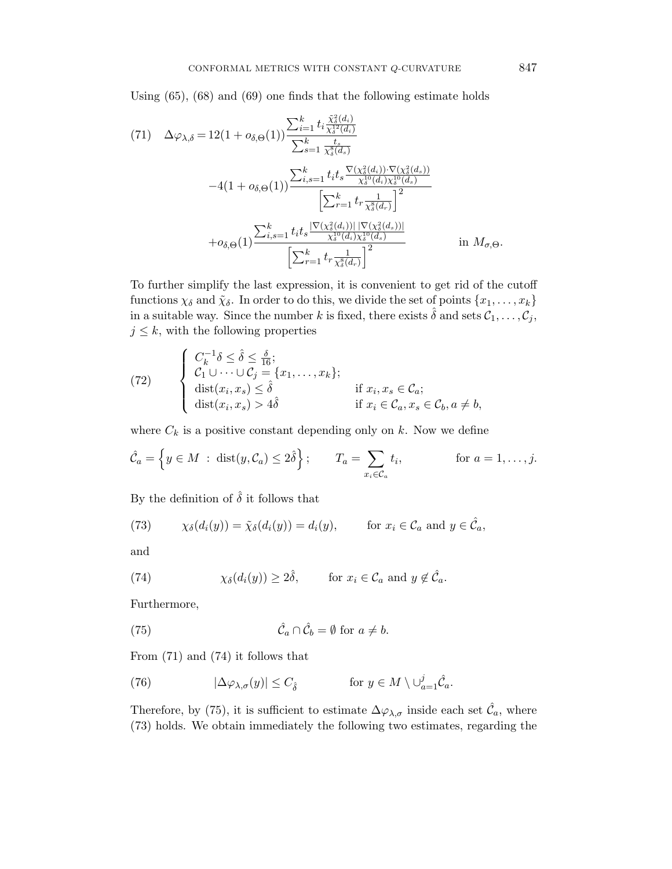Using (65), (68) and (69) one finds that the following estimate holds

$$
(71) \quad \Delta\varphi_{\lambda,\delta} = 12(1 + o_{\delta,\Theta}(1)) \frac{\sum_{i=1}^{k} t_{i} \frac{\tilde{\chi}_{\delta}^{2}(d_{i})}{\chi_{\delta}^{12}(d_{i})}}{\sum_{s=1}^{k} \frac{t_{s}}{\chi_{\delta}^{8}(d_{s})}} -4(1 + o_{\delta,\Theta}(1)) \frac{\sum_{i,s=1}^{k} t_{i}t_{s} \frac{\nabla(\chi_{\delta}^{2}(d_{i})) \cdot \nabla(\chi_{\delta}^{2}(d_{s}))}{\chi_{\delta}^{10}(d_{i}) \chi_{\delta}^{10}(d_{s})}}{\left[\sum_{r=1}^{k} t_{r} \frac{1}{\chi_{\delta}^{8}(d_{r})}\right]^{2}} + o_{\delta,\Theta}(1) \frac{\sum_{i,s=1}^{k} t_{i}t_{s} \frac{|\nabla(\chi_{\delta}^{2}(d_{i}))| |\nabla(\chi_{\delta}^{2}(d_{s}))|}{\chi_{\delta}^{10}(d_{i}) \chi_{\delta}^{10}(d_{s})}}{\left[\sum_{r=1}^{k} t_{r} \frac{1}{\chi_{\delta}^{8}(d_{r})}\right]^{2}} \quad \text{in } M_{\sigma,\Theta}.
$$

To further simplify the last expression, it is convenient to get rid of the cutoff functions  $\chi_{\delta}$  and  $\tilde{\chi}_{\delta}$ . In order to do this, we divide the set of points  $\{x_1, \ldots, x_k\}$ in a suitable way. Since the number k is fixed, there exists  $\hat{\delta}$  and sets  $\mathcal{C}_1, \ldots, \mathcal{C}_j$ ,  $j \leq k$ , with the following properties

(72) 
$$
\begin{cases}\nC_k^{-1}\delta \leq \hat{\delta} \leq \frac{\delta}{16};\\ \nC_1 \cup \cdots \cup C_j = \{x_1, \ldots, x_k\};\\ \n\text{dist}(x_i, x_s) \leq \hat{\delta} & \text{if } x_i, x_s \in \mathcal{C}_a;\\ \n\text{dist}(x_i, x_s) > 4\hat{\delta} & \text{if } x_i \in \mathcal{C}_a, x_s \in \mathcal{C}_b, a \neq b,\n\end{cases}
$$

where  $C_k$  is a positive constant depending only on k. Now we define

$$
\hat{\mathcal{C}}_a = \left\{ y \in M \; : \; \text{dist}(y, \mathcal{C}_a) \le 2\hat{\delta} \right\}; \qquad T_a = \sum_{x_i \in \mathcal{C}_a} t_i, \qquad \text{for } a = 1, \dots, j.
$$

By the definition of  $\hat{\delta}$  it follows that

(73) 
$$
\chi_{\delta}(d_i(y)) = \tilde{\chi}_{\delta}(d_i(y)) = d_i(y), \quad \text{for } x_i \in \mathcal{C}_a \text{ and } y \in \hat{\mathcal{C}}_a,
$$

and

(74) 
$$
\chi_{\delta}(d_i(y)) \ge 2\hat{\delta}, \quad \text{for } x_i \in \mathcal{C}_a \text{ and } y \notin \hat{\mathcal{C}}_a.
$$

Furthermore,

(75) 
$$
\hat{\mathcal{C}}_a \cap \hat{\mathcal{C}}_b = \emptyset \text{ for } a \neq b.
$$

From (71) and (74) it follows that

(76) 
$$
|\Delta \varphi_{\lambda,\sigma}(y)| \leq C_{\hat{\delta}} \quad \text{for } y \in M \setminus \cup_{a=1}^j \hat{\mathcal{C}}_a.
$$

Therefore, by (75), it is sufficient to estimate  $\Delta\varphi_{\lambda,\sigma}$  inside each set  $\hat{\mathcal{C}}_a$ , where (73) holds. We obtain immediately the following two estimates, regarding the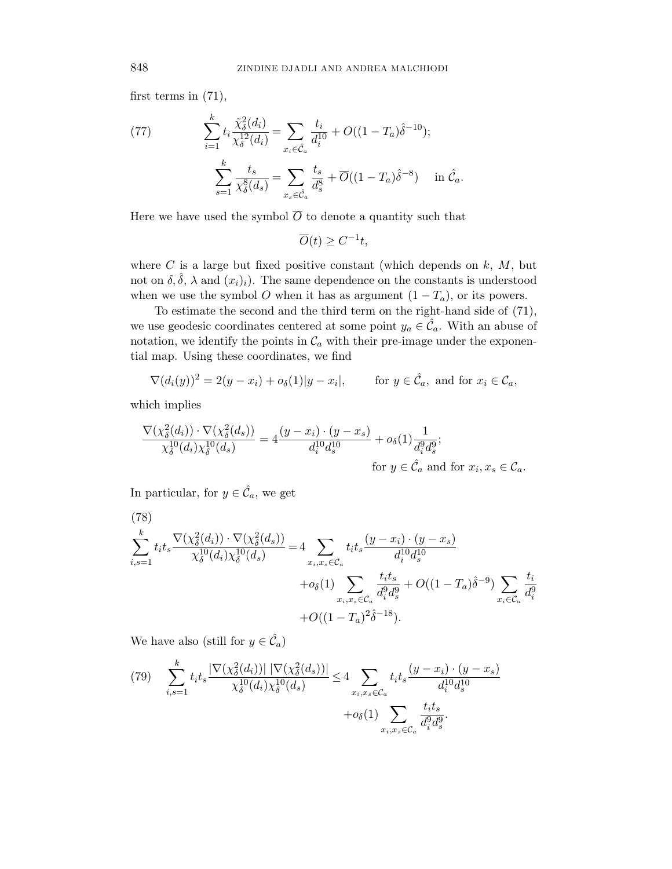first terms in (71),

(77) 
$$
\sum_{i=1}^{k} t_i \frac{\tilde{\chi}_{\delta}^2(d_i)}{\chi_{\delta}^{12}(d_i)} = \sum_{x_i \in \hat{\mathcal{C}}_a} \frac{t_i}{d_i^{10}} + O((1 - T_a)\hat{\delta}^{-10});
$$

$$
\sum_{s=1}^{k} \frac{t_s}{\chi_{\delta}^8(d_s)} = \sum_{x_s \in \hat{\mathcal{C}}_a} \frac{t_s}{d_s^8} + \overline{O}((1 - T_a)\hat{\delta}^{-8}) \quad \text{in } \hat{\mathcal{C}}_a.
$$

Here we have used the symbol  $\overline{O}$  to denote a quantity such that

$$
\overline{O}(t) \ge C^{-1}t,
$$

where  $C$  is a large but fixed positive constant (which depends on  $k, M$ , but not on  $\delta$ ,  $\hat{\delta}$ ,  $\lambda$  and  $(x_i)_i$ . The same dependence on the constants is understood when we use the symbol O when it has as argument  $(1 - T_a)$ , or its powers.

To estimate the second and the third term on the right-hand side of (71), we use geodesic coordinates centered at some point  $y_a \in \hat{C}_a$ . With an abuse of notation, we identify the points in  $\mathcal{C}_a$  with their pre-image under the exponential map. Using these coordinates, we find

$$
\nabla (d_i(y))^2 = 2(y - x_i) + o_\delta(1)|y - x_i|, \quad \text{for } y \in \hat{\mathcal{C}}_a, \text{ and for } x_i \in \mathcal{C}_a,
$$

which implies

$$
\frac{\nabla(\chi^2_{\delta}(d_i)) \cdot \nabla(\chi^2_{\delta}(d_s))}{\chi^{10}_{\delta}(d_i)\chi^{10}_{\delta}(d_s)} = 4 \frac{(y - x_i) \cdot (y - x_s)}{d_i^{10} d_s^{10}} + o_{\delta}(1) \frac{1}{d_i^{9} d_s^{9}};
$$
  
for  $y \in \hat{\mathcal{C}}_a$  and for  $x_i, x_s \in \mathcal{C}_a$ .

In particular, for  $y \in \hat{\mathcal{C}}_a$ , we get

(78)  
\n
$$
\sum_{i,s=1}^{k} t_i t_s \frac{\nabla(\chi_{\delta}^2(d_i)) \cdot \nabla(\chi_{\delta}^2(d_s))}{\chi_{\delta}^{10}(d_i) \chi_{\delta}^{10}(d_s)} = 4 \sum_{x_i, x_s \in \mathcal{C}_a} t_i t_s \frac{(y - x_i) \cdot (y - x_s)}{d_i^{10} d_s^{10}}
$$
\n
$$
+ o_{\delta}(1) \sum_{x_i, x_s \in \mathcal{C}_a} \frac{t_i t_s}{d_i^{9} d_s^{9}} + O((1 - T_a) \hat{\delta}^{-9}) \sum_{x_i \in \mathcal{C}_a} \frac{t_i}{d_i^{9}}
$$
\n
$$
+ O((1 - T_a)^2 \hat{\delta}^{-18}).
$$

We have also (still for  $y \in \hat{C}_a$ )

(79) 
$$
\sum_{i,s=1}^{k} t_i t_s \frac{|\nabla(\chi^2_{\delta}(d_i))| |\nabla(\chi^2_{\delta}(d_s))|}{\chi^{\{10\}}_{\delta}(d_i) \chi^{\{0\}}_{\delta}(d_s)} \leq 4 \sum_{x_i,x_s \in \mathcal{C}_a} t_i t_s \frac{(y-x_i) \cdot (y-x_s)}{d_i^{10} d_s^{10}} + o_{\delta}(1) \sum_{x_i,x_s \in \mathcal{C}_a} \frac{t_i t_s}{d_i^{9} d_s^{9}}.
$$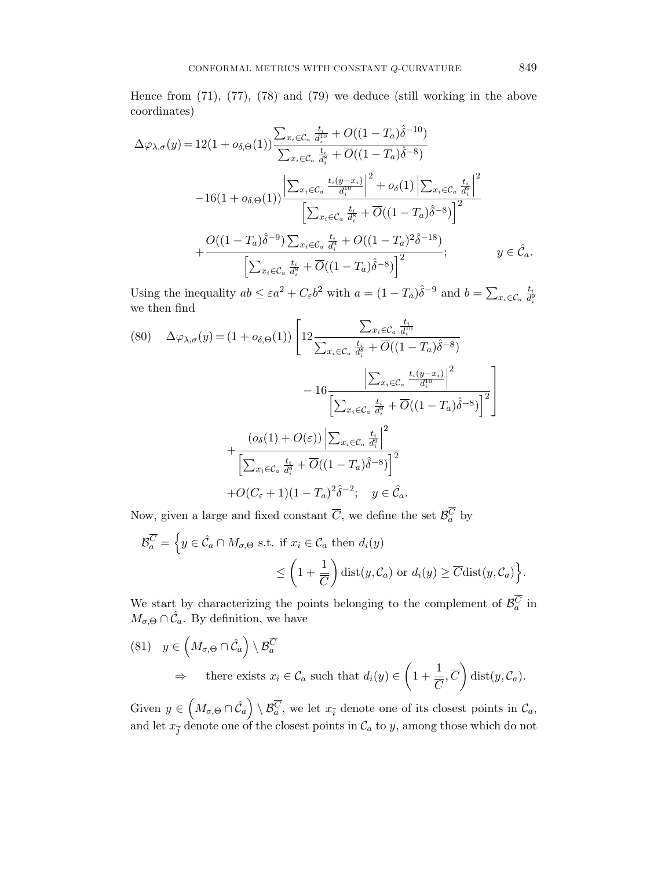Hence from (71), (77), (78) and (79) we deduce (still working in the above coordinates)

$$
\Delta\varphi_{\lambda,\sigma}(y) = 12(1 + o_{\delta,\Theta}(1)) \frac{\sum_{x_i \in \mathcal{C}_a} \frac{t_i}{d_i^{10}} + O((1 - T_a)\hat{\delta}^{-10})}{\sum_{x_i \in \mathcal{C}_a} \frac{t_i}{d_i^{8}} + \overline{O}((1 - T_a)\hat{\delta}^{-8})}
$$

$$
-16(1 + o_{\delta,\Theta}(1)) \frac{\left|\sum_{x_i \in \mathcal{C}_a} \frac{t_i(y - x_i)}{d_i^{10}}\right|^2 + o_{\delta}(1) \left|\sum_{x_i \in \mathcal{C}_a} \frac{t_i}{d_i^{8}}\right|^2}{\left[\sum_{x_i \in \mathcal{C}_a} \frac{t_i}{d_i^{8}} + \overline{O}((1 - T_a)\hat{\delta}^{-8})\right]^2}
$$

$$
+ \frac{O((1 - T_a)\hat{\delta}^{-9}) \sum_{x_i \in \mathcal{C}_a} \frac{t_i}{d_i^{8}} + O((1 - T_a)^2 \hat{\delta}^{-18})}{\left[\sum_{x_i \in \mathcal{C}_a} \frac{t_i}{d_i^{8}} + \overline{O}((1 - T_a)\hat{\delta}^{-8})\right]^2}; \qquad y \in \hat{\mathcal{C}}_a.
$$

Using the inequality  $ab \leq \varepsilon a^2 + C_{\varepsilon} b^2$  with  $a = (1 - T_a)\hat{\delta}^{-9}$  and  $b = \sum_{x_i \in C_a} \frac{t_i}{d_i^5}$  $\overline{d_i^9}$ we then find

$$
(80) \quad \Delta \varphi_{\lambda,\sigma}(y) = (1 + o_{\delta,\Theta}(1)) \left[ 12 \frac{\sum_{x_i \in \mathcal{C}_a} \frac{t_i}{d_i^{10}}}{\sum_{x_i \in \mathcal{C}_a} \frac{t_i}{d_i^{8}} + \overline{O}((1 - T_a)\hat{\delta}^{-8})} - 16 \frac{\left| \sum_{x_i \in \mathcal{C}_a} \frac{t_i(y - x_i)}{d_i^{10}} \right|^2}{\left[ \sum_{x_i \in \mathcal{C}_a} \frac{t_i}{d_i^{8}} + \overline{O}((1 - T_a)\hat{\delta}^{-8}) \right]^2} \right] + \frac{(o_{\delta}(1) + O(\varepsilon)) \left| \sum_{x_i \in \mathcal{C}_a} \frac{t_i}{d_i^{8}} \right|^2}{\left[ \sum_{x_i \in \mathcal{C}_a} \frac{t_i}{d_i^{8}} + \overline{O}((1 - T_a)\hat{\delta}^{-8}) \right]^2} + O(C_{\varepsilon} + 1)(1 - T_a)^2 \hat{\delta}^{-2}; \quad y \in \hat{\mathcal{C}}_a.
$$

Now, given a large and fixed constant  $\overline{C}$ , we define the set  $\mathcal{B}_a^C$  by

$$
\mathcal{B}_a^{\overline{C}} = \left\{ y \in \hat{\mathcal{C}}_a \cap M_{\sigma,\Theta} \text{ s.t. if } x_i \in \mathcal{C}_a \text{ then } d_i(y) \right\}
$$

$$
\leq \left( 1 + \frac{1}{\overline{C}} \right) \text{dist}(y, \mathcal{C}_a) \text{ or } d_i(y) \geq \overline{C} \text{dist}(y, \mathcal{C}_a) \right\}.
$$

We start by characterizing the points belonging to the complement of  $\mathcal{B}_a^C$  in  $M_{\sigma,\Theta} \cap \hat{\mathcal{C}}_a$ . By definition, we have

(81) 
$$
y \in \left( M_{\sigma,\Theta} \cap \hat{\mathcal{C}}_a \right) \setminus \mathcal{B}_a^{\overline{C}}
$$
  
\n $\Rightarrow$  there exists  $x_i \in \mathcal{C}_a$  such that  $d_i(y) \in \left( 1 + \frac{1}{\overline{C}}, \overline{C} \right)$  dist $(y, \mathcal{C}_a)$ .

Given  $y \in \left(M_{\sigma,\Theta} \cap \hat{\mathcal{C}}_a\right) \setminus \mathcal{B}_a^{\overline{C}}$ , we let  $x_{\overline{i}}$  denote one of its closest points in  $\mathcal{C}_a$ , and let  $x_{\overline{j}}$  denote one of the closest points in  $\mathcal{C}_a$  to  $y$ , among those which do not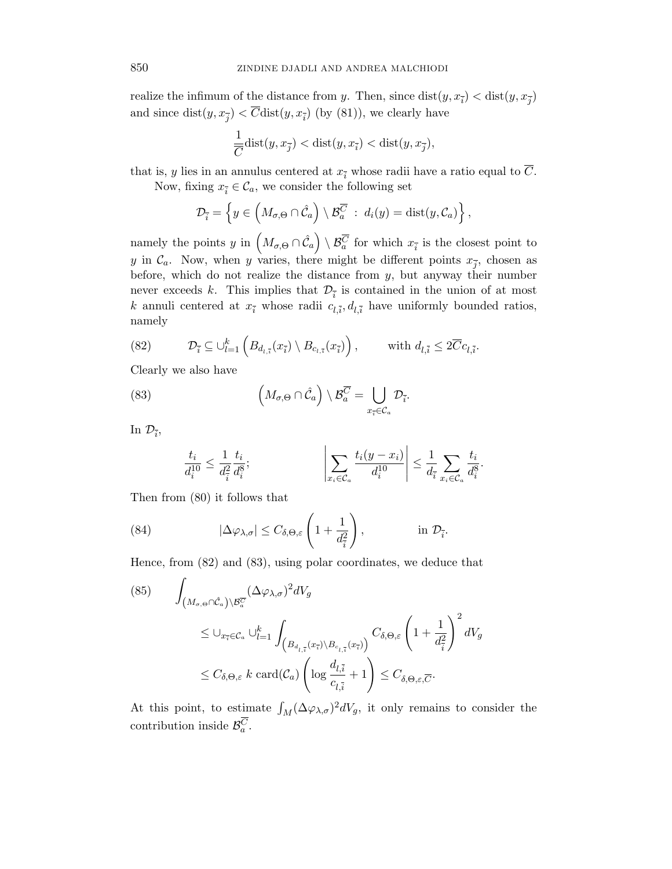realize the infimum of the distance from y. Then, since  $dist(y, x_{\overline{i}}) < dist(y, x_{\overline{j}})$ and since  $dist(y, x_{\overline{j}}) < \overline{C}dist(y, x_{\overline{i}})$  (by (81)), we clearly have

$$
\frac{1}{\overline{C}}\textnormal{dist}(y,x_{\overline{j}})<\textnormal{dist}(y,x_{\overline{i}})<\textnormal{dist}(y,x_{\overline{j}}),
$$

that is, y lies in an annulus centered at  $x_{\overline{i}}$  whose radii have a ratio equal to  $\overline{C}$ .

Now, fixing  $x_{\overline{i}} \in \mathcal{C}_a$ , we consider the following set

$$
\mathcal{D}_{\overline{i}} = \left\{ y \in \left( M_{\sigma,\Theta} \cap \hat{\mathcal{C}}_a \right) \setminus \mathcal{B}_a^{\overline{C}} \ : \ d_i(y) = \text{dist}(y,\mathcal{C}_a) \right\},\
$$

namely the points y in  $(M_{\sigma,\Theta} \cap \hat{C}_a) \setminus \mathcal{B}_a^{\overline{C}}$  for which  $x_{\overline{i}}$  is the closest point to y in  $\mathcal{C}_a$ . Now, when y varies, there might be different points  $x_{\overline{j}}$ , chosen as before, which do not realize the distance from y, but anyway their number never exceeds k. This implies that  $\mathcal{D}_{\bar{i}}$  is contained in the union of at most k annuli centered at  $x_{\bar{i}}$  whose radii  $c_{l,\bar{i}}$ ,  $d_{l,\bar{i}}$  have uniformly bounded ratios, namely

(82) 
$$
\mathcal{D}_{\overline{i}} \subseteq \bigcup_{l=1}^k \left( B_{d_{l,\overline{i}}}(x_{\overline{i}}) \setminus B_{c_{l,\overline{i}}}(x_{\overline{i}}) \right), \quad \text{with } d_{l,\overline{i}} \leq 2\overline{C}c_{l,\overline{i}}.
$$

Clearly we also have

(83) 
$$
\left(M_{\sigma,\Theta}\cap\hat{\mathcal{C}}_a\right)\setminus\mathcal{B}_a^{\overline{C}}=\bigcup_{x_{\overline{i}}\in\mathcal{C}_a}\mathcal{D}_{\overline{i}}.
$$

In  $\mathcal{D}_{\overline{i}},$ 

$$
\frac{t_i}{d_i^{10}} \le \frac{1}{d_i^2} \frac{t_i}{d_i^8};\n\qquad \qquad \bigg|\sum_{x_i \in \mathcal{C}_a} \frac{t_i(y-x_i)}{d_i^{10}}\bigg| \le \frac{1}{d_i} \sum_{x_i \in \mathcal{C}_a} \frac{t_i}{d_i^8}.
$$

Then from (80) it follows that

(84) 
$$
|\Delta \varphi_{\lambda,\sigma}| \leq C_{\delta,\Theta,\varepsilon} \left(1 + \frac{1}{d_{\overline{i}}^2}\right), \qquad \text{in } \mathcal{D}_{\overline{i}}.
$$

Hence, from (82) and (83), using polar coordinates, we deduce that

(85) 
$$
\int_{\left(M_{\sigma,\Theta}\cap\hat{\mathcal{C}}_{a}\right)\backslash\mathcal{B}_{a}^{\overline{C}}} (\Delta\varphi_{\lambda,\sigma})^{2} dV_{g}
$$
  
\n
$$
\leq \cup_{x_{\overline{i}} \in \mathcal{C}_{a}} \cup_{l=1}^{k} \int_{\left(B_{d_{l,\overline{i}}}(x_{\overline{i}})\backslash B_{c_{l,\overline{i}}}(x_{\overline{i}})\right)} C_{\delta,\Theta,\varepsilon} \left(1 + \frac{1}{d_{\overline{i}}^{2}}\right)^{2} dV_{g}
$$
  
\n
$$
\leq C_{\delta,\Theta,\varepsilon} k \operatorname{card}(\mathcal{C}_{a}) \left(\log \frac{d_{l,\overline{i}}}{c_{l,\overline{i}}} + 1\right) \leq C_{\delta,\Theta,\varepsilon,\overline{C}}.
$$

At this point, to estimate  $\int_M (\Delta \varphi_{\lambda,\sigma})^2 dV_g$ , it only remains to consider the contribution inside  $\mathcal{B}_a^C$ .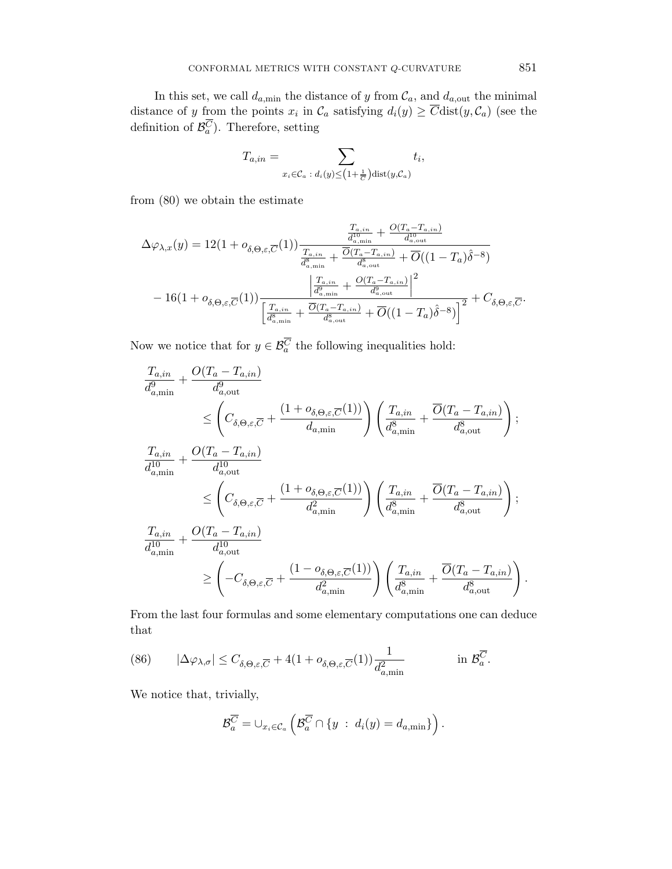In this set, we call  $d_{a,\min}$  the distance of y from  $\mathcal{C}_a$ , and  $d_{a,\text{out}}$  the minimal distance of y from the points  $x_i$  in  $\mathcal{C}_a$  satisfying  $d_i(y) \geq C \text{dist}(y, \mathcal{C}_a)$  (see the definition of  $\mathcal{B}_a^C$ ). Therefore, setting

$$
T_{a,in} = \sum_{x_i \in \mathcal{C}_a \; : \; d_i(y) \leq \left(1 + \frac{1}{\overline{C}}\right) \text{dist}(y, \mathcal{C}_a)} t_i,
$$

from (80) we obtain the estimate

$$
\Delta\varphi_{\lambda,x}(y) = 12(1 + o_{\delta,\Theta,\varepsilon,\overline{C}}(1)) \frac{\frac{T_{a,in}}{d_{a,\min}^{10}} + \frac{O(T_a - T_{a,in})}{d_{a,\min}^{10}}}{\frac{T_{a,in}}{d_{a,\min}^8} + \frac{\overline{O}(T_a - T_{a,in})}{d_{a,\min}^8} + \overline{O}((1 - T_a)\hat{\delta}^{-8})}
$$

$$
-16(1 + o_{\delta,\Theta,\varepsilon,\overline{C}}(1)) \frac{\left|\frac{T_{a,in}}{d_{a,\min}^8} + \frac{O(T_a - T_{a,in})}{d_{a,\text{out}}^8}\right|^2}{\left[\frac{T_{a,in}}{d_{a,\min}^8} + \frac{\overline{O}(T_a - T_{a,in})}{d_{a,\text{out}}^8} + \overline{O}((1 - T_a)\hat{\delta}^{-8})\right]^2} + C_{\delta,\Theta,\varepsilon,\overline{C}}.
$$

Now we notice that for  $y \in \mathcal{B}_a^C$  the following inequalities hold:

$$
\frac{T_{a,in}}{d_{a,min}^9} + \frac{O(T_a - T_{a,in})}{d_{a,out}^9} \n\leq \left(C_{\delta,\Theta,\varepsilon,\overline{C}} + \frac{(1 + o_{\delta,\Theta,\varepsilon,\overline{C}}(1))}{d_{a,min}}\right) \left(\frac{T_{a,in}}{d_{a,min}^8} + \frac{\overline{O}(T_a - T_{a,in})}{d_{a,out}^8}\right);
$$
\n
$$
\frac{T_{a,in}}{d_{a,min}^{10}} + \frac{O(T_a - T_{a,in})}{d_{a,out}^{10}}
$$
\n
$$
\leq \left(C_{\delta,\Theta,\varepsilon,\overline{C}} + \frac{(1 + o_{\delta,\Theta,\varepsilon,\overline{C}}(1))}{d_{a,min}^2}\right) \left(\frac{T_{a,in}}{d_{a,min}^8} + \frac{\overline{O}(T_a - T_{a,in})}{d_{a,out}^8}\right);
$$
\n
$$
\frac{T_{a,in}}{d_{a,min}^{10}} + \frac{O(T_a - T_{a,in})}{d_{a,out}^{10}}
$$
\n
$$
\geq \left(-C_{\delta,\Theta,\varepsilon,\overline{C}} + \frac{(1 - o_{\delta,\Theta,\varepsilon,\overline{C}}(1))}{d_{a,min}^2}\right) \left(\frac{T_{a,in}}{d_{a,min}^8} + \frac{\overline{O}(T_a - T_{a,in})}{d_{a,out}^8}\right).
$$

From the last four formulas and some elementary computations one can deduce that

(86) 
$$
|\Delta \varphi_{\lambda,\sigma}| \leq C_{\delta,\Theta,\varepsilon,\overline{C}} + 4(1 + o_{\delta,\Theta,\varepsilon,\overline{C}}(1))\frac{1}{d_{a,\min}^2} \qquad \text{in } \mathcal{B}_a^{\overline{C}}.
$$

We notice that, trivially,

$$
\mathcal{B}_{a}^{\overline{C}} = \cup_{x_i \in \mathcal{C}_a} \left( \mathcal{B}_{a}^{\overline{C}} \cap \{y \; : \; d_i(y) = d_{a,\min} \} \right).
$$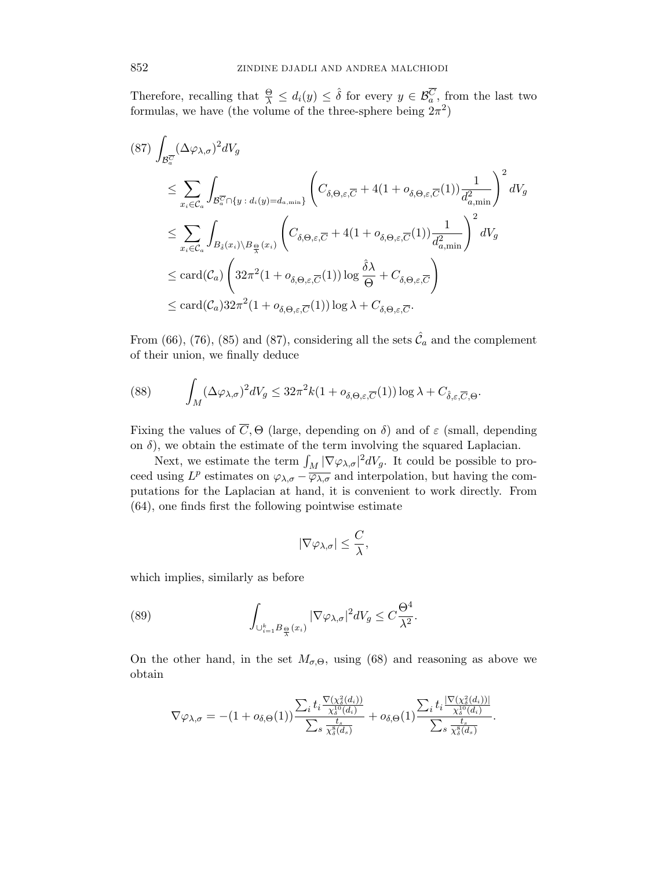Therefore, recalling that  $\frac{\Theta}{\lambda} \leq d_i(y) \leq \hat{\delta}$  for every  $y \in \mathcal{B}_a^{\overline{C}}$ , from the last two formulas, we have (the volume of the three-sphere being  $2\pi^2$ )

$$
(87) \int_{\mathcal{B}_{a}^{\overline{C}}} (\Delta \varphi_{\lambda,\sigma})^{2} dV_{g}
$$
  
\n
$$
\leq \sum_{x_{i} \in \mathcal{C}_{a}} \int_{\mathcal{B}_{a}^{\overline{C}} \cap \{y \ : d_{i}(y) = d_{a,\min}\}} \left( C_{\delta,\Theta,\varepsilon,\overline{C}} + 4(1 + o_{\delta,\Theta,\varepsilon,\overline{C}}(1)) \frac{1}{d_{a,\min}^{2}} \right)^{2} dV_{g}
$$
  
\n
$$
\leq \sum_{x_{i} \in \mathcal{C}_{a}} \int_{B_{\delta}(x_{i}) \setminus B_{\frac{\Theta}{\lambda}}(x_{i})} \left( C_{\delta,\Theta,\varepsilon,\overline{C}} + 4(1 + o_{\delta,\Theta,\varepsilon,\overline{C}}(1)) \frac{1}{d_{a,\min}^{2}} \right)^{2} dV_{g}
$$
  
\n
$$
\leq \text{card}(\mathcal{C}_{a}) \left( 32\pi^{2} (1 + o_{\delta,\Theta,\varepsilon,\overline{C}}(1)) \log \frac{\hat{\delta} \lambda}{\Theta} + C_{\delta,\Theta,\varepsilon,\overline{C}} \right)
$$
  
\n
$$
\leq \text{card}(\mathcal{C}_{a}) 32\pi^{2} (1 + o_{\delta,\Theta,\varepsilon,\overline{C}}(1)) \log \lambda + C_{\delta,\Theta,\varepsilon,\overline{C}}.
$$

From (66), (76), (85) and (87), considering all the sets  $\hat{\mathcal{C}}_a$  and the complement of their union, we finally deduce

(88) 
$$
\int_M (\Delta \varphi_{\lambda,\sigma})^2 dV_g \leq 32\pi^2 k (1 + o_{\delta,\Theta,\varepsilon,\overline{C}}(1)) \log \lambda + C_{\hat{\delta},\varepsilon,\overline{C},\Theta}.
$$

Fixing the values of  $\overline{C}$ ,  $\Theta$  (large, depending on  $\delta$ ) and of  $\varepsilon$  (small, depending on  $\delta$ ), we obtain the estimate of the term involving the squared Laplacian.

Next, we estimate the term  $\int_M |\nabla \varphi_{\lambda,\sigma}|^2 dV_g$ . It could be possible to proceed using  $L^p$  estimates on  $\varphi_{\lambda,\sigma} - \overline{\varphi_{\lambda,\sigma}}$  and interpolation, but having the computations for the Laplacian at hand, it is convenient to work directly. From (64), one finds first the following pointwise estimate

$$
|\nabla \varphi_{\lambda,\sigma}|\leq \frac{C}{\lambda},
$$

which implies, similarly as before

(89) 
$$
\int_{\cup_{i=1}^k B_{\frac{\Theta}{\lambda}}(x_i)} |\nabla \varphi_{\lambda,\sigma}|^2 dV_g \leq C \frac{\Theta^4}{\lambda^2}.
$$

On the other hand, in the set  $M_{\sigma,\Theta}$ , using (68) and reasoning as above we obtain

$$
\nabla \varphi_{\lambda,\sigma}=-(1+o_{\delta,\Theta}(1))\frac{\sum_i t_i\frac{\nabla(\chi^2_{\delta}(d_i))}{\chi^1_{\delta}(d_i)}}{\sum_s \frac{t_s}{\chi^2_{\delta}(d_s)}}+o_{\delta,\Theta}(1)\frac{\sum_i t_i\frac{|\nabla(\chi^2_{\delta}(d_i))|}{\chi^1_{\delta}(d_i)}}{\sum_s \frac{t_s}{\chi^2_{\delta}(d_s)}}.
$$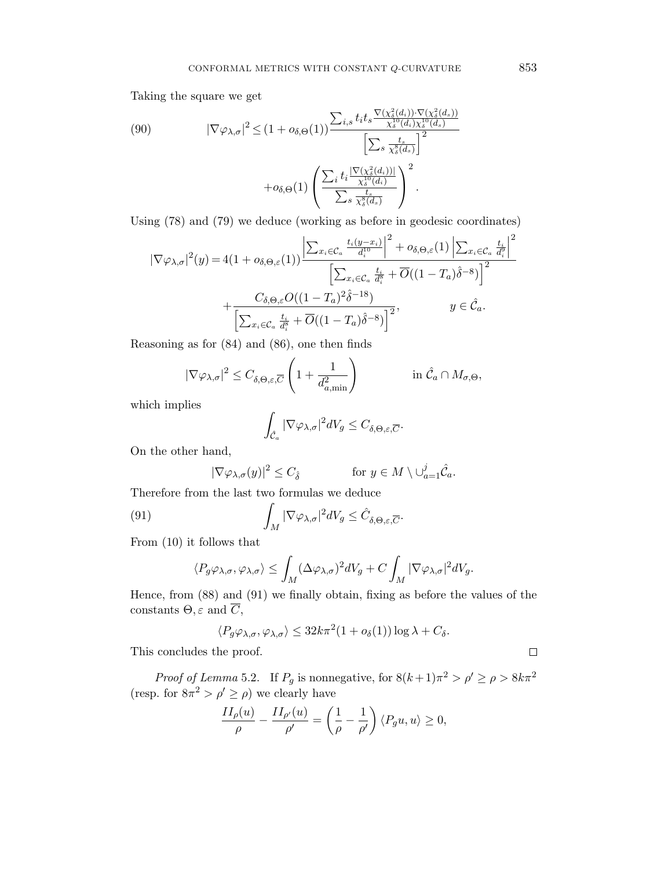Taking the square we get

(90) 
$$
|\nabla \varphi_{\lambda,\sigma}|^2 \leq (1 + o_{\delta,\Theta}(1)) \frac{\sum_{i,s} t_i t_s \frac{\nabla(\chi^2_{\delta}(d_i)) \cdot \nabla(\chi^2_{\delta}(d_s))}{\chi^1_{\delta}(d_i)\chi^1_{\delta}(d_s)}}{\left[\sum_s \frac{t_s}{\chi^3_{\delta}(d_s)}\right]^2} + o_{\delta,\Theta}(1) \left(\frac{\sum_i t_i \frac{|\nabla(\chi^2_{\delta}(d_i))|}{\chi^1_{\delta}(d_i)}}{\sum_s \frac{t_s}{\chi^8_{\delta}(d_s)}}\right)^2.
$$

Using (78) and (79) we deduce (working as before in geodesic coordinates)

$$
|\nabla \varphi_{\lambda,\sigma}|^{2}(y) = 4(1 + o_{\delta,\Theta,\varepsilon}(1)) \frac{\left| \sum_{x_{i} \in \mathcal{C}_{a}} \frac{t_{i}(y-x_{i})}{d_{i}^{10}} \right|^{2} + o_{\delta,\Theta,\varepsilon}(1) \left| \sum_{x_{i} \in \mathcal{C}_{a}} \frac{t_{i}}{d_{i}^{8}} \right|^{2}}{\left[ \sum_{x_{i} \in \mathcal{C}_{a}} \frac{t_{i}}{d_{i}^{8}} + \overline{O}((1-T_{a})\hat{\delta}^{-8}) \right]^{2}} + \frac{C_{\delta,\Theta,\varepsilon}O((1-T_{a})^{2}\hat{\delta}^{-18})}{\left[ \sum_{x_{i} \in \mathcal{C}_{a}} \frac{t_{i}}{d_{i}^{8}} + \overline{O}((1-T_{a})\hat{\delta}^{-8}) \right]^{2}}, \qquad y \in \hat{\mathcal{C}}_{a}.
$$

Reasoning as for (84) and (86), one then finds

$$
|\nabla \varphi_{\lambda,\sigma}|^2 \leq C_{\delta,\Theta,\varepsilon,\overline{C}} \left( 1 + \frac{1}{d_{a,\min}^2} \right) \qquad \text{in } \hat{\mathcal{C}}_a \cap M_{\sigma,\Theta},
$$

which implies

$$
\int_{\hat{\mathcal{C}}_a} |\nabla \varphi_{\lambda,\sigma}|^2 dV_g \leq C_{\delta,\Theta,\varepsilon,\overline{C}}.
$$

On the other hand,

$$
|\nabla \varphi_{\lambda,\sigma}(y)|^2 \le C_{\hat{\delta}} \qquad \text{for } y \in M \setminus \cup_{a=1}^j \hat{\mathcal{C}}_a.
$$

Therefore from the last two formulas we deduce

(91) 
$$
\int_M |\nabla \varphi_{\lambda,\sigma}|^2 dV_g \leq \hat{C}_{\delta,\Theta,\varepsilon,\overline{C}}.
$$

From (10) it follows that

$$
\langle P_g\varphi_{\lambda,\sigma},\varphi_{\lambda,\sigma}\rangle\leq \int_M(\Delta\varphi_{\lambda,\sigma})^2dV_g+C\int_M|\nabla\varphi_{\lambda,\sigma}|^2dV_g.
$$

Hence, from (88) and (91) we finally obtain, fixing as before the values of the constants  $\Theta$ ,  $\varepsilon$  and  $\overline{C}$ ,

$$
\langle P_g \varphi_{\lambda,\sigma}, \varphi_{\lambda,\sigma} \rangle \leq 32k\pi^2 (1 + o_{\delta}(1)) \log \lambda + C_{\delta}.
$$

This concludes the proof.

*Proof of Lemma* 5.2. If  $P_g$  is nonnegative, for  $8(k+1)\pi^2 > \rho' \ge \rho > 8k\pi^2$ (resp. for  $8\pi^2 > \rho' \ge \rho$ ) we clearly have

$$
\frac{II_{\rho}(u)}{\rho} - \frac{II_{\rho'}(u)}{\rho'} = \left(\frac{1}{\rho} - \frac{1}{\rho'}\right) \langle P_g u, u \rangle \ge 0,
$$

 $\Box$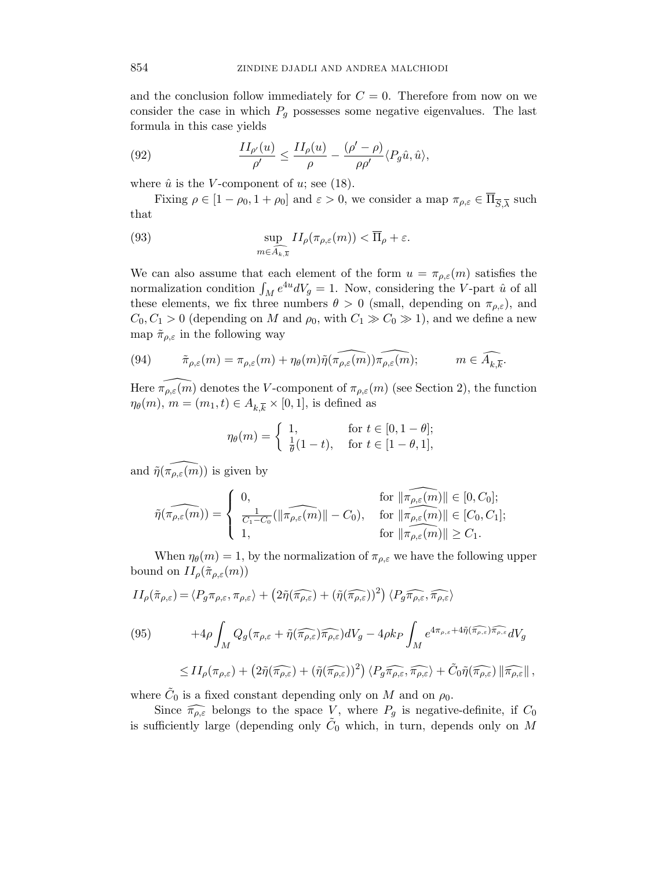and the conclusion follow immediately for  $C = 0$ . Therefore from now on we consider the case in which  $P<sub>q</sub>$  possesses some negative eigenvalues. The last formula in this case yields

(92) 
$$
\frac{II_{\rho'}(u)}{\rho'} \le \frac{II_{\rho}(u)}{\rho} - \frac{(\rho' - \rho)}{\rho \rho'} \langle P_g \hat{u}, \hat{u} \rangle,
$$

where  $\hat{u}$  is the V-component of u; see (18).

Fixing  $\rho \in [1 - \rho_0, 1 + \rho_0]$  and  $\varepsilon > 0$ , we consider a map  $\pi_{\rho, \varepsilon} \in \overline{\Pi}_{\overline{S}, \overline{\lambda}}$  such that

(93) 
$$
\sup_{m \in \widehat{A_{k,\overline{k}}}} II_{\rho}(\pi_{\rho,\varepsilon}(m)) < \overline{\Pi}_{\rho} + \varepsilon.
$$

We can also assume that each element of the form  $u = \pi_{\rho,\varepsilon}(m)$  satisfies the normalization condition  $\int_M e^{4u} dV_g = 1$ . Now, considering the V-part  $\hat{u}$  of all these elements, we fix three numbers  $\theta > 0$  (small, depending on  $\pi_{\rho,\varepsilon}$ ), and  $C_0, C_1 > 0$  (depending on M and  $\rho_0$ , with  $C_1 \gg C_0 \gg 1$ ), and we define a new map  $\tilde{\pi}_{\rho,\varepsilon}$  in the following way

(94) 
$$
\tilde{\pi}_{\rho,\varepsilon}(m) = \pi_{\rho,\varepsilon}(m) + \eta_{\theta}(m)\tilde{\eta}(\widehat{\pi_{\rho,\varepsilon}(m)})\widehat{\pi_{\rho,\varepsilon}(m)}; \qquad m \in \widehat{A_{k,\overline{k}}}.
$$

Here  $\widehat{\pi_{\rho,\varepsilon}(m)}$  denotes the V-component of  $\pi_{\rho,\varepsilon}(m)$  (see Section 2), the function  $\eta_{\theta}(m)$ ,  $m = (m_1, t) \in A_{k,\overline{k}} \times [0,1]$ , is defined as

$$
\eta_{\theta}(m) = \begin{cases} 1, & \text{for } t \in [0, 1 - \theta]; \\ \frac{1}{\theta}(1 - t), & \text{for } t \in [1 - \theta, 1], \end{cases}
$$

and  $\widehat{\eta(\pi_{\rho,\varepsilon}(m))}$  is given by

$$
\tilde{\eta}(\widehat{\pi_{\rho,\varepsilon}(m)}) = \left\{ \begin{array}{ll} 0, & \textrm{for } \|\widehat{\pi_{\rho,\varepsilon}(m)}\| \in [0,C_0]; \\ \frac{1}{C_1-C_0}(\|\widehat{\pi_{\rho,\varepsilon}(m)}\| - C_0), & \textrm{for } \|\widehat{\pi_{\rho,\varepsilon}(m)}\| \in [C_0,C_1]; \\ 1, & \textrm{for } \|\widehat{\pi_{\rho,\varepsilon}(m)}\| \geq C_1. \end{array} \right.
$$

When  $\eta_{\theta}(m) = 1$ , by the normalization of  $\pi_{\rho,\varepsilon}$  we have the following upper bound on  $II_\rho(\tilde{\pi}_{\rho,\varepsilon}(m))$ 

$$
II_{\rho}(\tilde{\pi}_{\rho,\varepsilon}) = \langle P_g \pi_{\rho,\varepsilon}, \pi_{\rho,\varepsilon} \rangle + \left( 2\tilde{\eta}(\widehat{\pi_{\rho,\varepsilon}}) + (\tilde{\eta}(\widehat{\pi_{\rho,\varepsilon}}))^2 \right) \langle P_g \widehat{\pi_{\rho,\varepsilon}}, \widehat{\pi_{\rho,\varepsilon}} \rangle
$$
  
(95)  

$$
+ 4\rho \int_M Q_g(\pi_{\rho,\varepsilon} + \tilde{\eta}(\widehat{\pi_{\rho,\varepsilon}}) \widehat{\pi_{\rho,\varepsilon}}) dV_g - 4\rho k_P \int_M e^{4\pi_{\rho,\varepsilon} + 4\tilde{\eta}(\widehat{\pi_{\rho,\varepsilon}}) \widehat{\pi_{\rho,\varepsilon}}} dV_g
$$
  

$$
\leq II_{\rho}(\pi_{\rho,\varepsilon}) + \left( 2\tilde{\eta}(\widehat{\pi_{\rho,\varepsilon}}) + (\tilde{\eta}(\widehat{\pi_{\rho,\varepsilon}}))^2 \right) \langle P_g \widehat{\pi_{\rho,\varepsilon}}, \widehat{\pi_{\rho,\varepsilon}} \rangle + \tilde{C}_0 \tilde{\eta}(\widehat{\pi_{\rho,\varepsilon}}) || \widehat{\pi_{\rho,\varepsilon}} ||,
$$

where  $\tilde{C}_0$  is a fixed constant depending only on M and on  $\rho_0$ .

Since  $\widehat{\pi_{\rho,\varepsilon}}$  belongs to the space V, where  $P_g$  is negative-definite, if  $C_0$ is sufficiently large (depending only  $\tilde{C}_0$  which, in turn, depends only on M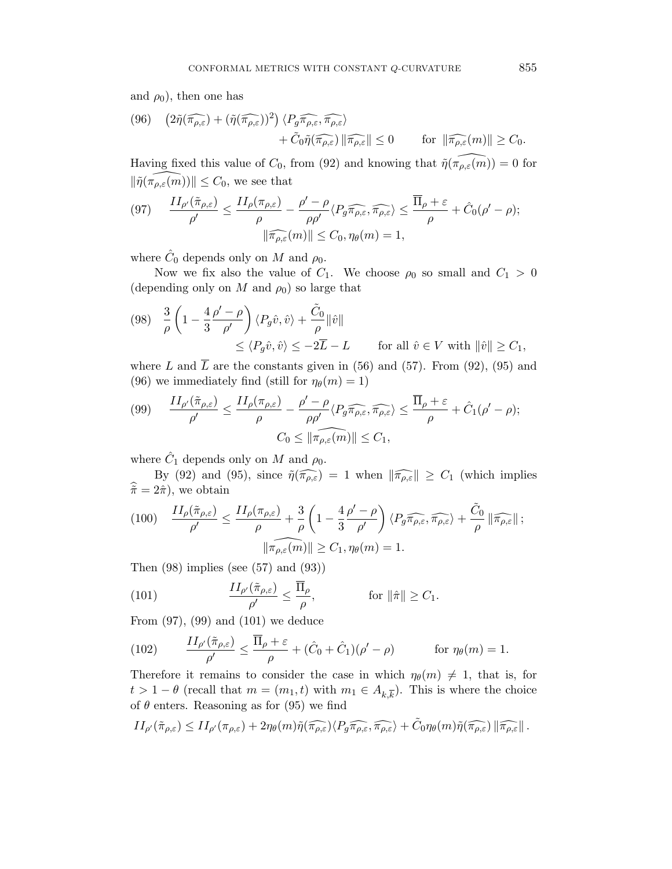and  $\rho_0$ ), then one has

(96) 
$$
(2\tilde{\eta}(\widehat{\pi_{\rho,\varepsilon}}) + (\tilde{\eta}(\widehat{\pi_{\rho,\varepsilon}}))^2) \langle P_g \widehat{\pi_{\rho,\varepsilon}}, \widehat{\pi_{\rho,\varepsilon}} \rangle + \tilde{C}_0 \tilde{\eta}(\widehat{\pi_{\rho,\varepsilon}}) \|\widehat{\pi_{\rho,\varepsilon}}\| \le 0 \quad \text{for } \|\widehat{\pi_{\rho,\varepsilon}}(m)\| \ge C_0.
$$

Having fixed this value of  $C_0$ , from (92) and knowing that  $\widehat{\eta}(\widehat{\pi_{\rho,\varepsilon}(m)}) = 0$  for  $\|\tilde{\eta}(\widetilde{\pi_{\rho,\varepsilon}(m)})\| \leq C_0$ , we see that

(97) 
$$
\frac{II_{\rho'}(\tilde{\pi}_{\rho,\varepsilon})}{\rho'} \leq \frac{II_{\rho}(\pi_{\rho,\varepsilon})}{\rho} - \frac{\rho' - \rho}{\rho \rho'} \langle P_g \widehat{\pi_{\rho,\varepsilon}}, \widehat{\pi_{\rho,\varepsilon}} \rangle \leq \frac{\overline{\Pi}_{\rho} + \varepsilon}{\rho} + \hat{C}_0(\rho' - \rho);
$$

$$
\|\widehat{\pi_{\rho,\varepsilon}}(m)\| \leq C_0, \eta_{\theta}(m) = 1,
$$

where  $\hat{C}_0$  depends only on M and  $\rho_0$ .

Now we fix also the value of  $C_1$ . We choose  $\rho_0$  so small and  $C_1 > 0$ (depending only on M and  $\rho_0$ ) so large that

$$
\begin{aligned} \text{(98)} \quad & \frac{3}{\rho} \left( 1 - \frac{4}{3} \frac{\rho' - \rho}{\rho'} \right) \langle P_g \hat{v}, \hat{v} \rangle + \frac{\tilde{C}_0}{\rho} \|\hat{v}\| \\ &\leq \langle P_g \hat{v}, \hat{v} \rangle \leq -2\overline{L} - L \qquad \text{for all } \hat{v} \in V \text{ with } \|\hat{v}\| \geq C_1, \end{aligned}
$$

where L and  $\overline{L}$  are the constants given in (56) and (57). From (92), (95) and (96) we immediately find (still for  $\eta_{\theta}(m) = 1$ )

$$
(99) \qquad \frac{II_{\rho'}(\tilde{\pi}_{\rho,\varepsilon})}{\rho'} \le \frac{II_{\rho}(\pi_{\rho,\varepsilon})}{\rho} - \frac{\rho' - \rho}{\rho \rho'} \langle P_g \widehat{\pi_{\rho,\varepsilon}}, \widehat{\pi_{\rho,\varepsilon}} \rangle \le \frac{\overline{\Pi}_{\rho} + \varepsilon}{\rho} + \hat{C}_1(\rho' - \rho);
$$

$$
C_0 \le \|\widehat{\pi_{\rho,\varepsilon}(m)}\| \le C_1,
$$

where  $\hat{C}_1$  depends only on M and  $\rho_0$ .

By (92) and (95), since  $\tilde{\eta}(\widehat{\pi_{\rho,\varepsilon}}) = 1$  when  $\|\widehat{\pi_{\rho,\varepsilon}}\| \ge C_1$  (which implies  $\hat{\tilde{\pi}} = 2\hat{\pi}$ , we obtain

(100) 
$$
\frac{II_{\rho}(\tilde{\pi}_{\rho,\varepsilon})}{\rho'} \leq \frac{II_{\rho}(\pi_{\rho,\varepsilon})}{\rho} + \frac{3}{\rho} \left(1 - \frac{4}{3} \frac{\rho' - \rho}{\rho'}\right) \langle P_g \widehat{\pi_{\rho,\varepsilon}}, \widehat{\pi_{\rho,\varepsilon}} \rangle + \frac{\tilde{C}_0}{\rho} \|\widehat{\pi_{\rho,\varepsilon}}\|;
$$

$$
\|\widehat{\pi_{\rho,\varepsilon}}(m)\| \geq C_1, \eta_{\theta}(m) = 1.
$$

Then  $(98)$  implies (see  $(57)$  and  $(93)$ )

(101) 
$$
\frac{II_{\rho'}(\tilde{\pi}_{\rho,\varepsilon})}{\rho'} \leq \frac{\overline{\Pi}_{\rho}}{\rho}, \qquad \text{for } \|\hat{\pi}\| \geq C_1.
$$

From (97), (99) and (101) we deduce

(102) 
$$
\frac{II_{\rho'}(\tilde{\pi}_{\rho,\varepsilon})}{\rho'} \leq \frac{\overline{\Pi}_{\rho} + \varepsilon}{\rho} + (\hat{C}_0 + \hat{C}_1)(\rho' - \rho) \qquad \text{for } \eta_{\theta}(m) = 1.
$$

Therefore it remains to consider the case in which  $\eta_{\theta}(m) \neq 1$ , that is, for  $t > 1 - \theta$  (recall that  $m = (m_1, t)$  with  $m_1 \in A_{k, \overline{k}}$ ). This is where the choice of  $\theta$  enters. Reasoning as for (95) we find

$$
II_{\rho'}(\tilde{\pi}_{\rho,\varepsilon}) \leq II_{\rho'}(\pi_{\rho,\varepsilon}) + 2\eta_{\theta}(m)\tilde{\eta}(\widehat{\pi_{\rho,\varepsilon}})\langle P_g\widehat{\pi_{\rho,\varepsilon}},\widehat{\pi_{\rho,\varepsilon}}\rangle + \tilde{C}_0\eta_{\theta}(m)\tilde{\eta}(\widehat{\pi_{\rho,\varepsilon}})\|\widehat{\pi_{\rho,\varepsilon}}\|.
$$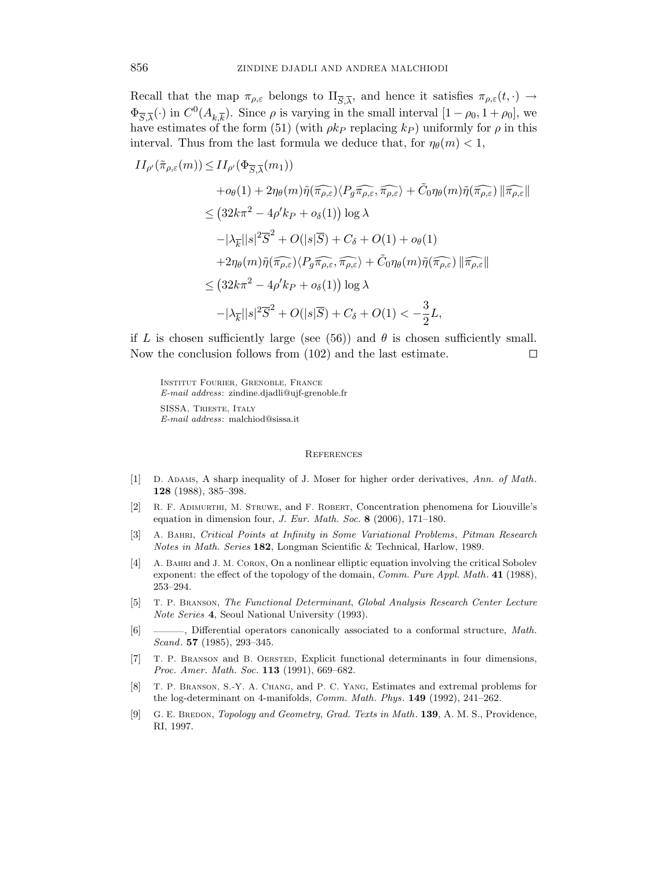Recall that the map  $\pi_{\rho,\varepsilon}$  belongs to  $\Pi_{\overline{S},\overline{\lambda}}$ , and hence it satisfies  $\pi_{\rho,\varepsilon}(t,\cdot) \to$  $\Phi_{\overline{S},\overline{\lambda}}(\cdot)$  in  $C^0(A_{k,\overline{k}})$ . Since  $\rho$  is varying in the small interval  $[1-\rho_0, 1+\rho_0]$ , we have estimates of the form (51) (with  $\rho k_P$  replacing  $k_P$ ) uniformly for  $\rho$  in this interval. Thus from the last formula we deduce that, for  $\eta_{\theta}(m) < 1$ ,

$$
II_{\rho'}(\tilde{\pi}_{\rho,\varepsilon}(m)) \leq II_{\rho'}(\Phi_{\overline{S},\overline{\lambda}}(m_1))
$$
  
+ $o_{\theta}(1) + 2\eta_{\theta}(m)\tilde{\eta}(\widehat{\pi_{\rho,\varepsilon}})\langle P_g\widehat{\pi_{\rho,\varepsilon}},\widehat{\pi_{\rho,\varepsilon}}\rangle + \tilde{C}_0\eta_{\theta}(m)\tilde{\eta}(\widehat{\pi_{\rho,\varepsilon}})\|\widehat{\pi_{\rho,\varepsilon}}\|$   

$$
\leq (32k\pi^2 - 4\rho'k_P + o_{\delta}(1))\log\lambda
$$
  
- $|\lambda_{\overline{k}}||s|^2\overline{S}^2 + O(|s|\overline{S}) + C_{\delta} + O(1) + o_{\theta}(1)$   
+ $2\eta_{\theta}(m)\tilde{\eta}(\widehat{\pi_{\rho,\varepsilon}})\langle P_g\widehat{\pi_{\rho,\varepsilon}},\widehat{\pi_{\rho,\varepsilon}}\rangle + \tilde{C}_0\eta_{\theta}(m)\tilde{\eta}(\widehat{\pi_{\rho,\varepsilon}})\|\widehat{\pi_{\rho,\varepsilon}}\|$   

$$
\leq (32k\pi^2 - 4\rho'k_P + o_{\delta}(1))\log\lambda
$$
  
- $|\lambda_{\overline{k}}||s|^2\overline{S}^2 + O(|s|\overline{S}) + C_{\delta} + O(1) < -\frac{3}{2}L,$ 

if L is chosen sufficiently large (see (56)) and  $\theta$  is chosen sufficiently small. Now the conclusion follows from (102) and the last estimate.  $\Box$ 

Institut Fourier, Grenoble, France E-mail address: zindine.djadli@ujf-grenoble.fr SISSA, Trieste, Italy

E-mail address: malchiod@sissa.it

#### **REFERENCES**

- [1] D. ADAMS, A sharp inequality of J. Moser for higher order derivatives, Ann. of Math. 128 (1988), 385–398.
- [2] R. F. Adimurthi, M. Struwe, and F. Robert, Concentration phenomena for Liouville's equation in dimension four, J. Eur. Math. Soc. 8 (2006), 171–180.
- [3] A. Bahri, Critical Points at Infinity in Some Variational Problems, Pitman Research Notes in Math. Series 182, Longman Scientific & Technical, Harlow, 1989.
- [4] A. Bahri and J. M. Coron, On a nonlinear elliptic equation involving the critical Sobolev exponent: the effect of the topology of the domain, *Comm. Pure Appl. Math.* 41 (1988), 253–294.
- [5] T. P. Branson, The Functional Determinant, Global Analysis Research Center Lecture Note Series 4, Seoul National University (1993).
- [6] ——, Differential operators canonically associated to a conformal structure, Math. Scand. 57 (1985), 293–345.
- [7] T. P. Branson and B. Oersted, Explicit functional determinants in four dimensions, Proc. Amer. Math. Soc. **113** (1991), 669–682.
- [8] T. P. Branson, S.-Y. A. Chang, and P. C. Yang, Estimates and extremal problems for the log-determinant on 4-manifolds, Comm. Math. Phys. 149 (1992), 241–262.
- [9] G. E. BREDON, *Topology and Geometry, Grad. Texts in Math.* **139**, A. M. S., Providence, RI, 1997.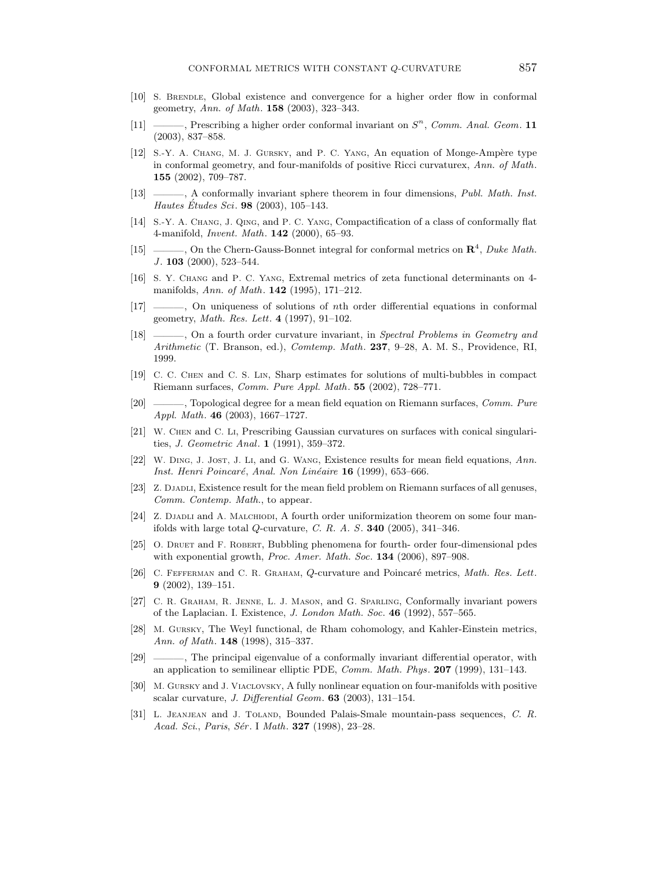- [10] S. BRENDLE, Global existence and convergence for a higher order flow in conformal geometry, Ann. of Math. **158** (2003), 323-343.
- [11]  $\qquad \qquad$ , Prescribing a higher order conformal invariant on  $S<sup>n</sup>$ , Comm. Anal. Geom. 11 (2003), 837–858.
- [12] S.-Y. A. CHANG, M. J. GURSKY, and P. C. YANG, An equation of Monge-Ampère type in conformal geometry, and four-manifolds of positive Ricci curvaturex, Ann. of Math. 155 (2002), 709–787.
- [13] ———, A conformally invariant sphere theorem in four dimensions, Publ. Math. Inst. Hautes Etudes Sci. **98** (2003), 105–143.
- [14] S.-Y. A. Chang, J. Qing, and P. C. Yang, Compactification of a class of conformally flat 4-manifold, Invent. Math. 142 (2000), 65–93.
- [15]  $\ldots$ , On the Chern-Gauss-Bonnet integral for conformal metrics on  $\mathbb{R}^4$ , Duke Math.  $J.$  103 (2000), 523–544.
- [16] S. Y. Chang and P. C. Yang, Extremal metrics of zeta functional determinants on 4 manifolds, Ann. of Math. 142 (1995), 171–212.
- [17] ———, On uniqueness of solutions of nth order differential equations in conformal geometry, Math. Res. Lett. 4 (1997), 91–102.
- [18] ———, On a fourth order curvature invariant, in Spectral Problems in Geometry and Arithmetic (T. Branson, ed.), *Comtemp. Math.* 237, 9–28, A. M. S., Providence, RI, 1999.
- [19] C. C. Chen and C. S. Lin, Sharp estimates for solutions of multi-bubbles in compact Riemann surfaces, Comm. Pure Appl. Math. 55 (2002), 728–771.
- [20] ———, Topological degree for a mean field equation on Riemann surfaces, Comm. Pure Appl. Math. 46 (2003), 1667–1727.
- [21] W. Chen and C. Li, Prescribing Gaussian curvatures on surfaces with conical singularities, J. Geometric Anal. 1 (1991), 359–372.
- [22] W. Ding, J. Jost, J. Li, and G. Wang, Existence results for mean field equations, Ann. Inst. Henri Poincaré, Anal. Non Linéaire 16 (1999), 653-666.
- [23] Z. DJADLI, Existence result for the mean field problem on Riemann surfaces of all genuses, Comm. Contemp. Math., to appear.
- [24] Z. DJADLI and A. MALCHIODI, A fourth order uniformization theorem on some four manifolds with large total Q-curvature, C. R. A. S. **340** (2005), 341–346.
- [25] O. DRUET and F. ROBERT, Bubbling phenomena for fourth- order four-dimensional pdes with exponential growth, Proc. Amer. Math. Soc. 134 (2006), 897-908.
- [26] C. FEFFERMAN and C. R. GRAHAM, Q-curvature and Poincaré metrics, Math. Res. Lett. 9 (2002), 139–151.
- [27] C. R. Graham, R. Jenne, L. J. Mason, and G. Sparling, Conformally invariant powers of the Laplacian. I. Existence, J. London Math. Soc. 46 (1992), 557–565.
- [28] M. Gursky, The Weyl functional, de Rham cohomology, and Kahler-Einstein metrics, Ann. of Math. 148 (1998), 315–337.
- [29] ———, The principal eigenvalue of a conformally invariant differential operator, with an application to semilinear elliptic PDE, Comm. Math. Phys. 207 (1999), 131–143.
- [30] M. Gursky and J. Viaclovsky, A fully nonlinear equation on four-manifolds with positive scalar curvature, J. Differential Geom. 63 (2003), 131–154.
- [31] L. Jeanjean and J. Toland, Bounded Palais-Smale mountain-pass sequences, C. R. Acad. Sci., Paris, Sér. I Math. **327** (1998), 23–28.